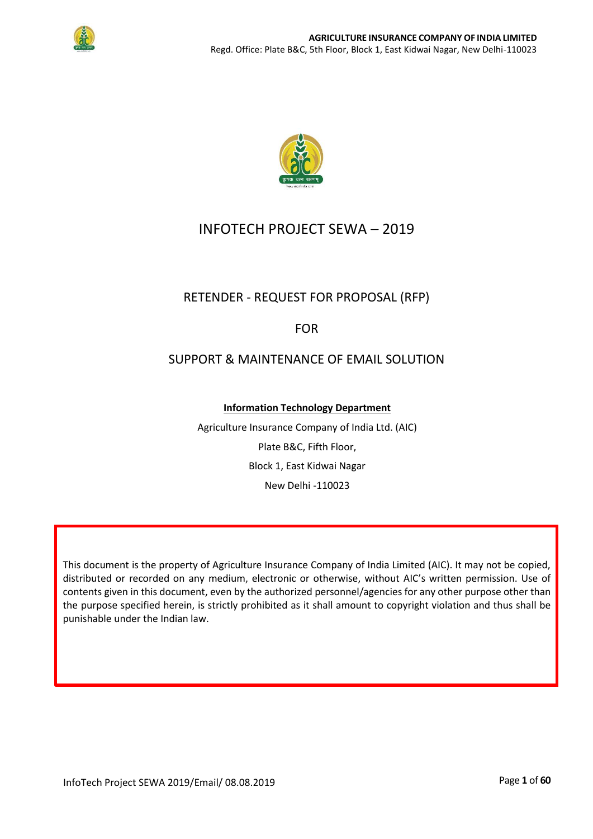



# INFOTECH PROJECT SEWA – 2019

# RETENDER - REQUEST FOR PROPOSAL (RFP)

## FOR

## SUPPORT & MAINTENANCE OF EMAIL SOLUTION

**Information Technology Department**

Agriculture Insurance Company of India Ltd. (AIC) Plate B&C, Fifth Floor, Block 1, East Kidwai Nagar New Delhi -110023

This document is the property of Agriculture Insurance Company of India Limited (AIC). It may not be copied, distributed or recorded on any medium, electronic or otherwise, without AIC's written permission. Use of contents given in this document, even by the authorized personnel/agencies for any other purpose other than the purpose specified herein, is strictly prohibited as it shall amount to copyright violation and thus shall be punishable under the Indian law.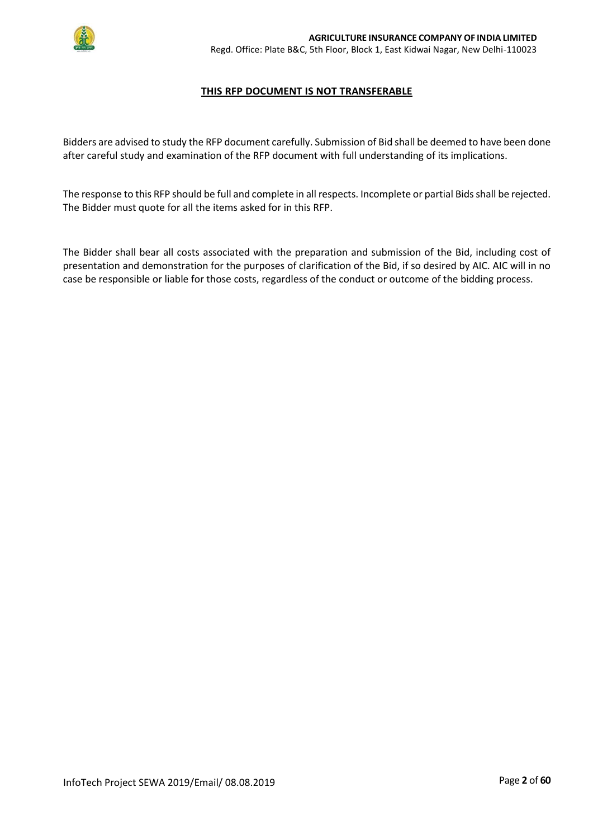

#### **THIS RFP DOCUMENT IS NOT TRANSFERABLE**

Bidders are advised to study the RFP document carefully. Submission of Bid shall be deemed to have been done after careful study and examination of the RFP document with full understanding of its implications.

The response to this RFP should be full and complete in all respects. Incomplete or partial Bids shall be rejected. The Bidder must quote for all the items asked for in this RFP.

The Bidder shall bear all costs associated with the preparation and submission of the Bid, including cost of presentation and demonstration for the purposes of clarification of the Bid, if so desired by AIC. AIC will in no case be responsible or liable for those costs, regardless of the conduct or outcome of the bidding process.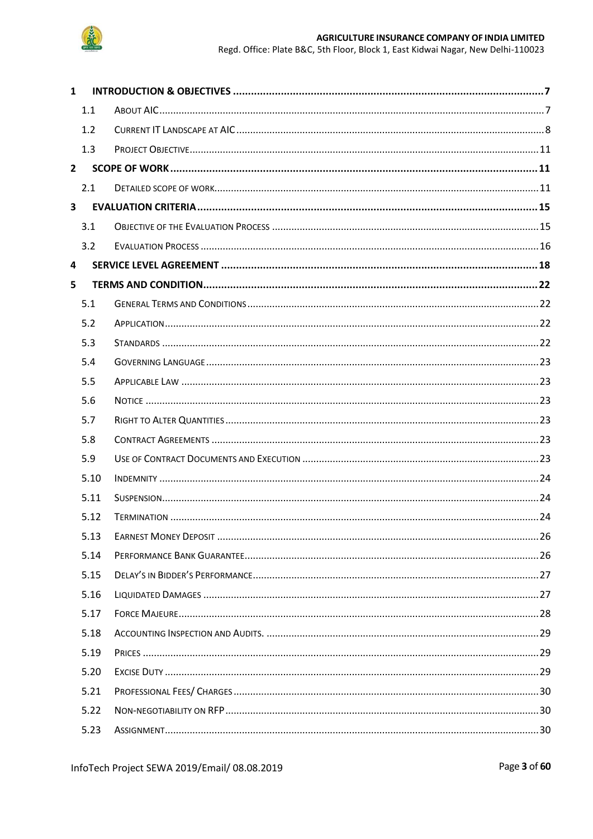

#### AGRICULTURE INSURANCE COMPANY OF INDIA LIMITED Regd. Office: Plate B&C, 5th Floor, Block 1, East Kidwai Nagar, New Delhi-110023

| $\mathbf{1}$            |      |  |
|-------------------------|------|--|
|                         | 1.1  |  |
|                         | 1.2  |  |
|                         | 1.3  |  |
| $2^{\circ}$             |      |  |
|                         | 2.1  |  |
| $\overline{\mathbf{3}}$ |      |  |
|                         | 3.1  |  |
|                         | 3.2  |  |
| 4                       |      |  |
| 5                       |      |  |
|                         | 5.1  |  |
|                         | 5.2  |  |
|                         | 5.3  |  |
|                         | 5.4  |  |
|                         | 5.5  |  |
|                         | 5.6  |  |
|                         | 5.7  |  |
|                         | 5.8  |  |
|                         | 5.9  |  |
|                         | 5.10 |  |
|                         | 5.11 |  |
|                         | 5.12 |  |
|                         | 5.13 |  |
|                         | 5.14 |  |
|                         | 5.15 |  |
|                         | 5.16 |  |
|                         | 5.17 |  |
|                         | 5.18 |  |
|                         | 5.19 |  |
|                         | 5.20 |  |
|                         | 5.21 |  |
|                         | 5.22 |  |
|                         | 5.23 |  |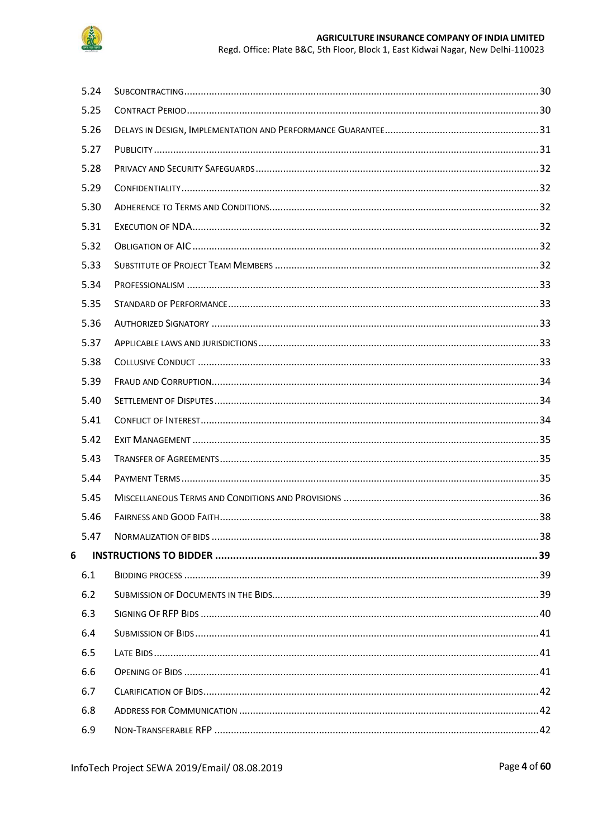

Regd. Office: Plate B&C, 5th Floor, Block 1, East Kidwai Nagar, New Delhi-110023

| 5.24 |  |
|------|--|
| 5.25 |  |
| 5.26 |  |
| 5.27 |  |
| 5.28 |  |
| 5.29 |  |
| 5.30 |  |
| 5.31 |  |
| 5.32 |  |
| 5.33 |  |
| 5.34 |  |
| 5.35 |  |
| 5.36 |  |
| 5.37 |  |
| 5.38 |  |
| 5.39 |  |
| 5.40 |  |
| 5.41 |  |
| 5.42 |  |
| 5.43 |  |
| 5.44 |  |
| 5.45 |  |
| 5.46 |  |
| 5.47 |  |
| 6    |  |
| 6.1  |  |
| 6.2  |  |
| 6.3  |  |
| 6.4  |  |
| 6.5  |  |
| 6.6  |  |
| 6.7  |  |
| 6.8  |  |
| 6.9  |  |

Page 4 of 60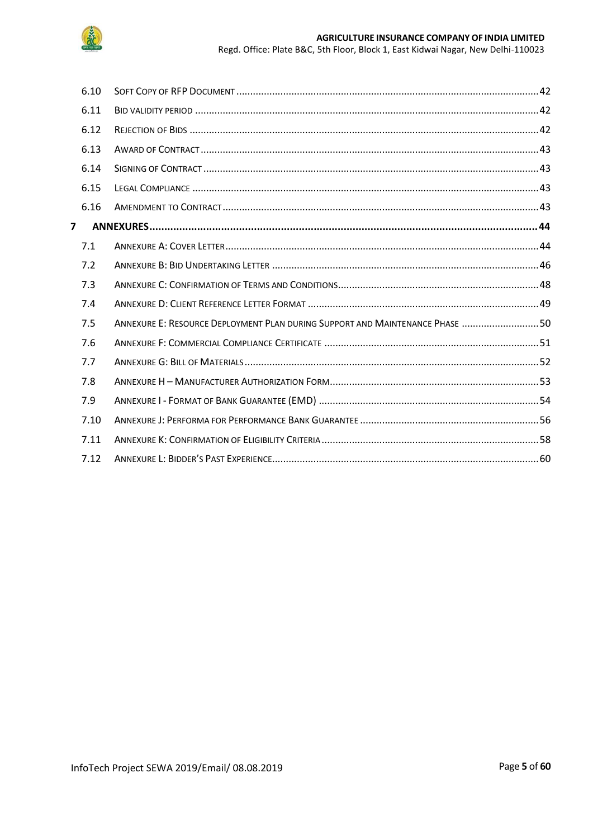

|                | 6.10 |                                                                              |  |
|----------------|------|------------------------------------------------------------------------------|--|
|                | 6.11 |                                                                              |  |
|                | 6.12 |                                                                              |  |
|                | 6.13 |                                                                              |  |
|                | 6.14 |                                                                              |  |
|                | 6.15 |                                                                              |  |
|                | 6.16 |                                                                              |  |
| $\overline{7}$ |      |                                                                              |  |
|                | 7.1  |                                                                              |  |
|                | 7.2  |                                                                              |  |
|                | 7.3  |                                                                              |  |
|                | 7.4  |                                                                              |  |
|                | 7.5  | ANNEXURE E: RESOURCE DEPLOYMENT PLAN DURING SUPPORT AND MAINTENANCE PHASE 50 |  |
|                | 7.6  |                                                                              |  |
|                | 7.7  |                                                                              |  |
|                | 7.8  |                                                                              |  |
|                | 7.9  |                                                                              |  |
|                | 7.10 |                                                                              |  |
|                | 7.11 |                                                                              |  |
|                | 7.12 |                                                                              |  |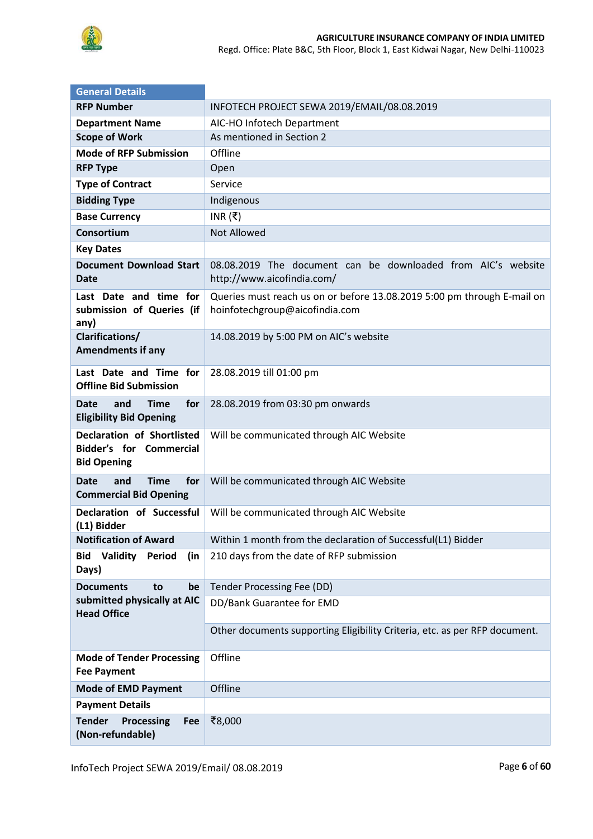

Regd. Office: Plate B&C, 5th Floor, Block 1, East Kidwai Nagar, New Delhi-110023

| <b>General Details</b>                                                                    |                                                                                                           |  |  |  |
|-------------------------------------------------------------------------------------------|-----------------------------------------------------------------------------------------------------------|--|--|--|
| <b>RFP Number</b>                                                                         | INFOTECH PROJECT SEWA 2019/EMAIL/08.08.2019                                                               |  |  |  |
| <b>Department Name</b>                                                                    | AIC-HO Infotech Department                                                                                |  |  |  |
| <b>Scope of Work</b>                                                                      | As mentioned in Section 2                                                                                 |  |  |  |
| <b>Mode of RFP Submission</b>                                                             | Offline                                                                                                   |  |  |  |
| <b>RFP Type</b>                                                                           | Open                                                                                                      |  |  |  |
| <b>Type of Contract</b>                                                                   | Service                                                                                                   |  |  |  |
| <b>Bidding Type</b>                                                                       | Indigenous                                                                                                |  |  |  |
| <b>Base Currency</b>                                                                      | INR $( ₹)$                                                                                                |  |  |  |
| Consortium                                                                                | <b>Not Allowed</b>                                                                                        |  |  |  |
| <b>Key Dates</b>                                                                          |                                                                                                           |  |  |  |
| <b>Document Download Start</b><br><b>Date</b>                                             | 08.08.2019 The document can be downloaded from AIC's website<br>http://www.aicofindia.com/                |  |  |  |
| Last Date and time for<br>submission of Queries (if<br>any)                               | Queries must reach us on or before 13.08.2019 5:00 pm through E-mail on<br>hoinfotechgroup@aicofindia.com |  |  |  |
| <b>Clarifications/</b><br><b>Amendments if any</b>                                        | 14.08.2019 by 5:00 PM on AIC's website                                                                    |  |  |  |
| Last Date and Time for<br><b>Offline Bid Submission</b>                                   | 28.08.2019 till 01:00 pm                                                                                  |  |  |  |
| for<br><b>Date</b><br>and<br><b>Time</b><br><b>Eligibility Bid Opening</b>                | 28.08.2019 from 03:30 pm onwards                                                                          |  |  |  |
| <b>Declaration of Shortlisted</b><br><b>Bidder's for Commercial</b><br><b>Bid Opening</b> | Will be communicated through AIC Website                                                                  |  |  |  |
| for<br><b>Date</b><br>and<br><b>Time</b><br><b>Commercial Bid Opening</b>                 | Will be communicated through AIC Website                                                                  |  |  |  |
| Declaration of Successful<br>(L1) Bidder                                                  | Will be communicated through AIC Website                                                                  |  |  |  |
| <b>Notification of Award</b>                                                              | Within 1 month from the declaration of Successful(L1) Bidder                                              |  |  |  |
| Validity<br><b>Bid</b><br>Period<br>(in<br>Days)                                          | 210 days from the date of RFP submission                                                                  |  |  |  |
| <b>Documents</b><br>be<br>to                                                              | Tender Processing Fee (DD)                                                                                |  |  |  |
| submitted physically at AIC<br><b>Head Office</b>                                         | DD/Bank Guarantee for EMD                                                                                 |  |  |  |
|                                                                                           | Other documents supporting Eligibility Criteria, etc. as per RFP document.                                |  |  |  |
| <b>Mode of Tender Processing</b><br><b>Fee Payment</b>                                    | Offline                                                                                                   |  |  |  |
| <b>Mode of EMD Payment</b>                                                                | Offline                                                                                                   |  |  |  |
| <b>Payment Details</b>                                                                    |                                                                                                           |  |  |  |
| <b>Tender</b><br>Processing<br>Fee<br>(Non-refundable)                                    | ₹8,000                                                                                                    |  |  |  |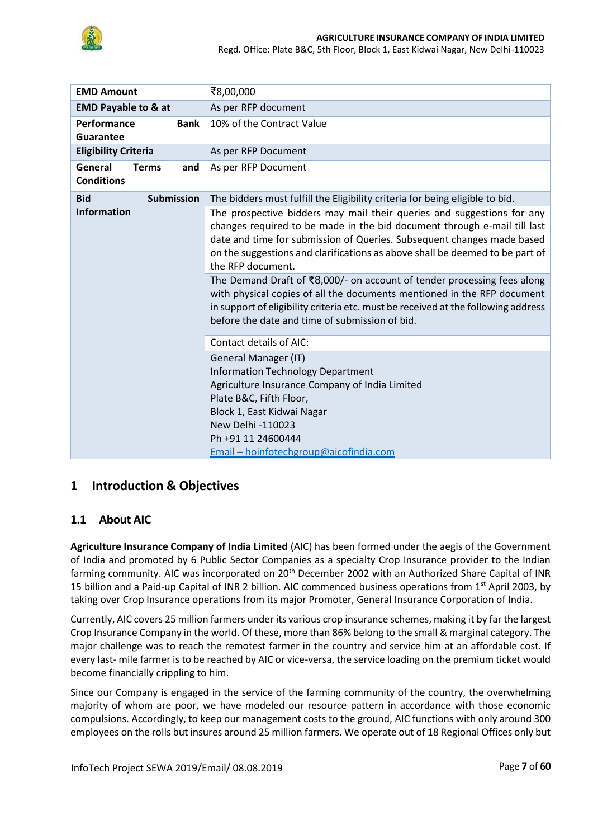

Regd. Office: Plate B&C, 5th Floor, Block 1, East Kidwai Nagar, New Delhi-110023

| <b>EMD Amount</b>                                   | ₹8,00,000                                                                                                                                                                                                                                                                                                                                                                                                                                                                                                                                                                                                                      |  |  |
|-----------------------------------------------------|--------------------------------------------------------------------------------------------------------------------------------------------------------------------------------------------------------------------------------------------------------------------------------------------------------------------------------------------------------------------------------------------------------------------------------------------------------------------------------------------------------------------------------------------------------------------------------------------------------------------------------|--|--|
| <b>EMD Payable to &amp; at</b>                      | As per RFP document                                                                                                                                                                                                                                                                                                                                                                                                                                                                                                                                                                                                            |  |  |
| Performance<br><b>Bank</b><br>Guarantee             | 10% of the Contract Value                                                                                                                                                                                                                                                                                                                                                                                                                                                                                                                                                                                                      |  |  |
| <b>Eligibility Criteria</b>                         | As per RFP Document                                                                                                                                                                                                                                                                                                                                                                                                                                                                                                                                                                                                            |  |  |
| General<br><b>Terms</b><br>and<br><b>Conditions</b> | As per RFP Document                                                                                                                                                                                                                                                                                                                                                                                                                                                                                                                                                                                                            |  |  |
| <b>Submission</b><br><b>Bid</b>                     | The bidders must fulfill the Eligibility criteria for being eligible to bid.                                                                                                                                                                                                                                                                                                                                                                                                                                                                                                                                                   |  |  |
| <b>Information</b>                                  | The prospective bidders may mail their queries and suggestions for any<br>changes required to be made in the bid document through e-mail till last<br>date and time for submission of Queries. Subsequent changes made based<br>on the suggestions and clarifications as above shall be deemed to be part of<br>the RFP document.<br>The Demand Draft of ₹8,000/- on account of tender processing fees along<br>with physical copies of all the documents mentioned in the RFP document<br>in support of eligibility criteria etc. must be received at the following address<br>before the date and time of submission of bid. |  |  |
|                                                     | <b>Contact details of AIC:</b>                                                                                                                                                                                                                                                                                                                                                                                                                                                                                                                                                                                                 |  |  |
|                                                     | General Manager (IT)<br><b>Information Technology Department</b><br>Agriculture Insurance Company of India Limited<br>Plate B&C, Fifth Floor,<br>Block 1, East Kidwai Nagar<br>New Delhi -110023<br>Ph +91 11 24600444<br>Email - hoinfotechgroup@aicofindia.com                                                                                                                                                                                                                                                                                                                                                               |  |  |

## <span id="page-6-0"></span>**1 Introduction & Objectives**

#### <span id="page-6-1"></span>**1.1 About AIC**

**Agriculture Insurance Company of India Limited** (AIC) has been formed under the aegis of the Government of India and promoted by 6 Public Sector Companies as a specialty Crop Insurance provider to the Indian farming community. AIC was incorporated on 20<sup>th</sup> December 2002 with an Authorized Share Capital of INR 15 billion and a Paid-up Capital of INR 2 billion. AIC commenced business operations from 1<sup>st</sup> April 2003, by taking over Crop Insurance operations from its major Promoter, General Insurance Corporation of India.

Currently, AIC covers 25 million farmers under its various crop insurance schemes, making it by far the largest Crop Insurance Company in the world. Of these, more than 86% belong to the small & marginal category. The major challenge was to reach the remotest farmer in the country and service him at an affordable cost. If every last- mile farmer is to be reached by AIC or vice-versa, the service loading on the premium ticket would become financially crippling to him.

Since our Company is engaged in the service of the farming community of the country, the overwhelming majority of whom are poor, we have modeled our resource pattern in accordance with those economic compulsions. Accordingly, to keep our management costs to the ground, AIC functions with only around 300 employees on the rolls but insures around 25 million farmers. We operate out of 18 Regional Offices only but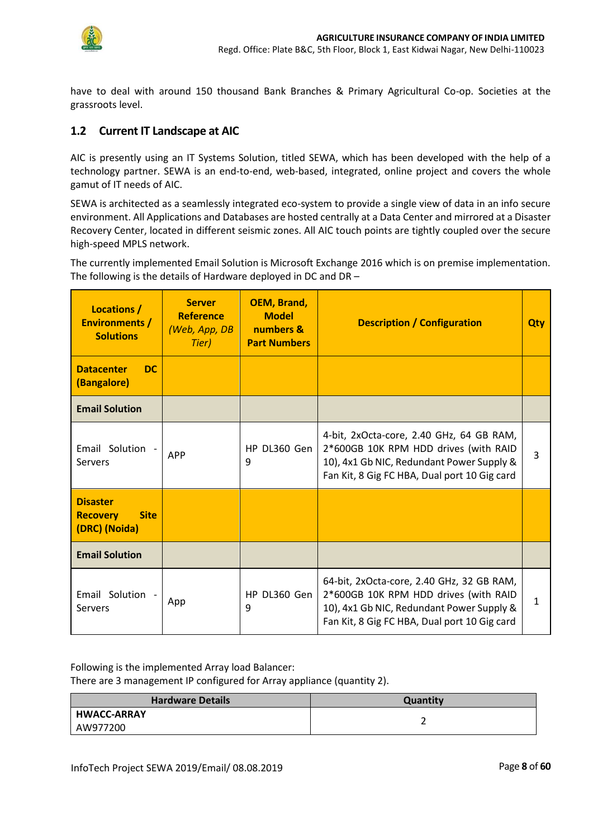

have to deal with around 150 thousand Bank Branches & Primary Agricultural Co-op. Societies at the grassroots level.

## <span id="page-7-0"></span>**1.2 Current IT Landscape at AIC**

AIC is presently using an IT Systems Solution, titled SEWA, which has been developed with the help of a technology partner. SEWA is an end-to-end, web-based, integrated, online project and covers the whole gamut of IT needs of AIC.

SEWA is architected as a seamlessly integrated eco-system to provide a single view of data in an info secure environment. All Applications and Databases are hosted centrally at a Data Center and mirrored at a Disaster Recovery Center, located in different seismic zones. All AIC touch points are tightly coupled over the secure high-speed MPLS network.

The currently implemented Email Solution is Microsoft Exchange 2016 which is on premise implementation. The following is the details of Hardware deployed in DC and DR –

| <b>Server</b><br>Locations /<br><b>Reference</b><br><b>Environments /</b><br>(Web, App, DB<br><b>Solutions</b><br>Tier) |            | <b>OEM, Brand,</b><br><b>Model</b><br>numbers &<br><b>Part Numbers</b> | <b>Description / Configuration</b>                                                                                                                                              | Qty |
|-------------------------------------------------------------------------------------------------------------------------|------------|------------------------------------------------------------------------|---------------------------------------------------------------------------------------------------------------------------------------------------------------------------------|-----|
| <b>Datacenter</b><br><b>DC</b><br>(Bangalore)                                                                           |            |                                                                        |                                                                                                                                                                                 |     |
| <b>Email Solution</b>                                                                                                   |            |                                                                        |                                                                                                                                                                                 |     |
| Email Solution -<br>Servers                                                                                             | <b>APP</b> | HP DL360 Gen<br>9                                                      | 4-bit, 2xOcta-core, 2.40 GHz, 64 GB RAM,<br>2*600GB 10K RPM HDD drives (with RAID<br>10), 4x1 Gb NIC, Redundant Power Supply &<br>Fan Kit, 8 Gig FC HBA, Dual port 10 Gig card  | 3   |
| <b>Disaster</b><br><b>Site</b><br><b>Recovery</b><br>(DRC) (Noida)                                                      |            |                                                                        |                                                                                                                                                                                 |     |
| <b>Email Solution</b>                                                                                                   |            |                                                                        |                                                                                                                                                                                 |     |
| Email Solution -<br>Servers                                                                                             | App        | HP DL360 Gen<br>9                                                      | 64-bit, 2xOcta-core, 2.40 GHz, 32 GB RAM,<br>2*600GB 10K RPM HDD drives (with RAID<br>10), 4x1 Gb NIC, Redundant Power Supply &<br>Fan Kit, 8 Gig FC HBA, Dual port 10 Gig card | 1   |

Following is the implemented Array load Balancer:

There are 3 management IP configured for Array appliance (quantity 2).

| <b>Hardware Details</b> | <b>Quantity</b> |  |
|-------------------------|-----------------|--|
| <b>HWACC-ARRAY</b>      |                 |  |
| AW977200                |                 |  |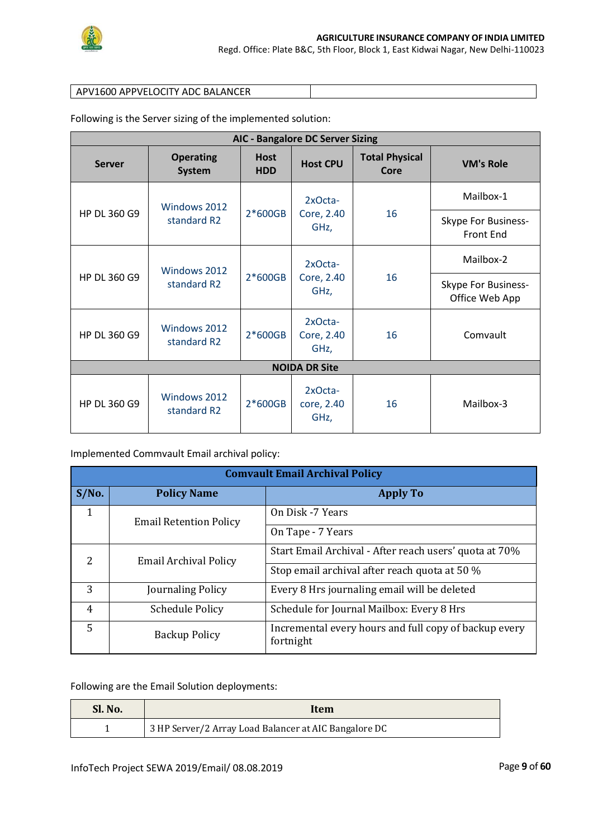

#### APV1600 APPVELOCITY ADC BALANCER

Following is the Server sizing of the implemented solution:

| <b>AIC - Bangalore DC Server Sizing</b> |                                   |                           |                               |                               |                                                |  |
|-----------------------------------------|-----------------------------------|---------------------------|-------------------------------|-------------------------------|------------------------------------------------|--|
| <b>Server</b>                           | <b>Operating</b><br><b>System</b> | <b>Host</b><br><b>HDD</b> | <b>Host CPU</b>               | <b>Total Physical</b><br>Core | <b>VM's Role</b>                               |  |
|                                         | Windows 2012<br>standard R2       | $2*600GB$                 | 2xOcta-<br>Core, 2.40<br>GHz, | 16                            | Mailbox-1                                      |  |
| HP DL 360 G9                            |                                   |                           |                               |                               | <b>Skype For Business-</b><br><b>Front End</b> |  |
|                                         | Windows 2012<br>standard R2       | $2*600GB$                 | 2xOcta-<br>Core, 2.40<br>GHz, | 16                            | Mailbox-2                                      |  |
| HP DL 360 G9                            |                                   |                           |                               |                               | <b>Skype For Business-</b><br>Office Web App   |  |
| HP DL 360 G9                            | Windows 2012<br>standard R2       | $2*600GB$                 | 2xOcta-<br>Core, 2.40<br>GHz, | 16                            | Comvault                                       |  |
| <b>NOIDA DR Site</b>                    |                                   |                           |                               |                               |                                                |  |
| HP DL 360 G9                            | Windows 2012<br>standard R2       | $2*600GB$                 | 2xOcta-<br>core, 2.40<br>GHz, | 16                            | Mailbox-3                                      |  |

Implemented Commvault Email archival policy:

|                                          | <b>Comvault Email Archival Policy</b> |                                                        |  |  |  |
|------------------------------------------|---------------------------------------|--------------------------------------------------------|--|--|--|
| $S/N0$ .<br><b>Policy Name</b>           |                                       | <b>Apply To</b>                                        |  |  |  |
| 1                                        | <b>Email Retention Policy</b>         | On Disk -7 Years                                       |  |  |  |
|                                          |                                       | On Tape - 7 Years                                      |  |  |  |
| 2                                        | <b>Email Archival Policy</b>          | Start Email Archival - After reach users' quota at 70% |  |  |  |
|                                          |                                       | Stop email archival after reach quota at 50 %          |  |  |  |
| 3                                        | Journaling Policy                     | Every 8 Hrs journaling email will be deleted           |  |  |  |
| $\overline{4}$<br><b>Schedule Policy</b> |                                       | Schedule for Journal Mailbox: Every 8 Hrs              |  |  |  |
| 5<br><b>Backup Policy</b><br>fortnight   |                                       | Incremental every hours and full copy of backup every  |  |  |  |

Following are the Email Solution deployments:

| Sl. No. | Item                                                  |
|---------|-------------------------------------------------------|
|         | 3 HP Server/2 Array Load Balancer at AIC Bangalore DC |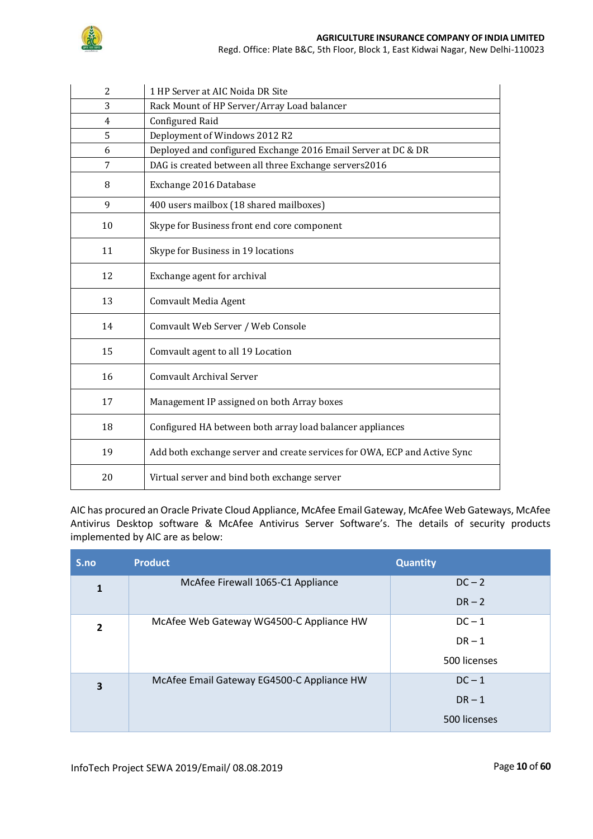

Regd. Office: Plate B&C, 5th Floor, Block 1, East Kidwai Nagar, New Delhi-110023

| $\overline{c}$              | 1 HP Server at AIC Noida DR Site                                          |  |
|-----------------------------|---------------------------------------------------------------------------|--|
| 3                           | Rack Mount of HP Server/Array Load balancer                               |  |
| <b>Configured Raid</b><br>4 |                                                                           |  |
| 5                           | Deployment of Windows 2012 R2                                             |  |
| 6                           | Deployed and configured Exchange 2016 Email Server at DC & DR             |  |
| 7                           | DAG is created between all three Exchange servers2016                     |  |
| 8                           | Exchange 2016 Database                                                    |  |
| 9                           | 400 users mailbox (18 shared mailboxes)                                   |  |
| 10                          | Skype for Business front end core component                               |  |
| 11                          | Skype for Business in 19 locations                                        |  |
| 12                          | Exchange agent for archival                                               |  |
| 13                          | <b>Comvault Media Agent</b>                                               |  |
| 14                          | Comvault Web Server / Web Console                                         |  |
| 15                          | Comvault agent to all 19 Location                                         |  |
| 16                          | Comvault Archival Server                                                  |  |
| 17                          | Management IP assigned on both Array boxes                                |  |
| 18                          | Configured HA between both array load balancer appliances                 |  |
| 19                          | Add both exchange server and create services for OWA, ECP and Active Sync |  |
| 20                          | Virtual server and bind both exchange server                              |  |

AIC has procured an Oracle Private Cloud Appliance, McAfee Email Gateway, McAfee Web Gateways, McAfee Antivirus Desktop software & McAfee Antivirus Server Software's. The details of security products implemented by AIC are as below:

| S.no           | <b>Product</b>                             | <b>Quantity</b> |
|----------------|--------------------------------------------|-----------------|
| 1              | McAfee Firewall 1065-C1 Appliance          | $DC - 2$        |
|                |                                            | $DR - 2$        |
| $\overline{2}$ | McAfee Web Gateway WG4500-C Appliance HW   | $DC-1$          |
|                |                                            | $DR - 1$        |
|                |                                            | 500 licenses    |
| 3              | McAfee Email Gateway EG4500-C Appliance HW | $DC-1$          |
|                |                                            | $DR - 1$        |
|                |                                            | 500 licenses    |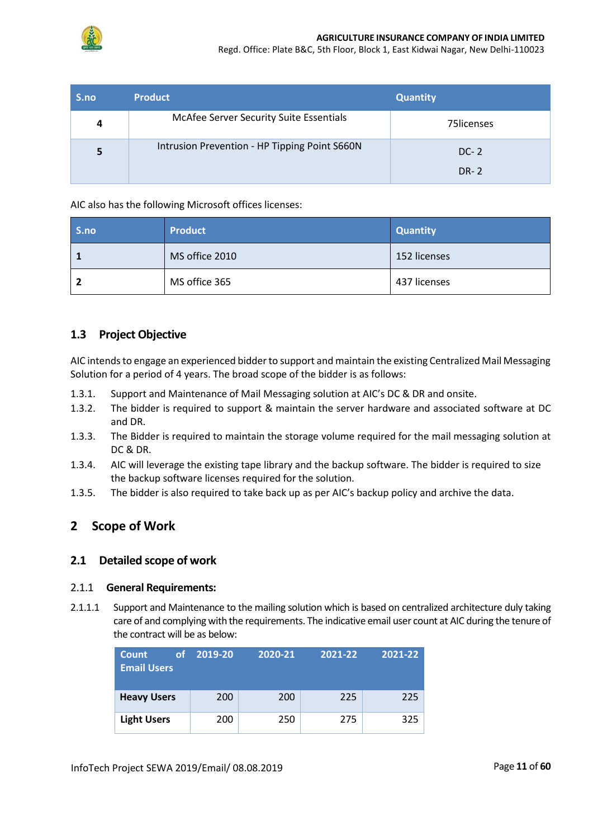

Regd. Office: Plate B&C, 5th Floor, Block 1, East Kidwai Nagar, New Delhi-110023

| S.no | <b>Product</b>                                | <b>Quantity</b>       |
|------|-----------------------------------------------|-----------------------|
| 4    | McAfee Server Security Suite Essentials       | 75licenses            |
| 5    | Intrusion Prevention - HP Tipping Point S660N | $DC-2$<br><b>DR-2</b> |

AIC also has the following Microsoft offices licenses:

| S.no | <b>Product</b> | <b>Quantity</b> |
|------|----------------|-----------------|
|      | MS office 2010 | 152 licenses    |
|      | MS office 365  | 437 licenses    |

## <span id="page-10-0"></span>**1.3 Project Objective**

AIC intends to engage an experienced bidder to support and maintain the existing Centralized Mail Messaging Solution for a period of 4 years. The broad scope of the bidder is as follows:

- 1.3.1. Support and Maintenance of Mail Messaging solution at AIC's DC & DR and onsite.
- 1.3.2. The bidder is required to support & maintain the server hardware and associated software at DC and DR.
- 1.3.3. The Bidder is required to maintain the storage volume required for the mail messaging solution at DC & DR.
- 1.3.4. AIC will leverage the existing tape library and the backup software. The bidder is required to size the backup software licenses required for the solution.
- <span id="page-10-1"></span>1.3.5. The bidder is also required to take back up as per AIC's backup policy and archive the data.

## **2 Scope of Work**

### <span id="page-10-2"></span>**2.1 Detailed scope of work**

#### 2.1.1 **General Requirements:**

2.1.1.1 Support and Maintenance to the mailing solution which is based on centralized architecture duly taking care of and complying with the requirements. The indicative email user count at AIC during the tenure of the contract will be as below:

| <b>Count</b><br><b>of</b><br><b>Email Users</b> | 2019-20 | 2020-21 | 2021-22 | 2021-22 |
|-------------------------------------------------|---------|---------|---------|---------|
| <b>Heavy Users</b>                              | 200     | 200     | 225     | 225     |
| <b>Light Users</b>                              | 200     | 250     | 275     | 325     |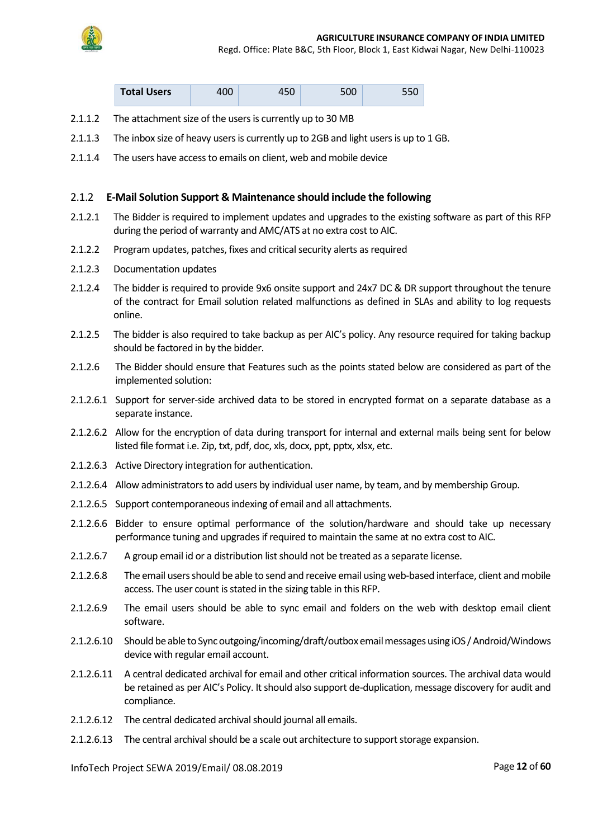

Regd. Office: Plate B&C, 5th Floor, Block 1, East Kidwai Nagar, New Delhi-110023

|  | <b>Total Users</b> | 400 | 450 | 500 |  |
|--|--------------------|-----|-----|-----|--|
|--|--------------------|-----|-----|-----|--|

- 2.1.1.2 The attachment size of the users is currently up to 30 MB
- 2.1.1.3 The inbox size of heavy users is currently up to 2GB and light users is up to 1 GB.
- 2.1.1.4 The users have access to emails on client, web and mobile device

#### 2.1.2 **E-Mail Solution Support & Maintenance should include the following**

- 2.1.2.1 The Bidder is required to implement updates and upgrades to the existing software as part of this RFP during the period of warranty and AMC/ATS at no extra cost to AIC.
- 2.1.2.2 Program updates, patches, fixes and critical security alerts as required
- 2.1.2.3 Documentation updates
- 2.1.2.4 The bidder is required to provide 9x6 onsite support and 24x7 DC & DR support throughout the tenure of the contract for Email solution related malfunctions as defined in SLAs and ability to log requests online.
- 2.1.2.5 The bidder is also required to take backup as per AIC's policy. Any resource required for taking backup should be factored in by the bidder.
- 2.1.2.6 The Bidder should ensure that Features such as the points stated below are considered as part of the implemented solution:
- 2.1.2.6.1 Support for server-side archived data to be stored in encrypted format on a separate database as a separate instance.
- 2.1.2.6.2 Allow for the encryption of data during transport for internal and external mails being sent for below listed file format i.e. Zip, txt, pdf, doc, xls, docx, ppt, pptx, xlsx, etc.
- 2.1.2.6.3 Active Directory integration for authentication.
- 2.1.2.6.4 Allow administrators to add users by individual user name, by team, and by membership Group.
- 2.1.2.6.5 Support contemporaneous indexing of email and all attachments.
- 2.1.2.6.6 Bidder to ensure optimal performance of the solution/hardware and should take up necessary performance tuning and upgrades if required to maintain the same at no extra cost to AIC.
- 2.1.2.6.7 A group email id or a distribution list should not be treated as a separate license.
- 2.1.2.6.8 The email users should be able to send and receive email using web-based interface, client and mobile access. The user count is stated in the sizing table in this RFP.
- 2.1.2.6.9 The email users should be able to sync email and folders on the web with desktop email client software.
- 2.1.2.6.10 Should be able to Sync outgoing/incoming/draft/outbox email messages using iOS /Android/Windows device with regular email account.
- 2.1.2.6.11 A central dedicated archival for email and other critical information sources. The archival data would be retained as per AIC's Policy. It should also support de-duplication, message discovery for audit and compliance.
- 2.1.2.6.12 The central dedicated archival should journal all emails.
- 2.1.2.6.13 The central archival should be a scale out architecture to support storage expansion.

InfoTech Project SEWA 2019/Email/ 08.08.2019 Page **12** of **60**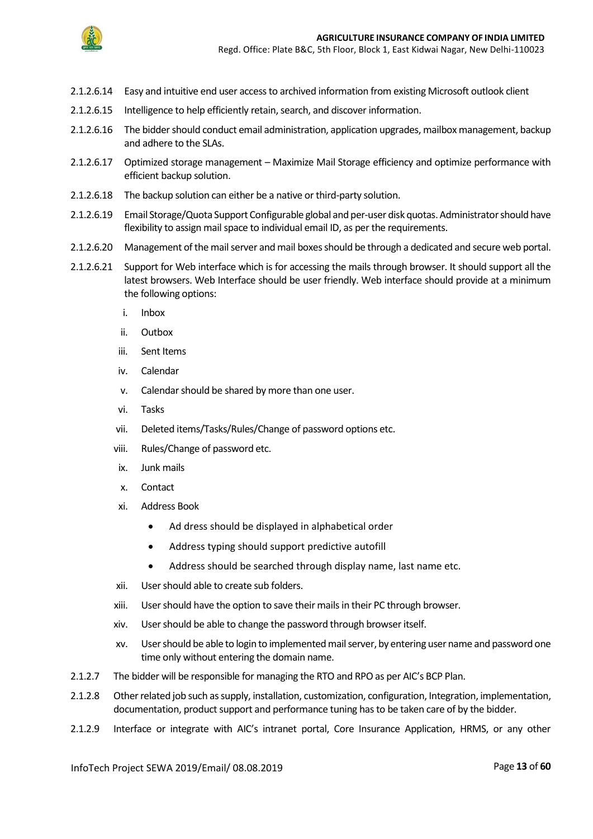

- 2.1.2.6.14 Easy and intuitive end user access to archived information from existing Microsoft outlook client
- 2.1.2.6.15 Intelligence to help efficiently retain, search, and discover information.
- 2.1.2.6.16 The bidder should conduct email administration, application upgrades, mailbox management, backup and adhere to the SLAs.
- 2.1.2.6.17 Optimized storage management Maximize Mail Storage efficiency and optimize performance with efficient backup solution.
- 2.1.2.6.18 The backup solution can either be a native or third-party solution.
- 2.1.2.6.19 Email Storage/Quota Support Configurable global and per-user disk quotas. Administrator should have flexibility to assign mail space to individual email ID, as per the requirements.
- 2.1.2.6.20 Management of the mail server and mail boxes should be through a dedicated and secure web portal.
- 2.1.2.6.21 Support for Web interface which is for accessing the mails through browser. It should support all the latest browsers. Web Interface should be user friendly. Web interface should provide at a minimum the following options:
	- i. Inbox
	- ii. Outbox
	- iii. Sent Items
	- iv. Calendar
	- v. Calendar should be shared by more than one user.
	- vi. Tasks
	- vii. Deleted items/Tasks/Rules/Change of password options etc.
	- viii. Rules/Change of password etc.
	- ix. Junk mails
	- x. Contact
	- xi. Address Book
		- Ad dress should be displayed in alphabetical order
		- Address typing should support predictive autofill
		- Address should be searched through display name, last name etc.
	- xii. User should able to create sub folders.
	- xiii. User should have the option to save their mails in their PC through browser.
	- xiv. User should be able to change the password through browser itself.
	- xv. User should be able to login to implemented mail server, by entering user name and password one time only without entering the domain name.
- 2.1.2.7 The bidder will be responsible for managing the RTO and RPO as per AIC's BCP Plan.
- 2.1.2.8 Other related job such as supply, installation, customization, configuration, Integration, implementation, documentation, product support and performance tuning has to be taken care of by the bidder.
- 2.1.2.9 Interface or integrate with AIC's intranet portal, Core Insurance Application, HRMS, or any other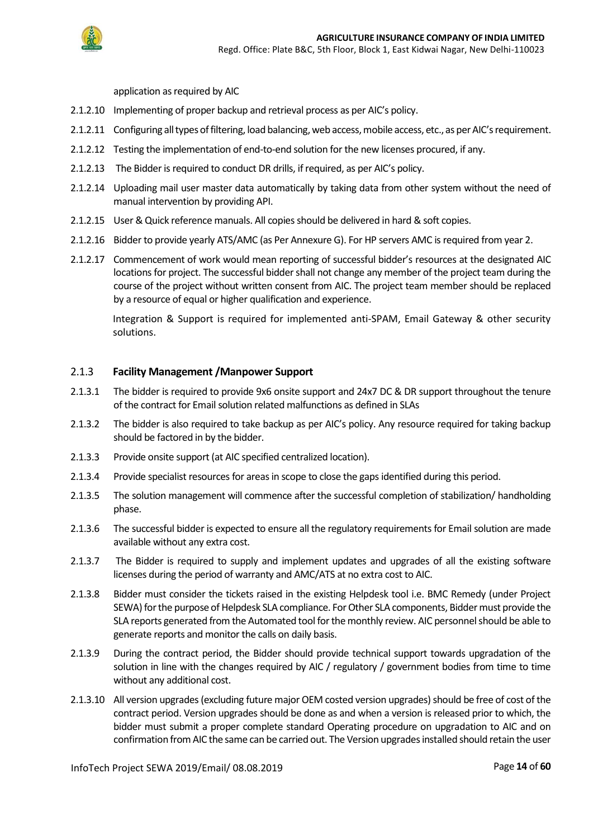

application as required by AIC

- 2.1.2.10 Implementing of proper backup and retrieval process as per AIC's policy.
- 2.1.2.11 Configuring all types of filtering, load balancing, web access, mobile access, etc., as per AIC'srequirement.
- 2.1.2.12 Testing the implementation of end-to-end solution for the new licenses procured, if any.
- 2.1.2.13 The Bidder is required to conduct DR drills, if required, as per AIC's policy.
- 2.1.2.14 Uploading mail user master data automatically by taking data from other system without the need of manual intervention by providing API.
- 2.1.2.15 User & Quick reference manuals. All copies should be delivered in hard & soft copies.
- 2.1.2.16 Bidder to provide yearly ATS/AMC (as Per Annexure G). For HP servers AMC is required from year 2.
- 2.1.2.17 Commencement of work would mean reporting of successful bidder's resources at the designated AIC locations for project. The successful bidder shall not change any member of the project team during the course of the project without written consent from AIC. The project team member should be replaced by a resource of equal or higher qualification and experience.

Integration & Support is required for implemented anti-SPAM, Email Gateway & other security solutions.

#### 2.1.3 **Facility Management /Manpower Support**

- 2.1.3.1 The bidder is required to provide 9x6 onsite support and 24x7 DC & DR support throughout the tenure of the contract for Email solution related malfunctions as defined in SLAs
- 2.1.3.2 The bidder is also required to take backup as per AIC's policy. Any resource required for taking backup should be factored in by the bidder.
- 2.1.3.3 Provide onsite support (at AIC specified centralized location).
- 2.1.3.4 Provide specialist resources for areas in scope to close the gaps identified during this period.
- 2.1.3.5 The solution management will commence after the successful completion of stabilization/ handholding phase.
- 2.1.3.6 The successful bidder is expected to ensure all the regulatory requirements for Email solution are made available without any extra cost.
- 2.1.3.7 The Bidder is required to supply and implement updates and upgrades of all the existing software licenses during the period of warranty and AMC/ATS at no extra cost to AIC.
- 2.1.3.8 Bidder must consider the tickets raised in the existing Helpdesk tool i.e. BMC Remedy (under Project SEWA) for the purpose of Helpdesk SLA compliance. For Other SLA components, Bidder must provide the SLA reports generated from the Automated tool for the monthly review. AIC personnel should be able to generate reports and monitor the calls on daily basis.
- 2.1.3.9 During the contract period, the Bidder should provide technical support towards upgradation of the solution in line with the changes required by AIC / regulatory / government bodies from time to time without any additional cost.
- 2.1.3.10 All version upgrades (excluding future major OEM costed version upgrades) should be free of cost of the contract period. Version upgrades should be done as and when a version is released prior to which, the bidder must submit a proper complete standard Operating procedure on upgradation to AIC and on confirmation from AIC the same can be carried out. The Version upgrades installed should retain the user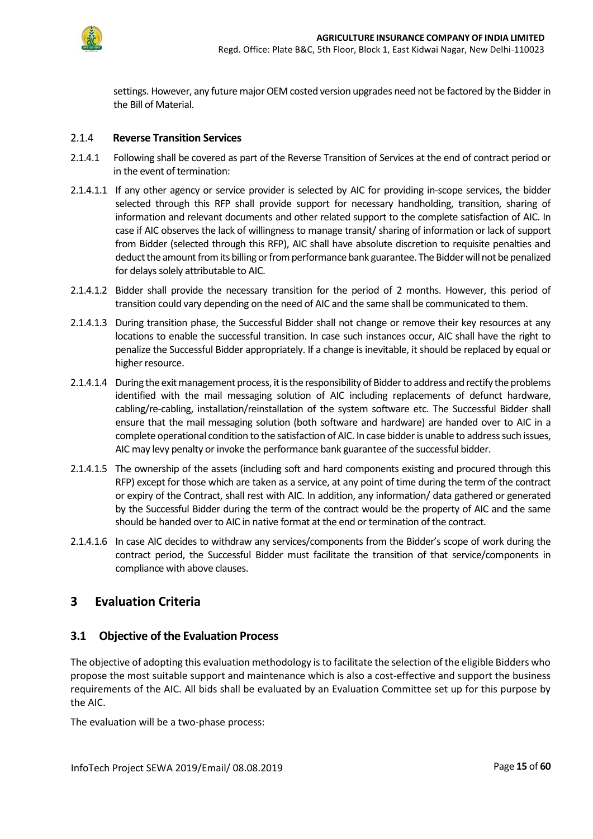

settings. However, any future major OEM costed version upgrades need not be factored by the Bidder in the Bill of Material.

#### 2.1.4 **Reverse Transition Services**

- 2.1.4.1 Following shall be covered as part of the Reverse Transition of Services at the end of contract period or in the event of termination:
- 2.1.4.1.1 If any other agency or service provider is selected by AIC for providing in-scope services, the bidder selected through this RFP shall provide support for necessary handholding, transition, sharing of information and relevant documents and other related support to the complete satisfaction of AIC. In case if AIC observes the lack of willingness to manage transit/ sharing of information or lack of support from Bidder (selected through this RFP), AIC shall have absolute discretion to requisite penalties and deduct the amount from its billing or from performance bank guarantee. The Bidder will not be penalized for delays solely attributable to AIC.
- 2.1.4.1.2 Bidder shall provide the necessary transition for the period of 2 months. However, this period of transition could vary depending on the need of AIC and the same shall be communicated to them.
- 2.1.4.1.3 During transition phase, the Successful Bidder shall not change or remove their key resources at any locations to enable the successful transition. In case such instances occur, AIC shall have the right to penalize the Successful Bidder appropriately. If a change is inevitable, it should be replaced by equal or higher resource.
- 2.1.4.1.4 During the exit management process, it is the responsibility of Bidderto address and rectify the problems identified with the mail messaging solution of AIC including replacements of defunct hardware, cabling/re-cabling, installation/reinstallation of the system software etc. The Successful Bidder shall ensure that the mail messaging solution (both software and hardware) are handed over to AIC in a complete operational condition to the satisfaction of AIC. In case bidderis unable to address such issues, AIC may levy penalty or invoke the performance bank guarantee of the successful bidder.
- 2.1.4.1.5 The ownership of the assets (including soft and hard components existing and procured through this RFP) except for those which are taken as a service, at any point of time during the term of the contract or expiry of the Contract, shall rest with AIC. In addition, any information/ data gathered or generated by the Successful Bidder during the term of the contract would be the property of AIC and the same should be handed over to AIC in native format at the end or termination of the contract.
- 2.1.4.1.6 In case AIC decides to withdraw any services/components from the Bidder's scope of work during the contract period, the Successful Bidder must facilitate the transition of that service/components in compliance with above clauses.

## <span id="page-14-0"></span>**3 Evaluation Criteria**

### <span id="page-14-1"></span>**3.1 Objective of the Evaluation Process**

The objective of adopting this evaluation methodology is to facilitate the selection of the eligible Bidders who propose the most suitable support and maintenance which is also a cost-effective and support the business requirements of the AIC. All bids shall be evaluated by an Evaluation Committee set up for this purpose by the AIC.

The evaluation will be a two-phase process: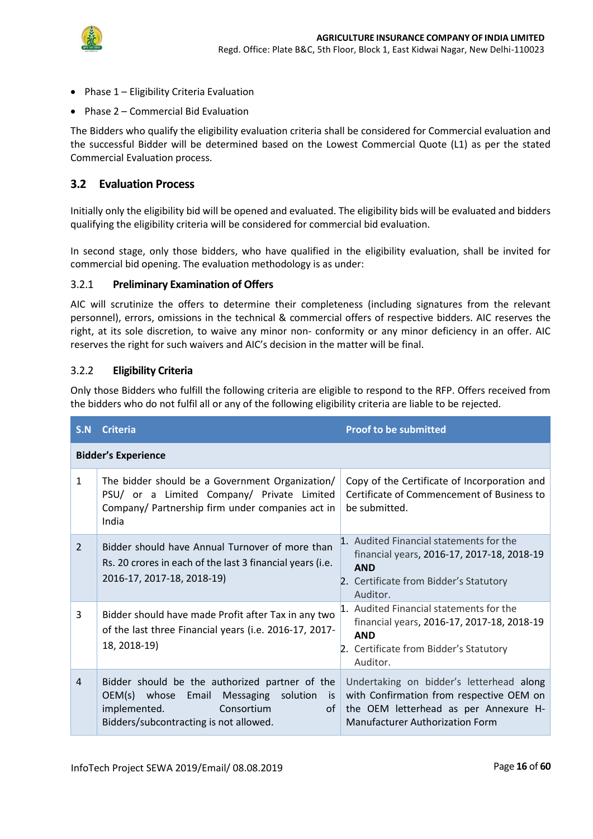

- Phase 1 Eligibility Criteria Evaluation
- Phase 2 Commercial Bid Evaluation

The Bidders who qualify the eligibility evaluation criteria shall be considered for Commercial evaluation and the successful Bidder will be determined based on the Lowest Commercial Quote (L1) as per the stated Commercial Evaluation process.

## <span id="page-15-0"></span>**3.2 Evaluation Process**

Initially only the eligibility bid will be opened and evaluated. The eligibility bids will be evaluated and bidders qualifying the eligibility criteria will be considered for commercial bid evaluation.

In second stage, only those bidders, who have qualified in the eligibility evaluation, shall be invited for commercial bid opening. The evaluation methodology is as under:

### 3.2.1 **Preliminary Examination of Offers**

AIC will scrutinize the offers to determine their completeness (including signatures from the relevant personnel), errors, omissions in the technical & commercial offers of respective bidders. AIC reserves the right, at its sole discretion, to waive any minor non- conformity or any minor deficiency in an offer. AIC reserves the right for such waivers and AIC's decision in the matter will be final.

### 3.2.2 **Eligibility Criteria**

Only those Bidders who fulfill the following criteria are eligible to respond to the RFP. Offers received from the bidders who do not fulfil all or any of the following eligibility criteria are liable to be rejected.

| S.N          | <b>Criteria</b>                                                                                                                                                                      | <b>Proof to be submitted</b>                                                                                                                                            |
|--------------|--------------------------------------------------------------------------------------------------------------------------------------------------------------------------------------|-------------------------------------------------------------------------------------------------------------------------------------------------------------------------|
|              | <b>Bidder's Experience</b>                                                                                                                                                           |                                                                                                                                                                         |
| $\mathbf{1}$ | The bidder should be a Government Organization/<br>PSU/ or a Limited Company/ Private Limited<br>Company/ Partnership firm under companies act in<br>India                           | Copy of the Certificate of Incorporation and<br>Certificate of Commencement of Business to<br>be submitted.                                                             |
| 2            | Bidder should have Annual Turnover of more than<br>Rs. 20 crores in each of the last 3 financial years (i.e.<br>2016-17, 2017-18, 2018-19)                                           | 1. Audited Financial statements for the<br>financial years, 2016-17, 2017-18, 2018-19<br><b>AND</b><br>2. Certificate from Bidder's Statutory<br>Auditor.               |
| 3            | Bidder should have made Profit after Tax in any two<br>of the last three Financial years (i.e. 2016-17, 2017-<br>18, 2018-19)                                                        | 1. Audited Financial statements for the<br>financial years, 2016-17, 2017-18, 2018-19<br><b>AND</b><br>2. Certificate from Bidder's Statutory<br>Auditor.               |
| 4            | Bidder should be the authorized partner of the<br>OEM(s) whose<br>Messaging<br>Email<br>solution<br>is<br>Consortium<br>implemented.<br>of<br>Bidders/subcontracting is not allowed. | Undertaking on bidder's letterhead along<br>with Confirmation from respective OEM on<br>the OEM letterhead as per Annexure H-<br><b>Manufacturer Authorization Form</b> |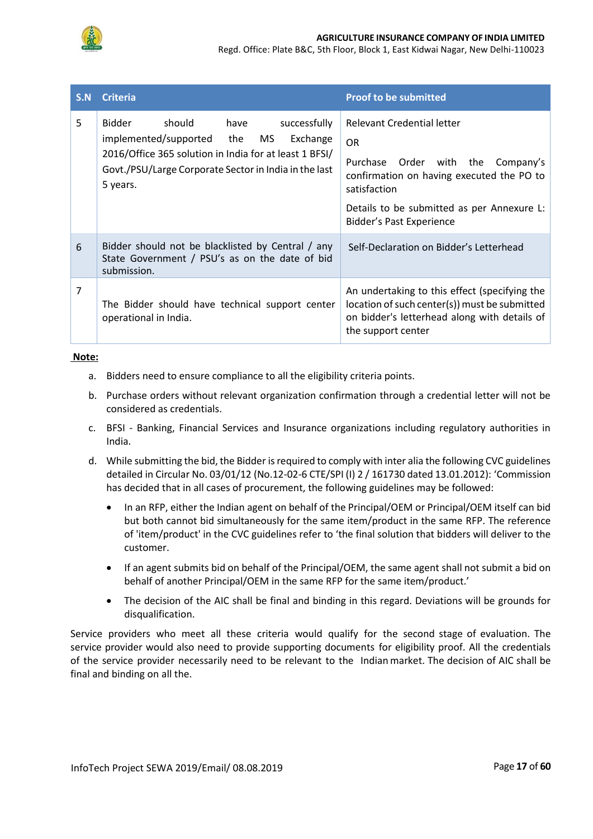

Regd. Office: Plate B&C, 5th Floor, Block 1, East Kidwai Nagar, New Delhi-110023

| S.N | <b>Criteria</b>                                                                                                                                                                                                         | <b>Proof to be submitted</b>                                                                                                                                                                                           |
|-----|-------------------------------------------------------------------------------------------------------------------------------------------------------------------------------------------------------------------------|------------------------------------------------------------------------------------------------------------------------------------------------------------------------------------------------------------------------|
| 5   | should<br>have<br>successfully<br>Bidder<br>implemented/supported the<br>MS.<br>Exchange<br>2016/Office 365 solution in India for at least 1 BFSI/<br>Govt./PSU/Large Corporate Sector in India in the last<br>5 years. | Relevant Credential letter<br><b>OR</b><br>Purchase Order with the<br>Company's<br>confirmation on having executed the PO to<br>satisfaction<br>Details to be submitted as per Annexure L:<br>Bidder's Past Experience |
| 6   | Bidder should not be blacklisted by Central / any<br>State Government / PSU's as on the date of bid<br>submission.                                                                                                      | Self-Declaration on Bidder's Letterhead                                                                                                                                                                                |
| 7   | The Bidder should have technical support center<br>operational in India.                                                                                                                                                | An undertaking to this effect (specifying the<br>location of such center(s)) must be submitted<br>on bidder's letterhead along with details of<br>the support center                                                   |

#### **Note:**

- a. Bidders need to ensure compliance to all the eligibility criteria points.
- b. Purchase orders without relevant organization confirmation through a credential letter will not be considered as credentials.
- c. BFSI Banking, Financial Services and Insurance organizations including regulatory authorities in India.
- d. While submitting the bid, the Bidder is required to comply with inter alia the following CVC guidelines detailed in Circular No. 03/01/12 (No.12-02-6 CTE/SPI (I) 2 / 161730 dated 13.01.2012): 'Commission has decided that in all cases of procurement, the following guidelines may be followed:
	- In an RFP, either the Indian agent on behalf of the Principal/OEM or Principal/OEM itself can bid but both cannot bid simultaneously for the same item/product in the same RFP. The reference of 'item/product' in the CVC guidelines refer to 'the final solution that bidders will deliver to the customer.
	- If an agent submits bid on behalf of the Principal/OEM, the same agent shall not submit a bid on behalf of another Principal/OEM in the same RFP for the same item/product.'
	- The decision of the AIC shall be final and binding in this regard. Deviations will be grounds for disqualification.

Service providers who meet all these criteria would qualify for the second stage of evaluation. The service provider would also need to provide supporting documents for eligibility proof. All the credentials of the service provider necessarily need to be relevant to the Indian market. The decision of AIC shall be final and binding on all the.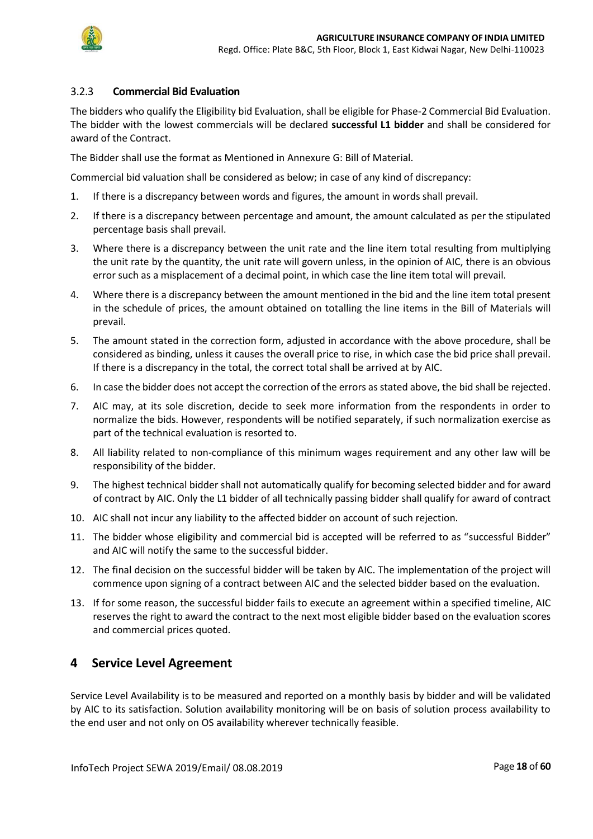

### 3.2.3 **Commercial Bid Evaluation**

The bidders who qualify the Eligibility bid Evaluation, shall be eligible for Phase-2 Commercial Bid Evaluation. The bidder with the lowest commercials will be declared **successful L1 bidder** and shall be considered for award of the Contract.

The Bidder shall use the format as Mentioned in Annexure G: Bill of Material.

Commercial bid valuation shall be considered as below; in case of any kind of discrepancy:

- 1. If there is a discrepancy between words and figures, the amount in words shall prevail.
- 2. If there is a discrepancy between percentage and amount, the amount calculated as per the stipulated percentage basis shall prevail.
- 3. Where there is a discrepancy between the unit rate and the line item total resulting from multiplying the unit rate by the quantity, the unit rate will govern unless, in the opinion of AIC, there is an obvious error such as a misplacement of a decimal point, in which case the line item total will prevail.
- 4. Where there is a discrepancy between the amount mentioned in the bid and the line item total present in the schedule of prices, the amount obtained on totalling the line items in the Bill of Materials will prevail.
- 5. The amount stated in the correction form, adjusted in accordance with the above procedure, shall be considered as binding, unless it causes the overall price to rise, in which case the bid price shall prevail. If there is a discrepancy in the total, the correct total shall be arrived at by AIC.
- 6. In case the bidder does not accept the correction of the errors as stated above, the bid shall be rejected.
- 7. AIC may, at its sole discretion, decide to seek more information from the respondents in order to normalize the bids. However, respondents will be notified separately, if such normalization exercise as part of the technical evaluation is resorted to.
- 8. All liability related to non-compliance of this minimum wages requirement and any other law will be responsibility of the bidder.
- 9. The highest technical bidder shall not automatically qualify for becoming selected bidder and for award of contract by AIC. Only the L1 bidder of all technically passing bidder shall qualify for award of contract
- 10. AIC shall not incur any liability to the affected bidder on account of such rejection.
- 11. The bidder whose eligibility and commercial bid is accepted will be referred to as "successful Bidder" and AIC will notify the same to the successful bidder.
- 12. The final decision on the successful bidder will be taken by AIC. The implementation of the project will commence upon signing of a contract between AIC and the selected bidder based on the evaluation.
- 13. If for some reason, the successful bidder fails to execute an agreement within a specified timeline, AIC reserves the right to award the contract to the next most eligible bidder based on the evaluation scores and commercial prices quoted.

## <span id="page-17-0"></span>**4 Service Level Agreement**

Service Level Availability is to be measured and reported on a monthly basis by bidder and will be validated by AIC to its satisfaction. Solution availability monitoring will be on basis of solution process availability to the end user and not only on OS availability wherever technically feasible.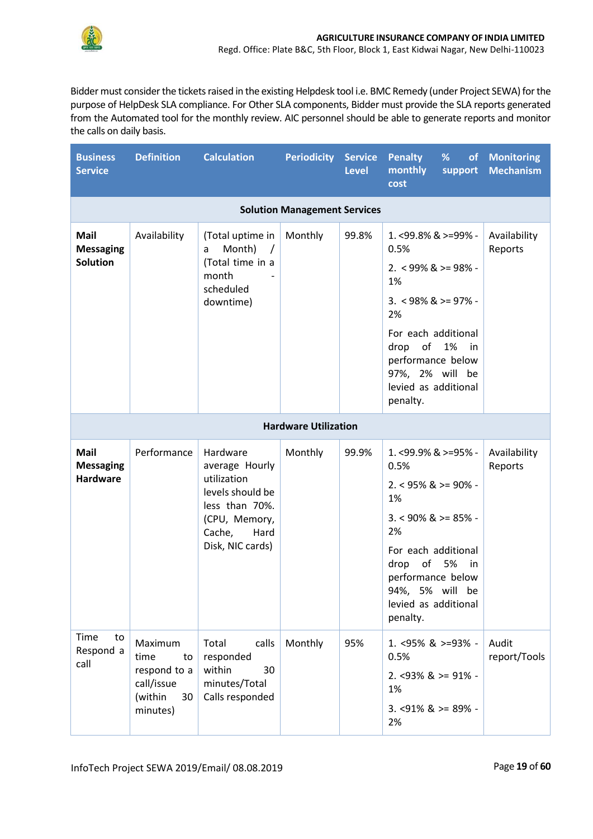

Bidder must consider the tickets raised in the existing Helpdesk tool i.e. BMC Remedy (under Project SEWA) for the purpose of HelpDesk SLA compliance. For Other SLA components, Bidder must provide the SLA reports generated from the Automated tool for the monthly review. AIC personnel should be able to generate reports and monitor the calls on daily basis.

| <b>Business</b><br><b>Service</b>                  | <b>Definition</b>                                                                | <b>Calculation</b>                                                                                                                     | <b>Periodicity Service</b>  | <b>Level</b> | <b>Penalty</b><br>%<br>monthly<br>support<br>cost                                                                                                                                                                              | of Monitoring<br><b>Mechanism</b> |  |  |  |
|----------------------------------------------------|----------------------------------------------------------------------------------|----------------------------------------------------------------------------------------------------------------------------------------|-----------------------------|--------------|--------------------------------------------------------------------------------------------------------------------------------------------------------------------------------------------------------------------------------|-----------------------------------|--|--|--|
|                                                    | <b>Solution Management Services</b>                                              |                                                                                                                                        |                             |              |                                                                                                                                                                                                                                |                                   |  |  |  |
| <b>Mail</b><br><b>Messaging</b><br><b>Solution</b> | Availability                                                                     | (Total uptime in<br>Month)<br>a<br>$\sqrt{ }$<br>(Total time in a<br>month<br>scheduled<br>downtime)                                   | Monthly                     | 99.8%        | $1. < 99.8\%$ & $> = 99\%$ -<br>0.5%<br>$2. < 99\%$ & >= 98% -<br>1%<br>$3. < 98\%$ & >= 97% -<br>2%<br>For each additional<br>of 1%<br>drop<br>in<br>performance below<br>97%, 2% will be<br>levied as additional<br>penalty. | Availability<br>Reports           |  |  |  |
|                                                    |                                                                                  |                                                                                                                                        | <b>Hardware Utilization</b> |              |                                                                                                                                                                                                                                |                                   |  |  |  |
| <b>Mail</b><br><b>Messaging</b><br><b>Hardware</b> | Performance                                                                      | Hardware<br>average Hourly<br>utilization<br>levels should be<br>less than 70%.<br>(CPU, Memory,<br>Cache,<br>Hard<br>Disk, NIC cards) | Monthly                     | 99.9%        | 1. < 99.9% & >= 95% -<br>0.5%<br>$2. < 95\%$ & >= 90% -<br>1%<br>$3. < 90\%$ & >= 85% -<br>2%<br>For each additional<br>of 5%<br>drop<br>in<br>performance below<br>94%, 5% will be<br>levied as additional<br>penalty.        | Availability<br>Reports           |  |  |  |
| Time<br>to<br>Respond a<br>call                    | Maximum<br>time<br>to<br>respond to a<br>call/issue<br>(within<br>30<br>minutes) | calls<br>Total<br>responded<br>within<br>30<br>minutes/Total<br>Calls responded                                                        | Monthly                     | 95%          | 1. <95% & >=93% -<br>0.5%<br>$2. < 93\%$ & >= 91% -<br>1%<br>$3. < 91\%$ & >= 89% -<br>2%                                                                                                                                      | Audit<br>report/Tools             |  |  |  |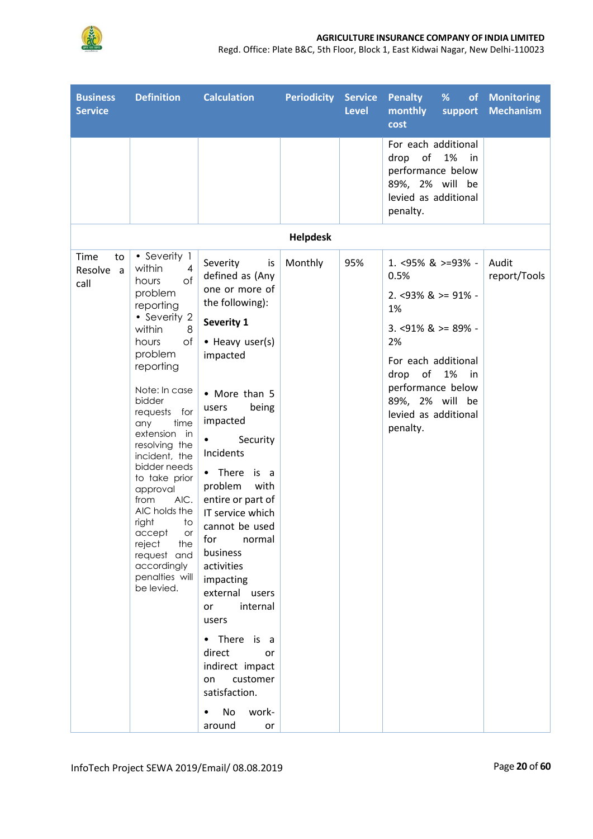

Regd. Office: Plate B&C, 5th Floor, Block 1, East Kidwai Nagar, New Delhi-110023

| <b>Business</b><br><b>Service</b> | <b>Definition</b>                                                                                                                                                                                                                                                                                                                                                                                                                                             | <b>Calculation</b>                                                                                                                                                                                                                                                                                                                                                                                                                                                                                                                            | <b>Periodicity Service</b> | <b>Level</b> | <b>Penalty</b><br>$\frac{9}{6}$<br>monthly<br>support<br>cost                                                                                                                                                         | of Monitoring<br><b>Mechanism</b> |
|-----------------------------------|---------------------------------------------------------------------------------------------------------------------------------------------------------------------------------------------------------------------------------------------------------------------------------------------------------------------------------------------------------------------------------------------------------------------------------------------------------------|-----------------------------------------------------------------------------------------------------------------------------------------------------------------------------------------------------------------------------------------------------------------------------------------------------------------------------------------------------------------------------------------------------------------------------------------------------------------------------------------------------------------------------------------------|----------------------------|--------------|-----------------------------------------------------------------------------------------------------------------------------------------------------------------------------------------------------------------------|-----------------------------------|
|                                   |                                                                                                                                                                                                                                                                                                                                                                                                                                                               |                                                                                                                                                                                                                                                                                                                                                                                                                                                                                                                                               |                            |              | For each additional<br>drop<br>of<br>1%<br>in<br>performance below<br>89%, 2% will be<br>levied as additional<br>penalty.                                                                                             |                                   |
|                                   |                                                                                                                                                                                                                                                                                                                                                                                                                                                               |                                                                                                                                                                                                                                                                                                                                                                                                                                                                                                                                               | <b>Helpdesk</b>            |              |                                                                                                                                                                                                                       |                                   |
| Time<br>to<br>Resolve a<br>call   | • Severity 1<br>within<br>$\overline{4}$<br>of<br>hours<br>problem<br>reporting<br>• Severity 2<br>within<br>8<br>of<br>hours<br>problem<br>reporting<br>Note: In case<br>bidder<br>requests for<br>any<br>time<br>extension in<br>resolving the<br>incident, the<br>bidder needs<br>to take prior<br>approval<br>from<br>AIC.<br>AIC holds the<br>right<br>to<br>accept<br>or<br>reject<br>the<br>request and<br>accordingly<br>penalties will<br>be levied. | Severity<br>is<br>defined as (Any<br>one or more of<br>the following):<br>Severity 1<br>• Heavy user(s)<br>impacted<br>• More than 5<br>being<br>users<br>impacted<br>Security<br>$\bullet$<br>Incidents<br>• There is a<br>problem<br>with<br>entire or part of<br>IT service which<br>cannot be used<br>normal<br>for<br>business<br>activities<br>impacting<br>external users<br>internal<br>or<br>users<br>• There is a<br>direct<br>or<br>indirect impact<br>customer<br>on<br>satisfaction.<br>No<br>work-<br>$\bullet$<br>around<br>or | Monthly                    | 95%          | 1. <95% & >=93% -<br>0.5%<br>$2. <93\%$ & $>= 91\%$ -<br>1%<br>$3. < 91\%$ & >= 89% -<br>2%<br>For each additional<br>drop<br>of<br>1% in<br>performance below<br>89%, 2% will be<br>levied as additional<br>penalty. | Audit<br>report/Tools             |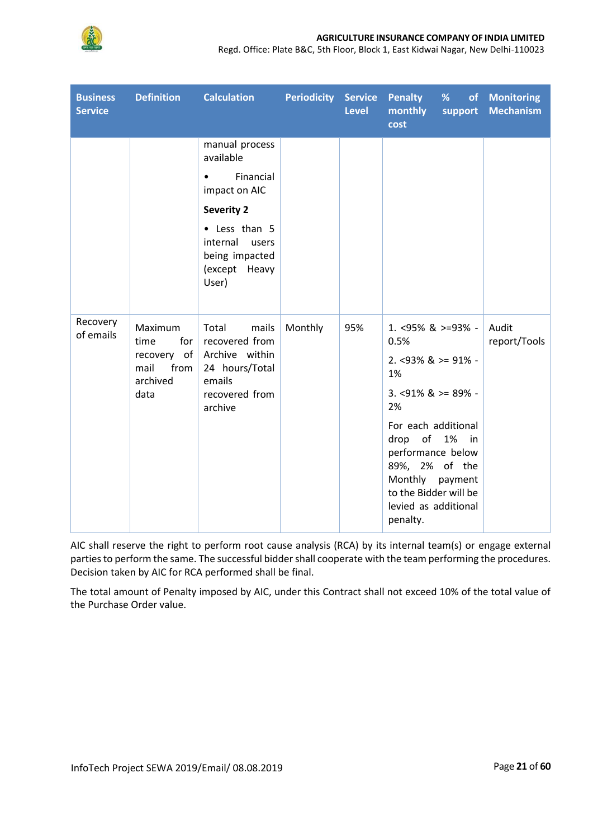

Regd. Office: Plate B&C, 5th Floor, Block 1, East Kidwai Nagar, New Delhi-110023

| <b>Business</b><br><b>Service</b> | <b>Definition</b>                                                         | <b>Calculation</b>                                                                                                                                                            | <b>Periodicity Service</b> | <b>Level</b> | <b>Penalty</b><br>monthly<br>cost                                                                                                                                                                                                                              | $\frac{9}{6}$<br>support | of Monitoring<br><b>Mechanism</b> |
|-----------------------------------|---------------------------------------------------------------------------|-------------------------------------------------------------------------------------------------------------------------------------------------------------------------------|----------------------------|--------------|----------------------------------------------------------------------------------------------------------------------------------------------------------------------------------------------------------------------------------------------------------------|--------------------------|-----------------------------------|
|                                   |                                                                           | manual process<br>available<br>Financial<br>$\bullet$<br>impact on AIC<br><b>Severity 2</b><br>• Less than 5<br>internal<br>users<br>being impacted<br>(except Heavy<br>User) |                            |              |                                                                                                                                                                                                                                                                |                          |                                   |
| Recovery<br>of emails             | Maximum<br>for<br>time<br>recovery of<br>mail<br>from<br>archived<br>data | Total<br>mails<br>recovered from<br>Archive within<br>24 hours/Total<br>emails<br>recovered from<br>archive                                                                   | Monthly                    | 95%          | 1. $<95\%$ & $>=93\%$ -<br>0.5%<br>$2. < 93\%$ & >= 91% -<br>1%<br>$3. < 91\%$ & >= 89% -<br>2%<br>For each additional<br>drop of 1% in<br>performance below<br>89%, 2% of the<br>Monthly payment<br>to the Bidder will be<br>levied as additional<br>penalty. |                          | Audit<br>report/Tools             |

AIC shall reserve the right to perform root cause analysis (RCA) by its internal team(s) or engage external parties to perform the same. The successful bidder shall cooperate with the team performing the procedures. Decision taken by AIC for RCA performed shall be final.

The total amount of Penalty imposed by AIC, under this Contract shall not exceed 10% of the total value of the Purchase Order value.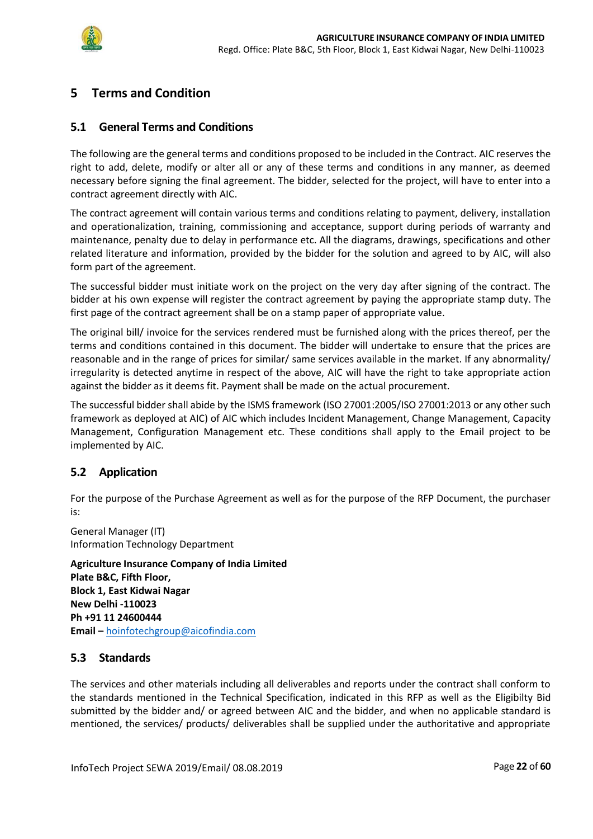

## <span id="page-21-0"></span>**5 Terms and Condition**

#### <span id="page-21-1"></span>**5.1 General Terms and Conditions**

The following are the general terms and conditions proposed to be included in the Contract. AIC reserves the right to add, delete, modify or alter all or any of these terms and conditions in any manner, as deemed necessary before signing the final agreement. The bidder, selected for the project, will have to enter into a contract agreement directly with AIC.

The contract agreement will contain various terms and conditions relating to payment, delivery, installation and operationalization, training, commissioning and acceptance, support during periods of warranty and maintenance, penalty due to delay in performance etc. All the diagrams, drawings, specifications and other related literature and information, provided by the bidder for the solution and agreed to by AIC, will also form part of the agreement.

The successful bidder must initiate work on the project on the very day after signing of the contract. The bidder at his own expense will register the contract agreement by paying the appropriate stamp duty. The first page of the contract agreement shall be on a stamp paper of appropriate value.

The original bill/ invoice for the services rendered must be furnished along with the prices thereof, per the terms and conditions contained in this document. The bidder will undertake to ensure that the prices are reasonable and in the range of prices for similar/ same services available in the market. If any abnormality/ irregularity is detected anytime in respect of the above, AIC will have the right to take appropriate action against the bidder as it deems fit. Payment shall be made on the actual procurement.

The successful bidder shall abide by the ISMS framework (ISO 27001:2005/ISO 27001:2013 or any other such framework as deployed at AIC) of AIC which includes Incident Management, Change Management, Capacity Management, Configuration Management etc. These conditions shall apply to the Email project to be implemented by AIC.

### <span id="page-21-2"></span>**5.2 Application**

For the purpose of the Purchase Agreement as well as for the purpose of the RFP Document, the purchaser is:

General Manager (IT) Information Technology Department

**Agriculture Insurance Company of India Limited Plate B&C, Fifth Floor, Block 1, East Kidwai Nagar New Delhi -110023 Ph +91 11 24600444 Email –** hoinfotechgroup@aicofindia.com

### <span id="page-21-3"></span>**5.3 Standards**

The services and other materials including all deliverables and reports under the contract shall conform to the standards mentioned in the Technical Specification, indicated in this RFP as well as the Eligibilty Bid submitted by the bidder and/ or agreed between AIC and the bidder, and when no applicable standard is mentioned, the services/ products/ deliverables shall be supplied under the authoritative and appropriate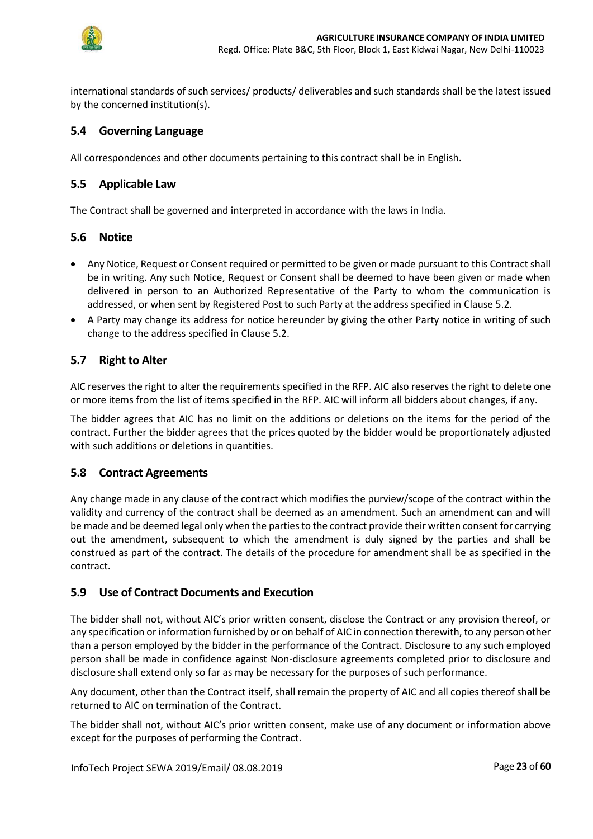

international standards of such services/ products/ deliverables and such standards shall be the latest issued by the concerned institution(s).

### <span id="page-22-0"></span>**5.4 Governing Language**

All correspondences and other documents pertaining to this contract shall be in English.

### <span id="page-22-1"></span>**5.5 Applicable Law**

The Contract shall be governed and interpreted in accordance with the laws in India.

### <span id="page-22-2"></span>**5.6 Notice**

- Any Notice, Request or Consent required or permitted to be given or made pursuant to this Contract shall be in writing. Any such Notice, Request or Consent shall be deemed to have been given or made when delivered in person to an Authorized Representative of the Party to whom the communication is addressed, or when sent by Registered Post to such Party at the address specified in Clause 5.2.
- A Party may change its address for notice hereunder by giving the other Party notice in writing of such change to the address specified in Clause 5.2.

### <span id="page-22-3"></span>**5.7 Right to Alter**

AIC reserves the right to alter the requirements specified in the RFP. AIC also reserves the right to delete one or more items from the list of items specified in the RFP. AIC will inform all bidders about changes, if any.

The bidder agrees that AIC has no limit on the additions or deletions on the items for the period of the contract. Further the bidder agrees that the prices quoted by the bidder would be proportionately adjusted with such additions or deletions in quantities.

### <span id="page-22-4"></span>**5.8 Contract Agreements**

Any change made in any clause of the contract which modifies the purview/scope of the contract within the validity and currency of the contract shall be deemed as an amendment. Such an amendment can and will be made and be deemed legal only when the parties to the contract provide their written consent for carrying out the amendment, subsequent to which the amendment is duly signed by the parties and shall be construed as part of the contract. The details of the procedure for amendment shall be as specified in the contract.

### <span id="page-22-5"></span>**5.9 Use of Contract Documents and Execution**

The bidder shall not, without AIC's prior written consent, disclose the Contract or any provision thereof, or any specification or information furnished by or on behalf of AIC in connection therewith, to any person other than a person employed by the bidder in the performance of the Contract. Disclosure to any such employed person shall be made in confidence against Non-disclosure agreements completed prior to disclosure and disclosure shall extend only so far as may be necessary for the purposes of such performance.

Any document, other than the Contract itself, shall remain the property of AIC and all copies thereof shall be returned to AIC on termination of the Contract.

The bidder shall not, without AIC's prior written consent, make use of any document or information above except for the purposes of performing the Contract.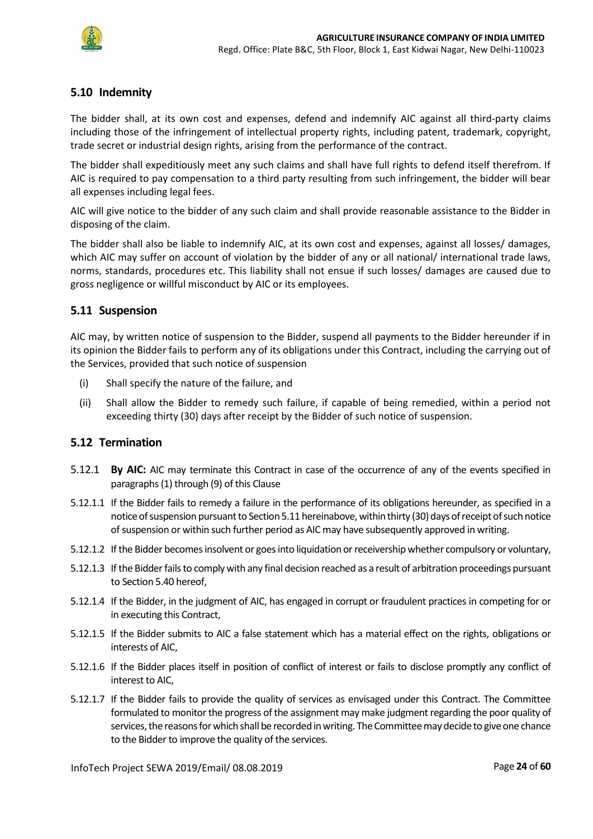

### <span id="page-23-0"></span>**5.10 Indemnity**

The bidder shall, at its own cost and expenses, defend and indemnify AIC against all third-party claims including those of the infringement of intellectual property rights, including patent, trademark, copyright, trade secret or industrial design rights, arising from the performance of the contract.

The bidder shall expeditiously meet any such claims and shall have full rights to defend itself therefrom. If AIC is required to pay compensation to a third party resulting from such infringement, the bidder will bear all expenses including legal fees.

AIC will give notice to the bidder of any such claim and shall provide reasonable assistance to the Bidder in disposing of the claim.

The bidder shall also be liable to indemnify AIC, at its own cost and expenses, against all losses/ damages, which AIC may suffer on account of violation by the bidder of any or all national/ international trade laws, norms, standards, procedures etc. This liability shall not ensue if such losses/ damages are caused due to gross negligence or willful misconduct by AIC or its employees.

### <span id="page-23-1"></span>**5.11 Suspension**

AIC may, by written notice of suspension to the Bidder, suspend all payments to the Bidder hereunder if in its opinion the Bidder fails to perform any of its obligations under this Contract, including the carrying out of the Services, provided that such notice of suspension

- (i) Shall specify the nature of the failure, and
- (ii) Shall allow the Bidder to remedy such failure, if capable of being remedied, within a period not exceeding thirty (30) days after receipt by the Bidder of such notice of suspension.

### <span id="page-23-2"></span>**5.12 Termination**

- 5.12.1 **By AIC:** AIC may terminate this Contract in case of the occurrence of any of the events specified in paragraphs (1) through (9) of this Clause
- 5.12.1.1 If the Bidder fails to remedy a failure in the performance of its obligations hereunder, as specified in a notice of suspension pursuant to Section 5.11 hereinabove, within thirty (30) days of receipt of such notice of suspension or within such further period as AIC may have subsequently approved in writing.
- 5.12.1.2 If the Bidder becomes insolvent or goes into liquidation or receivership whether compulsory or voluntary,
- 5.12.1.3 If the Bidder fails to comply with any final decision reached as a result of arbitration proceedings pursuant to Section 5.40 hereof,
- 5.12.1.4 If the Bidder, in the judgment of AIC, has engaged in corrupt or fraudulent practices in competing for or in executing this Contract,
- 5.12.1.5 If the Bidder submits to AIC a false statement which has a material effect on the rights, obligations or interests of AIC,
- 5.12.1.6 If the Bidder places itself in position of conflict of interest or fails to disclose promptly any conflict of interest to AIC,
- 5.12.1.7 If the Bidder fails to provide the quality of services as envisaged under this Contract. The Committee formulated to monitor the progress of the assignment may make judgment regarding the poor quality of services, the reasons for which shall be recorded in writing. The Committee may decide to give one chance to the Bidder to improve the quality of the services.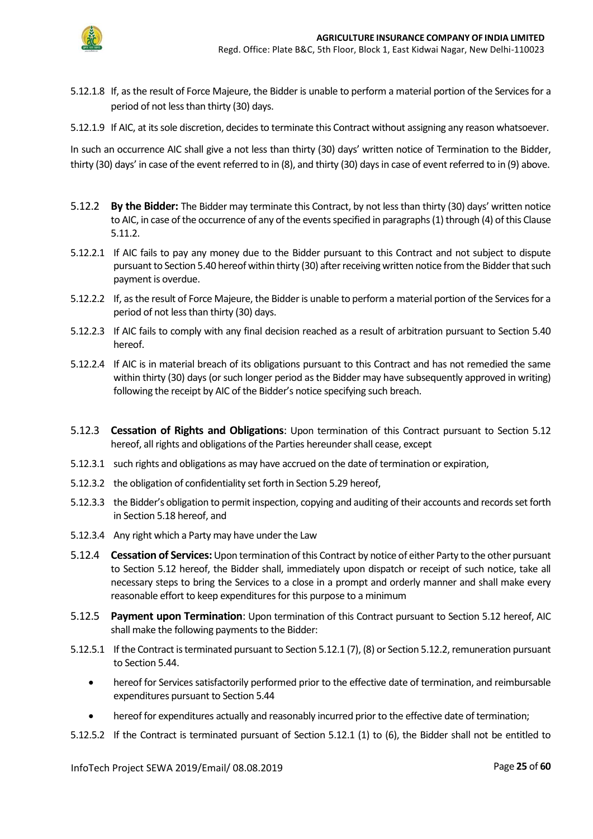

- 5.12.1.8 If, as the result of Force Majeure, the Bidder is unable to perform a material portion of the Services for a period of not less than thirty (30) days.
- 5.12.1.9 If AIC, at its sole discretion, decides to terminate this Contract without assigning any reason whatsoever.

In such an occurrence AIC shall give a not less than thirty (30) days' written notice of Termination to the Bidder, thirty (30) days' in case of the event referred to in (8), and thirty (30) days in case of event referred to in (9) above.

- 5.12.2 **By the Bidder:** The Bidder may terminate this Contract, by not less than thirty (30) days' written notice to AIC, in case of the occurrence of any of the events specified in paragraphs (1) through (4) of this Clause 5.11.2.
- 5.12.2.1 If AIC fails to pay any money due to the Bidder pursuant to this Contract and not subject to dispute pursuant to Section 5.40 hereof within thirty (30) after receiving written notice from the Bidder that such payment is overdue.
- 5.12.2.2 If, as the result of Force Majeure, the Bidderis unable to perform a material portion of the Services for a period of not less than thirty (30) days.
- 5.12.2.3 If AIC fails to comply with any final decision reached as a result of arbitration pursuant to Section 5.40 hereof.
- 5.12.2.4 If AIC is in material breach of its obligations pursuant to this Contract and has not remedied the same within thirty (30) days (or such longer period as the Bidder may have subsequently approved in writing) following the receipt by AIC of the Bidder's notice specifying such breach.
- 5.12.3 **Cessation of Rights and Obligations**: Upon termination of this Contract pursuant to Section 5.12 hereof, all rights and obligations of the Parties hereunder shall cease, except
- 5.12.3.1 such rights and obligations as may have accrued on the date of termination or expiration,
- 5.12.3.2 the obligation of confidentiality set forth in Section 5.29 hereof,
- 5.12.3.3 the Bidder's obligation to permit inspection, copying and auditing of their accounts and records set forth in Section 5.18 hereof, and
- 5.12.3.4 Any right which a Party may have under the Law
- 5.12.4 **Cessation of Services:**Upon termination of this Contract by notice of either Party to the other pursuant to Section 5.12 hereof, the Bidder shall, immediately upon dispatch or receipt of such notice, take all necessary steps to bring the Services to a close in a prompt and orderly manner and shall make every reasonable effort to keep expenditures for this purpose to a minimum
- 5.12.5 **Payment upon Termination**: Upon termination of this Contract pursuant to Section 5.12 hereof, AIC shall make the following payments to the Bidder:
- 5.12.5.1 If the Contract is terminated pursuant to Section 5.12.1 (7), (8) or Section 5.12.2, remuneration pursuant to Section 5.44.
	- hereof for Services satisfactorily performed prior to the effective date of termination, and reimbursable expenditures pursuant to Section 5.44
	- hereof for expenditures actually and reasonably incurred prior to the effective date of termination;
- 5.12.5.2 If the Contract is terminated pursuant of Section 5.12.1 (1) to (6), the Bidder shall not be entitled to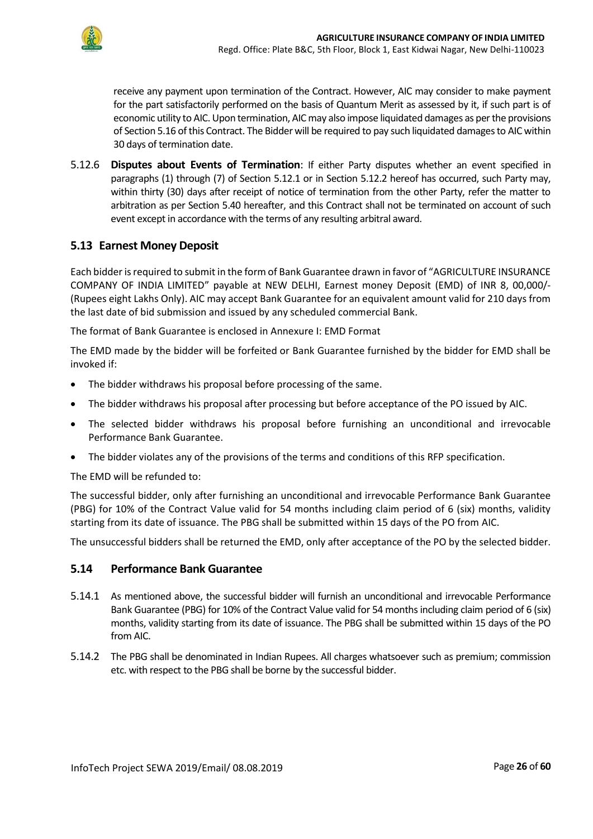

receive any payment upon termination of the Contract. However, AIC may consider to make payment for the part satisfactorily performed on the basis of Quantum Merit as assessed by it, if such part is of economic utility to AIC. Upon termination, AICmay also impose liquidated damages as per the provisions of Section 5.16 of this Contract. The Bidder will be required to pay such liquidated damages to AIC within 30 days of termination date.

5.12.6 **Disputes about Events of Termination**: If either Party disputes whether an event specified in paragraphs (1) through (7) of Section 5.12.1 or in Section 5.12.2 hereof has occurred, such Party may, within thirty (30) days after receipt of notice of termination from the other Party, refer the matter to arbitration as per Section 5.40 hereafter, and this Contract shall not be terminated on account of such event except in accordance with the terms of any resulting arbitral award.

### <span id="page-25-0"></span>**5.13 Earnest Money Deposit**

Each bidder is required to submit in the form of Bank Guarantee drawn in favor of "AGRICULTURE INSURANCE COMPANY OF INDIA LIMITED" payable at NEW DELHI, Earnest money Deposit (EMD) of INR 8, 00,000/- (Rupees eight Lakhs Only). AIC may accept Bank Guarantee for an equivalent amount valid for 210 days from the last date of bid submission and issued by any scheduled commercial Bank.

The format of Bank Guarantee is enclosed in Annexure I: EMD Format

The EMD made by the bidder will be forfeited or Bank Guarantee furnished by the bidder for EMD shall be invoked if:

- The bidder withdraws his proposal before processing of the same.
- The bidder withdraws his proposal after processing but before acceptance of the PO issued by AIC.
- The selected bidder withdraws his proposal before furnishing an unconditional and irrevocable Performance Bank Guarantee.
- The bidder violates any of the provisions of the terms and conditions of this RFP specification.

The EMD will be refunded to:

The successful bidder, only after furnishing an unconditional and irrevocable Performance Bank Guarantee (PBG) for 10% of the Contract Value valid for 54 months including claim period of 6 (six) months, validity starting from its date of issuance. The PBG shall be submitted within 15 days of the PO from AIC.

The unsuccessful bidders shall be returned the EMD, only after acceptance of the PO by the selected bidder.

### <span id="page-25-1"></span>**5.14 Performance Bank Guarantee**

- 5.14.1 As mentioned above, the successful bidder will furnish an unconditional and irrevocable Performance Bank Guarantee (PBG) for 10% of the Contract Value valid for 54 months including claim period of 6 (six) months, validity starting from its date of issuance. The PBG shall be submitted within 15 days of the PO from AIC.
- 5.14.2 The PBG shall be denominated in Indian Rupees. All charges whatsoever such as premium; commission etc. with respect to the PBG shall be borne by the successful bidder.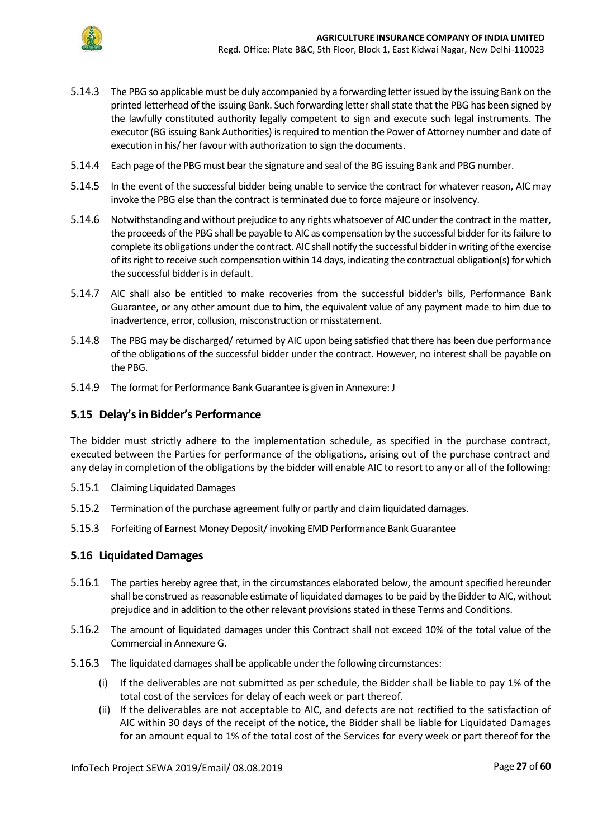

- 5.14.3 The PBG so applicable must be duly accompanied by a forwarding letter issued by the issuing Bank on the printed letterhead of the issuing Bank. Such forwarding letter shall state that the PBG has been signed by the lawfully constituted authority legally competent to sign and execute such legal instruments. The executor (BG issuing Bank Authorities) is required to mention the Power of Attorney number and date of execution in his/ her favour with authorization to sign the documents.
- 5.14.4 Each page of the PBG must bear the signature and seal of the BG issuing Bank and PBG number.
- 5.14.5 In the event of the successful bidder being unable to service the contract for whatever reason, AIC may invoke the PBG else than the contract is terminated due to force majeure or insolvency.
- 5.14.6 Notwithstanding and without prejudice to any rights whatsoever of AIC under the contract in the matter, the proceeds of the PBG shall be payable to AIC as compensation by the successful bidder for its failure to complete its obligations under the contract. AIC shall notify the successful bidder in writing of the exercise of its right to receive such compensation within 14 days, indicating the contractual obligation(s) for which the successful bidder is in default.
- 5.14.7 AIC shall also be entitled to make recoveries from the successful bidder's bills, Performance Bank Guarantee, or any other amount due to him, the equivalent value of any payment made to him due to inadvertence, error, collusion, misconstruction or misstatement.
- 5.14.8 The PBG may be discharged/ returned by AIC upon being satisfied that there has been due performance of the obligations of the successful bidder under the contract. However, no interest shall be payable on the PBG.
- 5.14.9 The format for Performance Bank Guarantee is given in Annexure: J

### <span id="page-26-0"></span>**5.15 Delay's in Bidder's Performance**

The bidder must strictly adhere to the implementation schedule, as specified in the purchase contract, executed between the Parties for performance of the obligations, arising out of the purchase contract and any delay in completion of the obligations by the bidder will enable AIC to resort to any or all of the following:

- 5.15.1 Claiming Liquidated Damages
- 5.15.2 Termination of the purchase agreement fully or partly and claim liquidated damages.
- 5.15.3 Forfeiting of Earnest Money Deposit/ invoking EMD Performance Bank Guarantee

### <span id="page-26-1"></span>**5.16 Liquidated Damages**

- 5.16.1 The parties hereby agree that, in the circumstances elaborated below, the amount specified hereunder shall be construed as reasonable estimate of liquidated damages to be paid by the Bidder to AIC, without prejudice and in addition to the other relevant provisions stated in these Terms and Conditions.
- 5.16.2 The amount of liquidated damages under this Contract shall not exceed 10% of the total value of the Commercial in Annexure G.
- 5.16.3 The liquidated damages shall be applicable under the following circumstances:
	- (i) If the deliverables are not submitted as per schedule, the Bidder shall be liable to pay 1% of the total cost of the services for delay of each week or part thereof.
	- (ii) If the deliverables are not acceptable to AIC, and defects are not rectified to the satisfaction of AIC within 30 days of the receipt of the notice, the Bidder shall be liable for Liquidated Damages for an amount equal to 1% of the total cost of the Services for every week or part thereof for the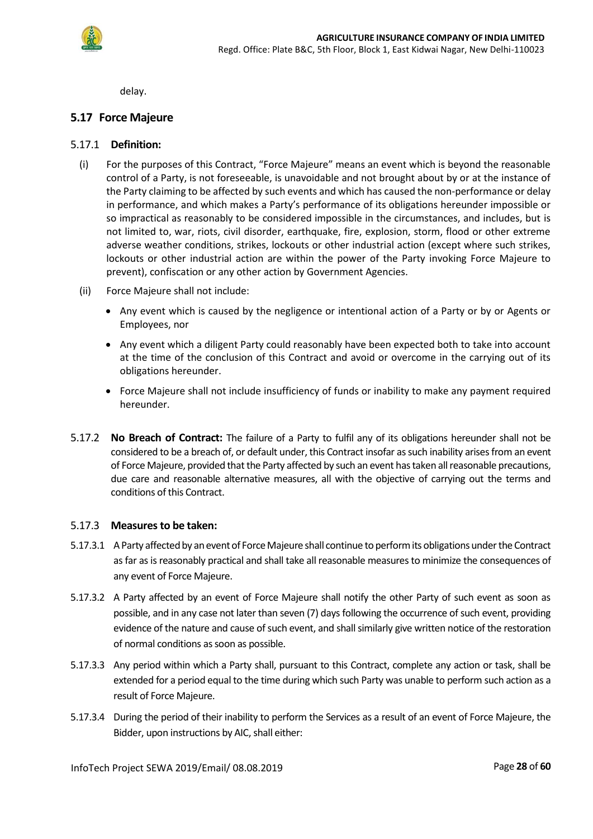

delay.

### <span id="page-27-0"></span>**5.17 Force Majeure**

#### 5.17.1 **Definition:**

- (i) For the purposes of this Contract, "Force Majeure" means an event which is beyond the reasonable control of a Party, is not foreseeable, is unavoidable and not brought about by or at the instance of the Party claiming to be affected by such events and which has caused the non-performance or delay in performance, and which makes a Party's performance of its obligations hereunder impossible or so impractical as reasonably to be considered impossible in the circumstances, and includes, but is not limited to, war, riots, civil disorder, earthquake, fire, explosion, storm, flood or other extreme adverse weather conditions, strikes, lockouts or other industrial action (except where such strikes, lockouts or other industrial action are within the power of the Party invoking Force Majeure to prevent), confiscation or any other action by Government Agencies.
- (ii) Force Majeure shall not include:
	- Any event which is caused by the negligence or intentional action of a Party or by or Agents or Employees, nor
	- Any event which a diligent Party could reasonably have been expected both to take into account at the time of the conclusion of this Contract and avoid or overcome in the carrying out of its obligations hereunder.
	- Force Majeure shall not include insufficiency of funds or inability to make any payment required hereunder.
- 5.17.2 **No Breach of Contract:** The failure of a Party to fulfil any of its obligations hereunder shall not be considered to be a breach of, or default under, this Contract insofar as such inability arises from an event of Force Majeure, provided that the Party affected by such an event has taken all reasonable precautions, due care and reasonable alternative measures, all with the objective of carrying out the terms and conditions of this Contract.

#### 5.17.3 **Measures to be taken:**

- 5.17.3.1 A Party affected by an event of Force Majeure shall continue to perform its obligations under the Contract as far as is reasonably practical and shall take all reasonable measures to minimize the consequences of any event of Force Majeure.
- 5.17.3.2 A Party affected by an event of Force Majeure shall notify the other Party of such event as soon as possible, and in any case not later than seven (7) days following the occurrence of such event, providing evidence of the nature and cause of such event, and shall similarly give written notice of the restoration of normal conditions as soon as possible.
- 5.17.3.3 Any period within which a Party shall, pursuant to this Contract, complete any action or task, shall be extended for a period equal to the time during which such Party was unable to perform such action as a result of Force Majeure.
- 5.17.3.4 During the period of their inability to perform the Services as a result of an event of Force Majeure, the Bidder, upon instructions by AIC, shall either: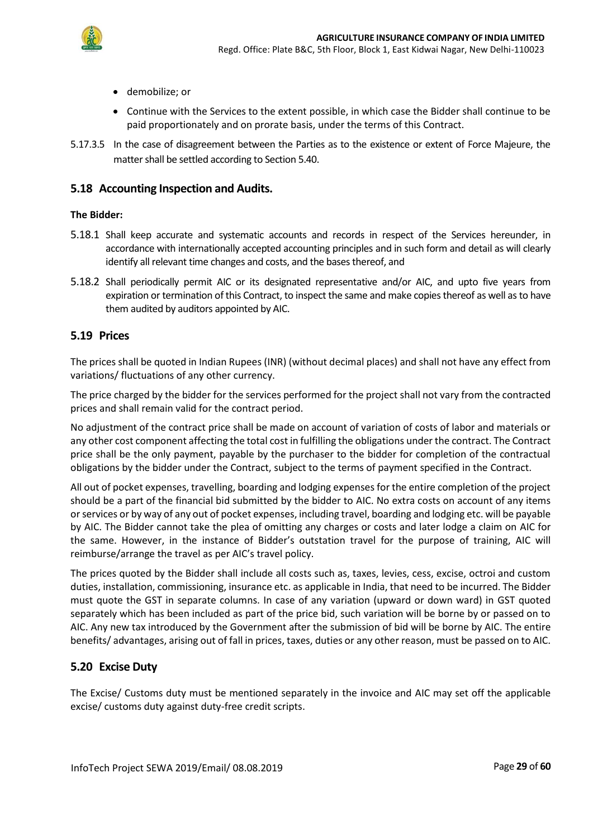

- demobilize; or
- Continue with the Services to the extent possible, in which case the Bidder shall continue to be paid proportionately and on prorate basis, under the terms of this Contract.
- 5.17.3.5 In the case of disagreement between the Parties as to the existence or extent of Force Majeure, the matter shall be settled according to Section 5.40.

#### <span id="page-28-0"></span>**5.18 Accounting Inspection and Audits.**

#### **The Bidder:**

- 5.18.1 Shall keep accurate and systematic accounts and records in respect of the Services hereunder, in accordance with internationally accepted accounting principles and in such form and detail as will clearly identify all relevant time changes and costs, and the bases thereof, and
- 5.18.2 Shall periodically permit AIC or its designated representative and/or AIC, and upto five years from expiration or termination of this Contract, to inspect the same and make copies thereof as well as to have them audited by auditors appointed by AIC.

#### <span id="page-28-1"></span>**5.19 Prices**

The prices shall be quoted in Indian Rupees (INR) (without decimal places) and shall not have any effect from variations/ fluctuations of any other currency.

The price charged by the bidder for the services performed for the project shall not vary from the contracted prices and shall remain valid for the contract period.

No adjustment of the contract price shall be made on account of variation of costs of labor and materials or any other cost component affecting the total cost in fulfilling the obligations under the contract. The Contract price shall be the only payment, payable by the purchaser to the bidder for completion of the contractual obligations by the bidder under the Contract, subject to the terms of payment specified in the Contract.

All out of pocket expenses, travelling, boarding and lodging expenses for the entire completion of the project should be a part of the financial bid submitted by the bidder to AIC. No extra costs on account of any items or services or by way of any out of pocket expenses, including travel, boarding and lodging etc. will be payable by AIC. The Bidder cannot take the plea of omitting any charges or costs and later lodge a claim on AIC for the same. However, in the instance of Bidder's outstation travel for the purpose of training, AIC will reimburse/arrange the travel as per AIC's travel policy.

The prices quoted by the Bidder shall include all costs such as, taxes, levies, cess, excise, octroi and custom duties, installation, commissioning, insurance etc. as applicable in India, that need to be incurred. The Bidder must quote the GST in separate columns. In case of any variation (upward or down ward) in GST quoted separately which has been included as part of the price bid, such variation will be borne by or passed on to AIC. Any new tax introduced by the Government after the submission of bid will be borne by AIC. The entire benefits/ advantages, arising out of fall in prices, taxes, duties or any other reason, must be passed on to AIC.

### <span id="page-28-2"></span>**5.20 Excise Duty**

The Excise/ Customs duty must be mentioned separately in the invoice and AIC may set off the applicable excise/ customs duty against duty-free credit scripts.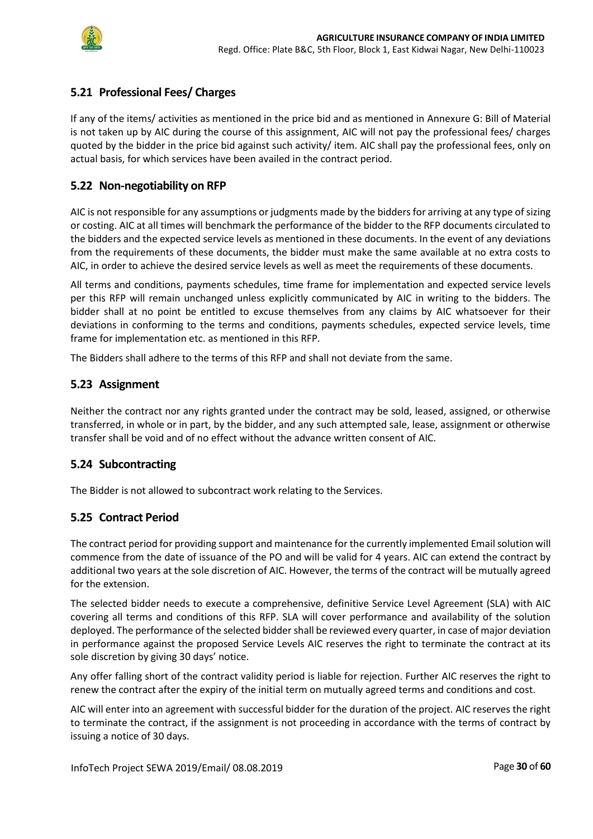

## <span id="page-29-0"></span>**5.21 Professional Fees/ Charges**

If any of the items/ activities as mentioned in the price bid and as mentioned in Annexure G: Bill of Material is not taken up by AIC during the course of this assignment, AIC will not pay the professional fees/ charges quoted by the bidder in the price bid against such activity/ item. AIC shall pay the professional fees, only on actual basis, for which services have been availed in the contract period.

### <span id="page-29-1"></span>**5.22 Non-negotiability on RFP**

AIC is not responsible for any assumptions or judgments made by the bidders for arriving at any type of sizing or costing. AIC at all times will benchmark the performance of the bidder to the RFP documents circulated to the bidders and the expected service levels as mentioned in these documents. In the event of any deviations from the requirements of these documents, the bidder must make the same available at no extra costs to AIC, in order to achieve the desired service levels as well as meet the requirements of these documents.

All terms and conditions, payments schedules, time frame for implementation and expected service levels per this RFP will remain unchanged unless explicitly communicated by AIC in writing to the bidders. The bidder shall at no point be entitled to excuse themselves from any claims by AIC whatsoever for their deviations in conforming to the terms and conditions, payments schedules, expected service levels, time frame for implementation etc. as mentioned in this RFP.

The Bidders shall adhere to the terms of this RFP and shall not deviate from the same.

### <span id="page-29-2"></span>**5.23 Assignment**

Neither the contract nor any rights granted under the contract may be sold, leased, assigned, or otherwise transferred, in whole or in part, by the bidder, and any such attempted sale, lease, assignment or otherwise transfer shall be void and of no effect without the advance written consent of AIC.

### <span id="page-29-3"></span>**5.24 Subcontracting**

The Bidder is not allowed to subcontract work relating to the Services.

#### <span id="page-29-4"></span>**5.25 Contract Period**

The contract period for providing support and maintenance for the currently implemented Emailsolution will commence from the date of issuance of the PO and will be valid for 4 years. AIC can extend the contract by additional two years at the sole discretion of AIC. However, the terms of the contract will be mutually agreed for the extension.

The selected bidder needs to execute a comprehensive, definitive Service Level Agreement (SLA) with AIC covering all terms and conditions of this RFP. SLA will cover performance and availability of the solution deployed. The performance of the selected bidder shall be reviewed every quarter, in case of major deviation in performance against the proposed Service Levels AIC reserves the right to terminate the contract at its sole discretion by giving 30 days' notice.

Any offer falling short of the contract validity period is liable for rejection. Further AIC reserves the right to renew the contract after the expiry of the initial term on mutually agreed terms and conditions and cost.

AIC will enter into an agreement with successful bidder for the duration of the project. AIC reserves the right to terminate the contract, if the assignment is not proceeding in accordance with the terms of contract by issuing a notice of 30 days.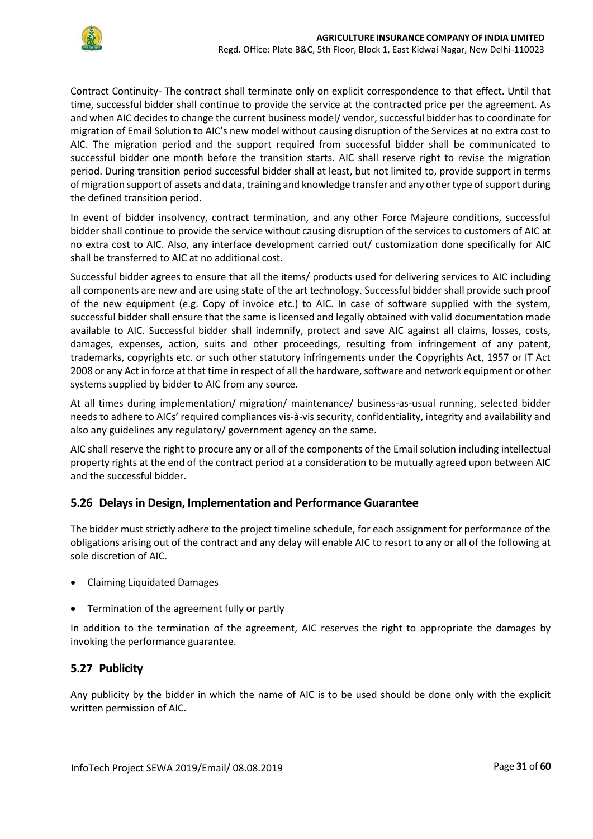

Contract Continuity- The contract shall terminate only on explicit correspondence to that effect. Until that time, successful bidder shall continue to provide the service at the contracted price per the agreement. As and when AIC decides to change the current business model/ vendor, successful bidder has to coordinate for migration of Email Solution to AIC's new model without causing disruption of the Services at no extra cost to AIC. The migration period and the support required from successful bidder shall be communicated to successful bidder one month before the transition starts. AIC shall reserve right to revise the migration period. During transition period successful bidder shall at least, but not limited to, provide support in terms of migration support of assets and data, training and knowledge transfer and any other type of support during the defined transition period.

In event of bidder insolvency, contract termination, and any other Force Majeure conditions, successful bidder shall continue to provide the service without causing disruption of the services to customers of AIC at no extra cost to AIC. Also, any interface development carried out/ customization done specifically for AIC shall be transferred to AIC at no additional cost.

Successful bidder agrees to ensure that all the items/ products used for delivering services to AIC including all components are new and are using state of the art technology. Successful bidder shall provide such proof of the new equipment (e.g. Copy of invoice etc.) to AIC. In case of software supplied with the system, successful bidder shall ensure that the same is licensed and legally obtained with valid documentation made available to AIC. Successful bidder shall indemnify, protect and save AIC against all claims, losses, costs, damages, expenses, action, suits and other proceedings, resulting from infringement of any patent, trademarks, copyrights etc. or such other statutory infringements under the Copyrights Act, 1957 or IT Act 2008 or any Act in force at that time in respect of all the hardware, software and network equipment or other systems supplied by bidder to AIC from any source.

At all times during implementation/ migration/ maintenance/ business-as-usual running, selected bidder needs to adhere to AICs' required compliances vis-à-vis security, confidentiality, integrity and availability and also any guidelines any regulatory/ government agency on the same.

AIC shall reserve the right to procure any or all of the components of the Email solution including intellectual property rights at the end of the contract period at a consideration to be mutually agreed upon between AIC and the successful bidder.

## <span id="page-30-0"></span>**5.26 Delays in Design, Implementation and Performance Guarantee**

The bidder must strictly adhere to the project timeline schedule, for each assignment for performance of the obligations arising out of the contract and any delay will enable AIC to resort to any or all of the following at sole discretion of AIC.

- Claiming Liquidated Damages
- Termination of the agreement fully or partly

In addition to the termination of the agreement, AIC reserves the right to appropriate the damages by invoking the performance guarantee.

### <span id="page-30-1"></span>**5.27 Publicity**

Any publicity by the bidder in which the name of AIC is to be used should be done only with the explicit written permission of AIC.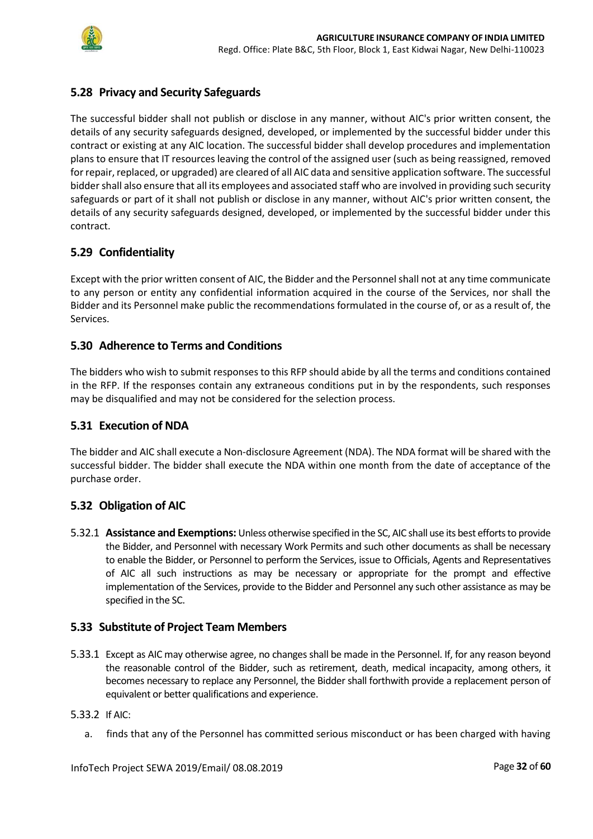

## <span id="page-31-0"></span>**5.28 Privacy and Security Safeguards**

The successful bidder shall not publish or disclose in any manner, without AIC's prior written consent, the details of any security safeguards designed, developed, or implemented by the successful bidder under this contract or existing at any AIC location. The successful bidder shall develop procedures and implementation plans to ensure that IT resources leaving the control of the assigned user (such as being reassigned, removed for repair, replaced, or upgraded) are cleared of all AIC data and sensitive application software. The successful bidder shall also ensure that all its employees and associated staff who are involved in providing such security safeguards or part of it shall not publish or disclose in any manner, without AIC's prior written consent, the details of any security safeguards designed, developed, or implemented by the successful bidder under this contract.

### <span id="page-31-1"></span>**5.29 Confidentiality**

Except with the prior written consent of AIC, the Bidder and the Personnel shall not at any time communicate to any person or entity any confidential information acquired in the course of the Services, nor shall the Bidder and its Personnel make public the recommendations formulated in the course of, or as a result of, the Services.

### <span id="page-31-2"></span>**5.30 Adherence to Terms and Conditions**

The bidders who wish to submit responses to this RFP should abide by all the terms and conditions contained in the RFP. If the responses contain any extraneous conditions put in by the respondents, such responses may be disqualified and may not be considered for the selection process.

### <span id="page-31-3"></span>**5.31 Execution of NDA**

The bidder and AIC shall execute a Non-disclosure Agreement (NDA). The NDA format will be shared with the successful bidder. The bidder shall execute the NDA within one month from the date of acceptance of the purchase order.

### <span id="page-31-4"></span>**5.32 Obligation of AIC**

5.32.1 **Assistance and Exemptions:** Unless otherwise specified in the SC, AIC shall use its best efforts to provide the Bidder, and Personnel with necessary Work Permits and such other documents as shall be necessary to enable the Bidder, or Personnel to perform the Services, issue to Officials, Agents and Representatives of AIC all such instructions as may be necessary or appropriate for the prompt and effective implementation of the Services, provide to the Bidder and Personnel any such other assistance as may be specified in the SC.

### <span id="page-31-5"></span>**5.33 Substitute of Project Team Members**

5.33.1 Except as AIC may otherwise agree, no changes shall be made in the Personnel. If, for any reason beyond the reasonable control of the Bidder, such as retirement, death, medical incapacity, among others, it becomes necessary to replace any Personnel, the Bidder shall forthwith provide a replacement person of equivalent or better qualifications and experience.

#### 5.33.2 If AIC:

a. finds that any of the Personnel has committed serious misconduct or has been charged with having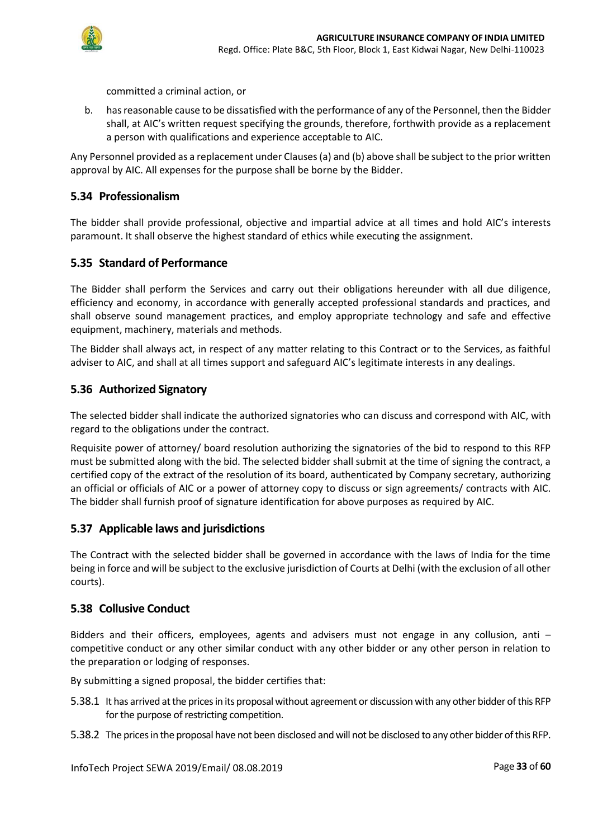

committed a criminal action, or

b. has reasonable cause to be dissatisfied with the performance of any of the Personnel, then the Bidder shall, at AIC's written request specifying the grounds, therefore, forthwith provide as a replacement a person with qualifications and experience acceptable to AIC.

Any Personnel provided as a replacement under Clauses (a) and (b) above shall be subject to the prior written approval by AIC. All expenses for the purpose shall be borne by the Bidder.

### <span id="page-32-0"></span>**5.34 Professionalism**

The bidder shall provide professional, objective and impartial advice at all times and hold AIC's interests paramount. It shall observe the highest standard of ethics while executing the assignment.

### <span id="page-32-1"></span>**5.35 Standard of Performance**

The Bidder shall perform the Services and carry out their obligations hereunder with all due diligence, efficiency and economy, in accordance with generally accepted professional standards and practices, and shall observe sound management practices, and employ appropriate technology and safe and effective equipment, machinery, materials and methods.

The Bidder shall always act, in respect of any matter relating to this Contract or to the Services, as faithful adviser to AIC, and shall at all times support and safeguard AIC's legitimate interests in any dealings.

#### <span id="page-32-2"></span>**5.36 Authorized Signatory**

The selected bidder shall indicate the authorized signatories who can discuss and correspond with AIC, with regard to the obligations under the contract.

Requisite power of attorney/ board resolution authorizing the signatories of the bid to respond to this RFP must be submitted along with the bid. The selected bidder shall submit at the time of signing the contract, a certified copy of the extract of the resolution of its board, authenticated by Company secretary, authorizing an official or officials of AIC or a power of attorney copy to discuss or sign agreements/ contracts with AIC. The bidder shall furnish proof of signature identification for above purposes as required by AIC.

#### <span id="page-32-3"></span>**5.37 Applicable laws and jurisdictions**

The Contract with the selected bidder shall be governed in accordance with the laws of India for the time being in force and will be subject to the exclusive jurisdiction of Courts at Delhi (with the exclusion of all other courts).

### <span id="page-32-4"></span>**5.38 Collusive Conduct**

Bidders and their officers, employees, agents and advisers must not engage in any collusion, anti – competitive conduct or any other similar conduct with any other bidder or any other person in relation to the preparation or lodging of responses.

By submitting a signed proposal, the bidder certifies that:

- 5.38.1 It has arrived at the prices in its proposal without agreement or discussion with any other bidder of this RFP for the purpose of restricting competition.
- 5.38.2 The prices in the proposal have not been disclosed and will not be disclosed to any other bidder of this RFP.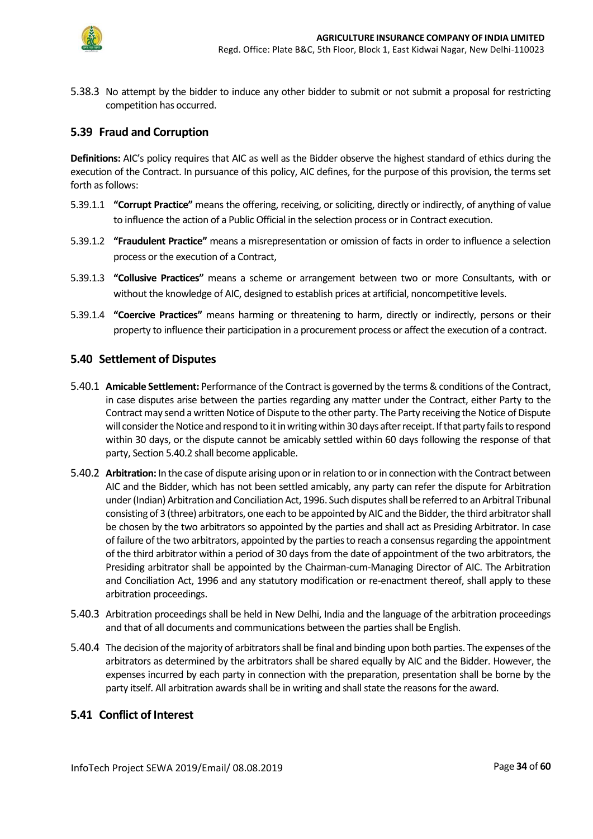

5.38.3 No attempt by the bidder to induce any other bidder to submit or not submit a proposal for restricting competition has occurred.

### <span id="page-33-0"></span>**5.39 Fraud and Corruption**

**Definitions:** AIC's policy requires that AIC as well as the Bidder observe the highest standard of ethics during the execution of the Contract. In pursuance of this policy, AIC defines, for the purpose of this provision, the terms set forth as follows:

- 5.39.1.1 **"Corrupt Practice"** means the offering, receiving, or soliciting, directly or indirectly, of anything of value to influence the action of a Public Official in the selection process or in Contract execution.
- 5.39.1.2 **"Fraudulent Practice"** means a misrepresentation or omission of facts in order to influence a selection process or the execution of a Contract,
- 5.39.1.3 **"Collusive Practices"** means a scheme or arrangement between two or more Consultants, with or without the knowledge of AIC, designed to establish prices at artificial, noncompetitive levels.
- 5.39.1.4 **"Coercive Practices"** means harming or threatening to harm, directly or indirectly, persons or their property to influence their participation in a procurement process or affect the execution of a contract.

#### <span id="page-33-1"></span>**5.40 Settlement of Disputes**

- 5.40.1 **Amicable Settlement:** Performance of the Contract is governed by the terms & conditions of the Contract, in case disputes arise between the parties regarding any matter under the Contract, either Party to the Contract may send a written Notice of Dispute to the other party. The Party receiving the Notice of Dispute will consider the Notice and respond to it in writing within 30 days after receipt. If that party fails to respond within 30 days, or the dispute cannot be amicably settled within 60 days following the response of that party, Section 5.40.2 shall become applicable.
- 5.40.2 **Arbitration:** In the case of dispute arising upon or in relation to or in connection with the Contract between AIC and the Bidder, which has not been settled amicably, any party can refer the dispute for Arbitration under (Indian) Arbitration and Conciliation Act, 1996. Such disputes shall be referred to an Arbitral Tribunal consisting of 3 (three) arbitrators, one each to be appointed by AIC and the Bidder, the third arbitrator shall be chosen by the two arbitrators so appointed by the parties and shall act as Presiding Arbitrator. In case of failure of the two arbitrators, appointed by the parties to reach a consensus regarding the appointment of the third arbitrator within a period of 30 days from the date of appointment of the two arbitrators, the Presiding arbitrator shall be appointed by the Chairman-cum-Managing Director of AIC. The Arbitration and Conciliation Act, 1996 and any statutory modification or re-enactment thereof, shall apply to these arbitration proceedings.
- 5.40.3 Arbitration proceedings shall be held in New Delhi, India and the language of the arbitration proceedings and that of all documents and communications between the parties shall be English.
- 5.40.4 The decision of the majority of arbitrators shall be final and binding upon both parties. The expenses of the arbitrators as determined by the arbitrators shall be shared equally by AIC and the Bidder. However, the expenses incurred by each party in connection with the preparation, presentation shall be borne by the party itself. All arbitration awards shall be in writing and shall state the reasons for the award.

### <span id="page-33-2"></span>**5.41 Conflict of Interest**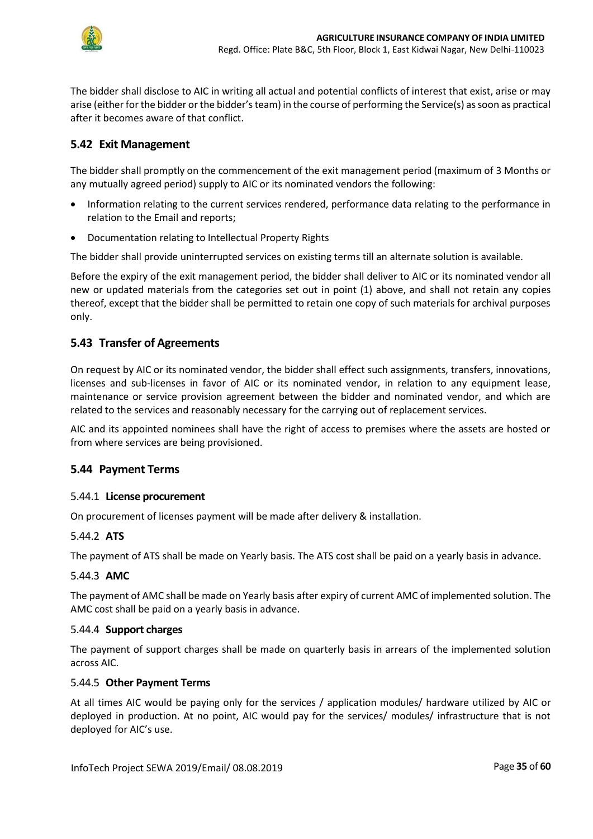

The bidder shall disclose to AIC in writing all actual and potential conflicts of interest that exist, arise or may arise (either for the bidder or the bidder's team) in the course of performing the Service(s) as soon as practical after it becomes aware of that conflict.

### <span id="page-34-0"></span>**5.42 Exit Management**

The bidder shall promptly on the commencement of the exit management period (maximum of 3 Months or any mutually agreed period) supply to AIC or its nominated vendors the following:

- Information relating to the current services rendered, performance data relating to the performance in relation to the Email and reports;
- Documentation relating to Intellectual Property Rights

The bidder shall provide uninterrupted services on existing terms till an alternate solution is available.

Before the expiry of the exit management period, the bidder shall deliver to AIC or its nominated vendor all new or updated materials from the categories set out in point (1) above, and shall not retain any copies thereof, except that the bidder shall be permitted to retain one copy of such materials for archival purposes only.

## <span id="page-34-1"></span>**5.43 Transfer of Agreements**

On request by AIC or its nominated vendor, the bidder shall effect such assignments, transfers, innovations, licenses and sub-licenses in favor of AIC or its nominated vendor, in relation to any equipment lease, maintenance or service provision agreement between the bidder and nominated vendor, and which are related to the services and reasonably necessary for the carrying out of replacement services.

AIC and its appointed nominees shall have the right of access to premises where the assets are hosted or from where services are being provisioned.

### <span id="page-34-2"></span>**5.44 Payment Terms**

#### 5.44.1 **License procurement**

On procurement of licenses payment will be made after delivery & installation.

#### 5.44.2 **ATS**

The payment of ATS shall be made on Yearly basis. The ATS cost shall be paid on a yearly basis in advance.

#### 5.44.3 **AMC**

The payment of AMC shall be made on Yearly basis after expiry of current AMC of implemented solution. The AMC cost shall be paid on a yearly basis in advance.

#### 5.44.4 **Support charges**

The payment of support charges shall be made on quarterly basis in arrears of the implemented solution across AIC.

#### 5.44.5 **Other Payment Terms**

At all times AIC would be paying only for the services / application modules/ hardware utilized by AIC or deployed in production. At no point, AIC would pay for the services/ modules/ infrastructure that is not deployed for AIC's use.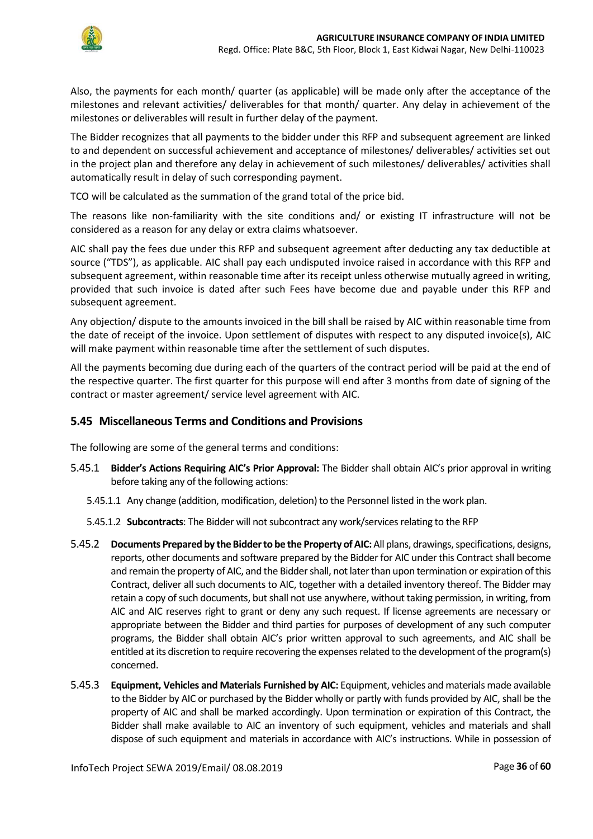

Also, the payments for each month/ quarter (as applicable) will be made only after the acceptance of the milestones and relevant activities/ deliverables for that month/ quarter. Any delay in achievement of the milestones or deliverables will result in further delay of the payment.

The Bidder recognizes that all payments to the bidder under this RFP and subsequent agreement are linked to and dependent on successful achievement and acceptance of milestones/ deliverables/ activities set out in the project plan and therefore any delay in achievement of such milestones/ deliverables/ activities shall automatically result in delay of such corresponding payment.

TCO will be calculated as the summation of the grand total of the price bid.

The reasons like non-familiarity with the site conditions and/ or existing IT infrastructure will not be considered as a reason for any delay or extra claims whatsoever.

AIC shall pay the fees due under this RFP and subsequent agreement after deducting any tax deductible at source ("TDS"), as applicable. AIC shall pay each undisputed invoice raised in accordance with this RFP and subsequent agreement, within reasonable time after its receipt unless otherwise mutually agreed in writing, provided that such invoice is dated after such Fees have become due and payable under this RFP and subsequent agreement.

Any objection/ dispute to the amounts invoiced in the bill shall be raised by AIC within reasonable time from the date of receipt of the invoice. Upon settlement of disputes with respect to any disputed invoice(s), AIC will make payment within reasonable time after the settlement of such disputes.

All the payments becoming due during each of the quarters of the contract period will be paid at the end of the respective quarter. The first quarter for this purpose will end after 3 months from date of signing of the contract or master agreement/ service level agreement with AIC.

### <span id="page-35-0"></span>**5.45 Miscellaneous Terms and Conditions and Provisions**

The following are some of the general terms and conditions:

- 5.45.1 **Bidder's Actions Requiring AIC's Prior Approval:** The Bidder shall obtain AIC's prior approval in writing before taking any of the following actions:
	- 5.45.1.1 Any change (addition, modification, deletion) to the Personnel listed in the work plan.
	- 5.45.1.2 **Subcontracts**: The Bidder will not subcontract any work/services relating to the RFP
- 5.45.2 **Documents Prepared by the Bidder to be the Property of AIC:** All plans, drawings, specifications, designs, reports, other documents and software prepared by the Bidder for AIC under this Contract shall become and remain the property of AIC, and the Bidder shall, not later than upon termination or expiration of this Contract, deliver all such documents to AIC, together with a detailed inventory thereof. The Bidder may retain a copy of such documents, but shall not use anywhere, without taking permission, in writing, from AIC and AIC reserves right to grant or deny any such request. If license agreements are necessary or appropriate between the Bidder and third parties for purposes of development of any such computer programs, the Bidder shall obtain AIC's prior written approval to such agreements, and AIC shall be entitled at its discretion to require recovering the expenses related to the development of the program(s) concerned.
- 5.45.3 **Equipment, Vehicles and Materials Furnished by AIC:** Equipment, vehicles and materials made available to the Bidder by AIC or purchased by the Bidder wholly or partly with funds provided by AIC, shall be the property of AIC and shall be marked accordingly. Upon termination or expiration of this Contract, the Bidder shall make available to AIC an inventory of such equipment, vehicles and materials and shall dispose of such equipment and materials in accordance with AIC's instructions. While in possession of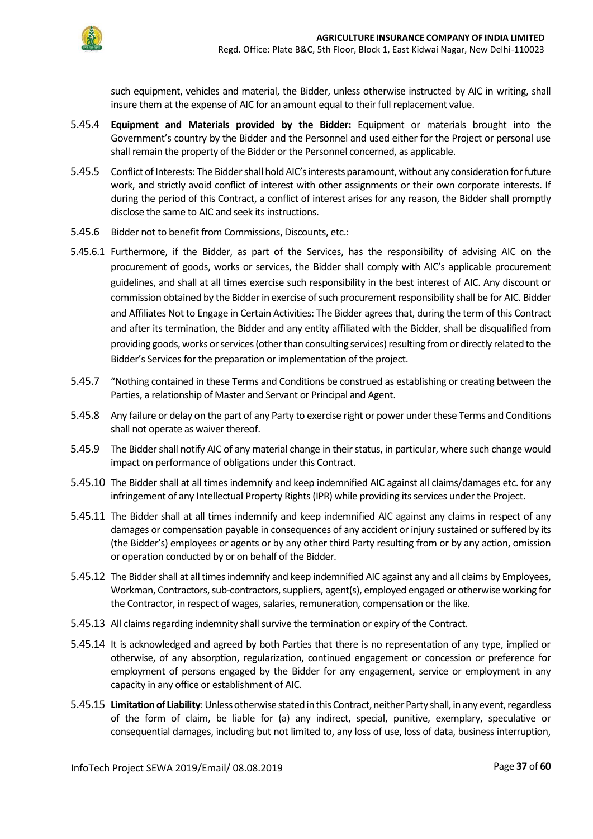

such equipment, vehicles and material, the Bidder, unless otherwise instructed by AIC in writing, shall insure them at the expense of AIC for an amount equal to their full replacement value.

- 5.45.4 **Equipment and Materials provided by the Bidder:** Equipment or materials brought into the Government's country by the Bidder and the Personnel and used either for the Project or personal use shall remain the property of the Bidder or the Personnel concerned, as applicable.
- 5.45.5 Conflict of Interests: The Biddershall hold AIC's interests paramount, without any consideration for future work, and strictly avoid conflict of interest with other assignments or their own corporate interests. If during the period of this Contract, a conflict of interest arises for any reason, the Bidder shall promptly disclose the same to AIC and seek its instructions.
- 5.45.6 Bidder not to benefit from Commissions, Discounts, etc.:
- 5.45.6.1 Furthermore, if the Bidder, as part of the Services, has the responsibility of advising AIC on the procurement of goods, works or services, the Bidder shall comply with AIC's applicable procurement guidelines, and shall at all times exercise such responsibility in the best interest of AIC. Any discount or commission obtained by the Bidder in exercise of such procurement responsibility shall be for AIC. Bidder and Affiliates Not to Engage in Certain Activities: The Bidder agrees that, during the term of this Contract and after its termination, the Bidder and any entity affiliated with the Bidder, shall be disqualified from providing goods, works or services (other than consulting services) resulting from or directly related to the Bidder's Services for the preparation or implementation of the project.
- 5.45.7 "Nothing contained in these Terms and Conditions be construed as establishing or creating between the Parties, a relationship of Master and Servant or Principal and Agent.
- 5.45.8 Any failure or delay on the part of any Party to exercise right or power under these Terms and Conditions shall not operate as waiver thereof.
- 5.45.9 The Bidder shall notify AIC of any material change in their status, in particular, where such change would impact on performance of obligations under this Contract.
- 5.45.10 The Bidder shall at all times indemnify and keep indemnified AIC against all claims/damages etc. for any infringement of any Intellectual Property Rights (IPR) while providing its services under the Project.
- 5.45.11 The Bidder shall at all times indemnify and keep indemnified AIC against any claims in respect of any damages or compensation payable in consequences of any accident or injury sustained or suffered by its (the Bidder's) employees or agents or by any other third Party resulting from or by any action, omission or operation conducted by or on behalf of the Bidder.
- 5.45.12 The Bidder shall at all times indemnify and keep indemnified AIC against any and all claims by Employees, Workman, Contractors, sub-contractors, suppliers, agent(s), employed engaged or otherwise working for the Contractor, in respect of wages, salaries, remuneration, compensation or the like.
- 5.45.13 All claims regarding indemnity shall survive the termination or expiry of the Contract.
- 5.45.14 It is acknowledged and agreed by both Parties that there is no representation of any type, implied or otherwise, of any absorption, regularization, continued engagement or concession or preference for employment of persons engaged by the Bidder for any engagement, service or employment in any capacity in any office or establishment of AIC.
- 5.45.15 **Limitation of Liability**: Unless otherwise stated in this Contract, neither Party shall, in any event, regardless of the form of claim, be liable for (a) any indirect, special, punitive, exemplary, speculative or consequential damages, including but not limited to, any loss of use, loss of data, business interruption,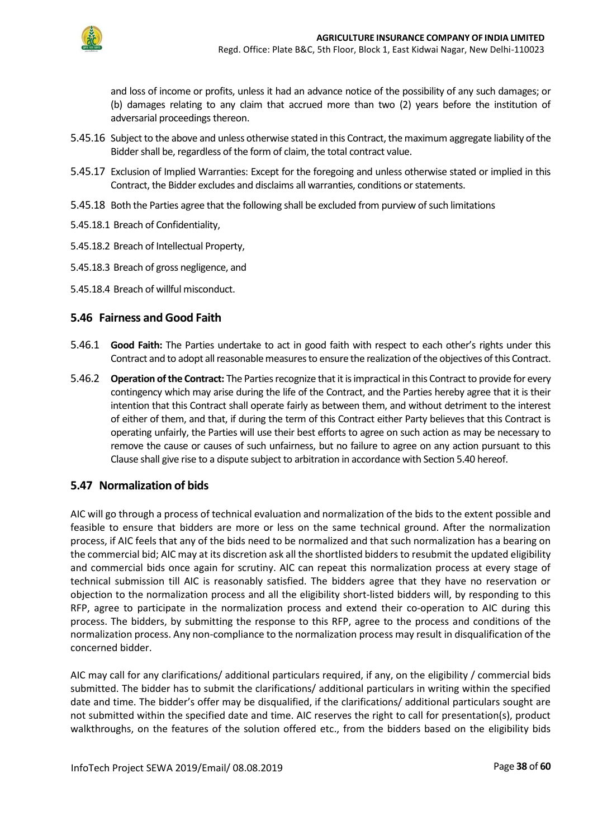

and loss of income or profits, unless it had an advance notice of the possibility of any such damages; or (b) damages relating to any claim that accrued more than two (2) years before the institution of adversarial proceedings thereon.

- 5.45.16 Subject to the above and unless otherwise stated in this Contract, the maximum aggregate liability of the Bidder shall be, regardless of the form of claim, the total contract value.
- 5.45.17 Exclusion of Implied Warranties: Except for the foregoing and unless otherwise stated or implied in this Contract, the Bidder excludes and disclaims all warranties, conditions or statements.
- 5.45.18 Both the Parties agree that the following shall be excluded from purview of such limitations
- 5.45.18.1 Breach of Confidentiality,
- 5.45.18.2 Breach of Intellectual Property,
- 5.45.18.3 Breach of gross negligence, and
- 5.45.18.4 Breach of willful misconduct.

### <span id="page-37-0"></span>**5.46 Fairness and Good Faith**

- 5.46.1 **Good Faith:** The Parties undertake to act in good faith with respect to each other's rights under this Contract and to adopt all reasonable measures to ensure the realization of the objectives of this Contract.
- 5.46.2 **Operation of the Contract:** The Parties recognize that it is impractical in this Contract to provide for every contingency which may arise during the life of the Contract, and the Parties hereby agree that it is their intention that this Contract shall operate fairly as between them, and without detriment to the interest of either of them, and that, if during the term of this Contract either Party believes that this Contract is operating unfairly, the Parties will use their best efforts to agree on such action as may be necessary to remove the cause or causes of such unfairness, but no failure to agree on any action pursuant to this Clause shall give rise to a dispute subject to arbitration in accordance with Section 5.40 hereof.

### <span id="page-37-1"></span>**5.47 Normalization of bids**

AIC will go through a process of technical evaluation and normalization of the bids to the extent possible and feasible to ensure that bidders are more or less on the same technical ground. After the normalization process, if AIC feels that any of the bids need to be normalized and that such normalization has a bearing on the commercial bid; AIC may at its discretion ask all the shortlisted bidders to resubmit the updated eligibility and commercial bids once again for scrutiny. AIC can repeat this normalization process at every stage of technical submission till AIC is reasonably satisfied. The bidders agree that they have no reservation or objection to the normalization process and all the eligibility short-listed bidders will, by responding to this RFP, agree to participate in the normalization process and extend their co-operation to AIC during this process. The bidders, by submitting the response to this RFP, agree to the process and conditions of the normalization process. Any non-compliance to the normalization process may result in disqualification of the concerned bidder.

AIC may call for any clarifications/ additional particulars required, if any, on the eligibility / commercial bids submitted. The bidder has to submit the clarifications/ additional particulars in writing within the specified date and time. The bidder's offer may be disqualified, if the clarifications/ additional particulars sought are not submitted within the specified date and time. AIC reserves the right to call for presentation(s), product walkthroughs, on the features of the solution offered etc., from the bidders based on the eligibility bids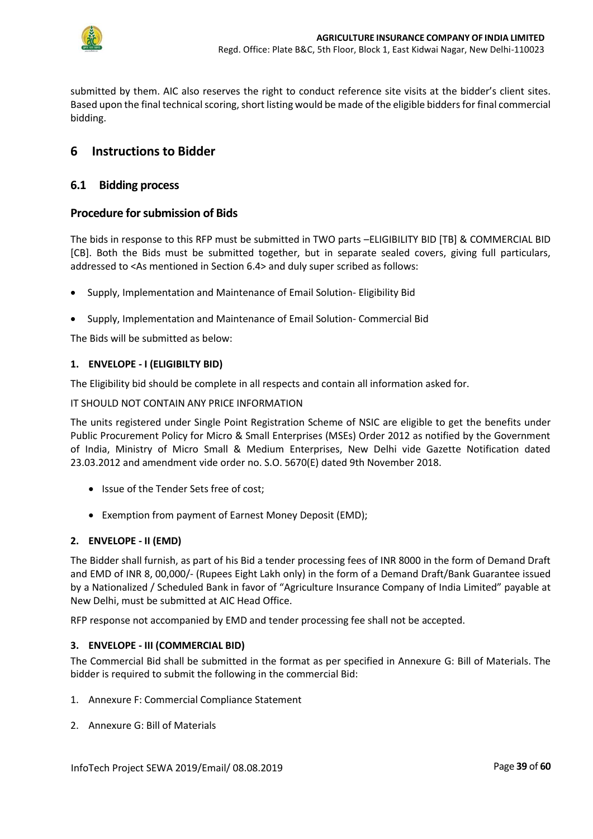

submitted by them. AIC also reserves the right to conduct reference site visits at the bidder's client sites. Based upon the final technical scoring, short listing would be made of the eligible bidders for final commercial bidding.

## <span id="page-38-0"></span>**6 Instructions to Bidder**

### <span id="page-38-1"></span>**6.1 Bidding process**

#### **Procedure for submission of Bids**

The bids in response to this RFP must be submitted in TWO parts –ELIGIBILITY BID [TB] & COMMERCIAL BID [CB]. Both the Bids must be submitted together, but in separate sealed covers, giving full particulars, addressed to <As mentioned in Section 6.4> and duly super scribed as follows:

- Supply, Implementation and Maintenance of Email Solution- Eligibility Bid
- Supply, Implementation and Maintenance of Email Solution- Commercial Bid

The Bids will be submitted as below:

#### **1. ENVELOPE - I (ELIGIBILTY BID)**

The Eligibility bid should be complete in all respects and contain all information asked for.

IT SHOULD NOT CONTAIN ANY PRICE INFORMATION

The units registered under Single Point Registration Scheme of NSIC are eligible to get the benefits under Public Procurement Policy for Micro & Small Enterprises (MSEs) Order 2012 as notified by the Government of India, Ministry of Micro Small & Medium Enterprises, New Delhi vide Gazette Notification dated 23.03.2012 and amendment vide order no. S.O. 5670(E) dated 9th November 2018.

- Issue of the Tender Sets free of cost;
- Exemption from payment of Earnest Money Deposit (EMD);

#### **2. ENVELOPE - II (EMD)**

The Bidder shall furnish, as part of his Bid a tender processing fees of INR 8000 in the form of Demand Draft and EMD of INR 8, 00,000/- (Rupees Eight Lakh only) in the form of a Demand Draft/Bank Guarantee issued by a Nationalized / Scheduled Bank in favor of "Agriculture Insurance Company of India Limited" payable at New Delhi, must be submitted at AIC Head Office.

RFP response not accompanied by EMD and tender processing fee shall not be accepted.

#### **3. ENVELOPE - III (COMMERCIAL BID)**

<span id="page-38-2"></span>The Commercial Bid shall be submitted in the format as per specified in Annexure G: Bill of Materials. The bidder is required to submit the following in the commercial Bid:

- 1. Annexure F: Commercial Compliance Statement
- 2. Annexure G: Bill of Materials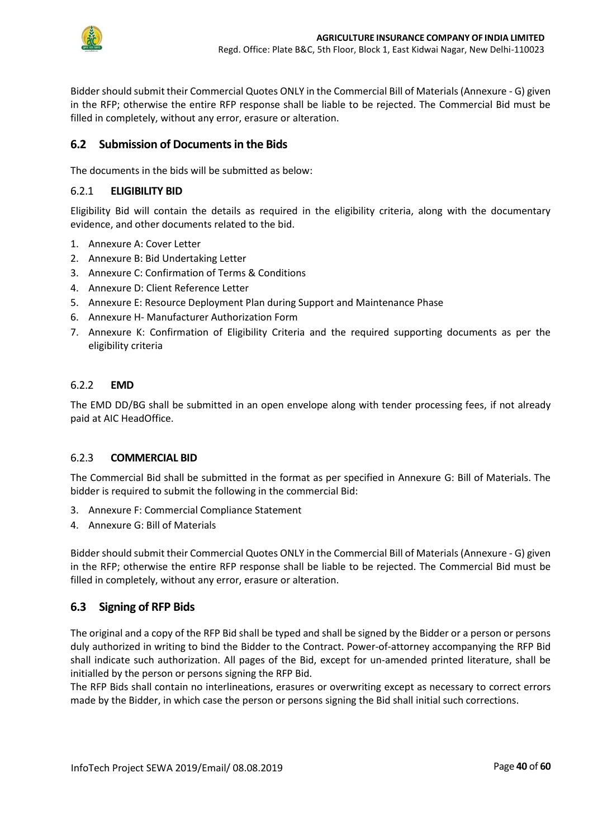

Bidder should submit their Commercial Quotes ONLY in the Commercial Bill of Materials (Annexure - G) given in the RFP; otherwise the entire RFP response shall be liable to be rejected. The Commercial Bid must be filled in completely, without any error, erasure or alteration.

## **6.2 Submission of Documents in the Bids**

The documents in the bids will be submitted as below:

#### 6.2.1 **ELIGIBILITY BID**

Eligibility Bid will contain the details as required in the eligibility criteria, along with the documentary evidence, and other documents related to the bid.

- 1. Annexure A: Cover Letter
- 2. Annexure B: Bid Undertaking Letter
- 3. Annexure C: Confirmation of Terms & Conditions
- 4. Annexure D: Client Reference Letter
- 5. Annexure E: Resource Deployment Plan during Support and Maintenance Phase
- 6. Annexure H- Manufacturer Authorization Form
- 7. Annexure K: Confirmation of Eligibility Criteria and the required supporting documents as per the eligibility criteria

#### 6.2.2 **EMD**

The EMD DD/BG shall be submitted in an open envelope along with tender processing fees, if not already paid at AIC HeadOffice.

#### 6.2.3 **COMMERCIAL BID**

The Commercial Bid shall be submitted in the format as per specified in Annexure G: Bill of Materials. The bidder is required to submit the following in the commercial Bid:

- 3. Annexure F: Commercial Compliance Statement
- 4. Annexure G: Bill of Materials

Bidder should submit their Commercial Quotes ONLY in the Commercial Bill of Materials (Annexure - G) given in the RFP; otherwise the entire RFP response shall be liable to be rejected. The Commercial Bid must be filled in completely, without any error, erasure or alteration.

### <span id="page-39-0"></span>**6.3 Signing of RFP Bids**

The original and a copy of the RFP Bid shall be typed and shall be signed by the Bidder or a person or persons duly authorized in writing to bind the Bidder to the Contract. Power-of-attorney accompanying the RFP Bid shall indicate such authorization. All pages of the Bid, except for un-amended printed literature, shall be initialled by the person or persons signing the RFP Bid.

The RFP Bids shall contain no interlineations, erasures or overwriting except as necessary to correct errors made by the Bidder, in which case the person or persons signing the Bid shall initial such corrections.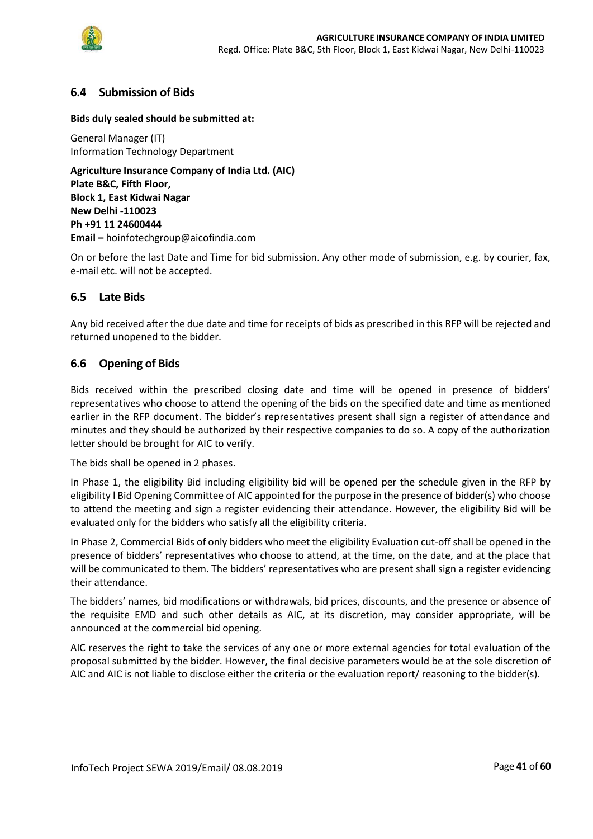

### <span id="page-40-0"></span>**6.4 Submission of Bids**

#### **Bids duly sealed should be submitted at:**

General Manager (IT) Information Technology Department

**Agriculture Insurance Company of India Ltd. (AIC) Plate B&C, Fifth Floor, Block 1, East Kidwai Nagar New Delhi -110023 Ph +91 11 24600444 Email –** hoinfotechgroup@aicofindia.com

On or before the last Date and Time for bid submission. Any other mode of submission, e.g. by courier, fax, e-mail etc. will not be accepted.

### <span id="page-40-1"></span>**6.5 Late Bids**

Any bid received after the due date and time for receipts of bids as prescribed in this RFP will be rejected and returned unopened to the bidder.

#### <span id="page-40-2"></span>**6.6 Opening of Bids**

Bids received within the prescribed closing date and time will be opened in presence of bidders' representatives who choose to attend the opening of the bids on the specified date and time as mentioned earlier in the RFP document. The bidder's representatives present shall sign a register of attendance and minutes and they should be authorized by their respective companies to do so. A copy of the authorization letter should be brought for AIC to verify.

The bids shall be opened in 2 phases.

In Phase 1, the eligibility Bid including eligibility bid will be opened per the schedule given in the RFP by eligibility l Bid Opening Committee of AIC appointed for the purpose in the presence of bidder(s) who choose to attend the meeting and sign a register evidencing their attendance. However, the eligibility Bid will be evaluated only for the bidders who satisfy all the eligibility criteria.

In Phase 2, Commercial Bids of only bidders who meet the eligibility Evaluation cut-off shall be opened in the presence of bidders' representatives who choose to attend, at the time, on the date, and at the place that will be communicated to them. The bidders' representatives who are present shall sign a register evidencing their attendance.

The bidders' names, bid modifications or withdrawals, bid prices, discounts, and the presence or absence of the requisite EMD and such other details as AIC, at its discretion, may consider appropriate, will be announced at the commercial bid opening.

AIC reserves the right to take the services of any one or more external agencies for total evaluation of the proposal submitted by the bidder. However, the final decisive parameters would be at the sole discretion of AIC and AIC is not liable to disclose either the criteria or the evaluation report/ reasoning to the bidder(s).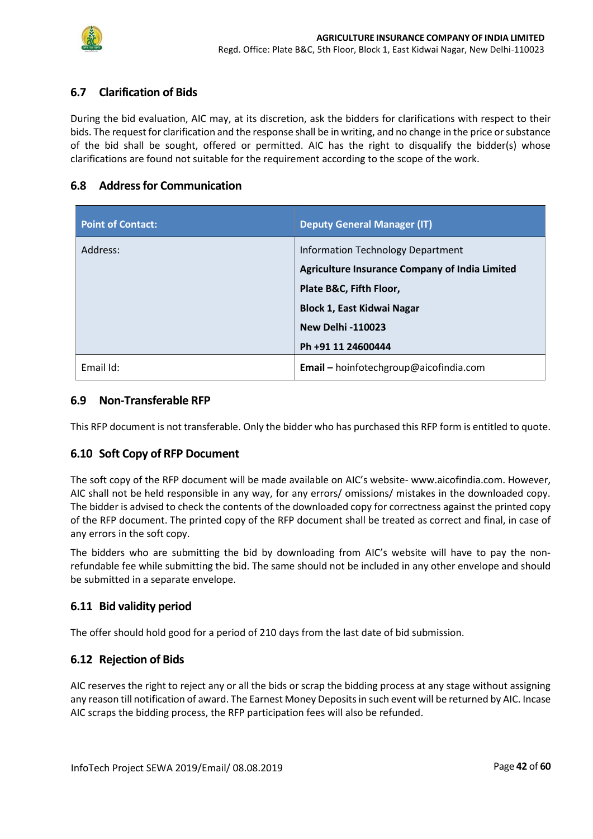

## <span id="page-41-0"></span>**6.7 Clarification of Bids**

During the bid evaluation, AIC may, at its discretion, ask the bidders for clarifications with respect to their bids. The request for clarification and the response shall be in writing, and no change in the price or substance of the bid shall be sought, offered or permitted. AIC has the right to disqualify the bidder(s) whose clarifications are found not suitable for the requirement according to the scope of the work.

### <span id="page-41-1"></span>**6.8 Address for Communication**

| <b>Point of Contact:</b> | <b>Deputy General Manager (IT)</b>                                                                                                                                                                    |
|--------------------------|-------------------------------------------------------------------------------------------------------------------------------------------------------------------------------------------------------|
| Address:                 | Information Technology Department<br>Agriculture Insurance Company of India Limited<br>Plate B&C, Fifth Floor,<br><b>Block 1, East Kidwai Nagar</b><br><b>New Delhi -110023</b><br>Ph +91 11 24600444 |
| Email Id:                | Email - hoinfotechgroup@aicofindia.com                                                                                                                                                                |

#### <span id="page-41-2"></span>**6.9 Non-Transferable RFP**

This RFP document is not transferable. Only the bidder who has purchased this RFP form is entitled to quote.

#### <span id="page-41-3"></span>**6.10 Soft Copy of RFP Document**

The soft copy of the RFP document will be made available on AIC's website- www.aicofindia.com. However, AIC shall not be held responsible in any way, for any errors/ omissions/ mistakes in the downloaded copy. The bidder is advised to check the contents of the downloaded copy for correctness against the printed copy of the RFP document. The printed copy of the RFP document shall be treated as correct and final, in case of any errors in the soft copy.

The bidders who are submitting the bid by downloading from AIC's website will have to pay the nonrefundable fee while submitting the bid. The same should not be included in any other envelope and should be submitted in a separate envelope.

### <span id="page-41-4"></span>**6.11 Bid validity period**

The offer should hold good for a period of 210 days from the last date of bid submission.

#### <span id="page-41-5"></span>**6.12 Rejection of Bids**

AIC reserves the right to reject any or all the bids or scrap the bidding process at any stage without assigning any reason till notification of award. The Earnest Money Deposits in such event will be returned by AIC. Incase AIC scraps the bidding process, the RFP participation fees will also be refunded.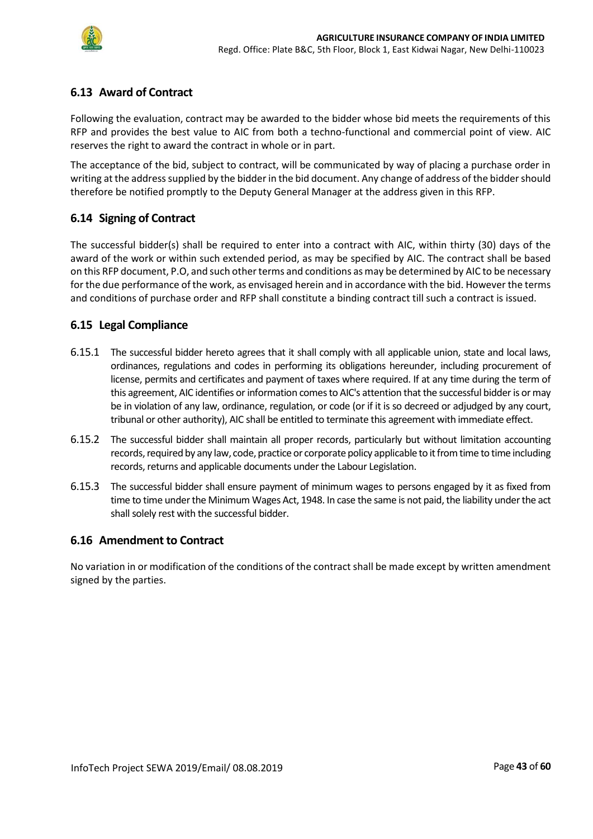

## <span id="page-42-0"></span>**6.13 Award of Contract**

Following the evaluation, contract may be awarded to the bidder whose bid meets the requirements of this RFP and provides the best value to AIC from both a techno-functional and commercial point of view. AIC reserves the right to award the contract in whole or in part.

The acceptance of the bid, subject to contract, will be communicated by way of placing a purchase order in writing at the address supplied by the bidder in the bid document. Any change of address of the bidder should therefore be notified promptly to the Deputy General Manager at the address given in this RFP.

## <span id="page-42-1"></span>**6.14 Signing of Contract**

The successful bidder(s) shall be required to enter into a contract with AIC, within thirty (30) days of the award of the work or within such extended period, as may be specified by AIC. The contract shall be based on this RFP document, P.O, and such other terms and conditions as may be determined by AIC to be necessary for the due performance of the work, as envisaged herein and in accordance with the bid. However the terms and conditions of purchase order and RFP shall constitute a binding contract till such a contract is issued.

### <span id="page-42-2"></span>**6.15 Legal Compliance**

- 6.15.1 The successful bidder hereto agrees that it shall comply with all applicable union, state and local laws, ordinances, regulations and codes in performing its obligations hereunder, including procurement of license, permits and certificates and payment of taxes where required. If at any time during the term of this agreement, AIC identifies or information comes to AIC's attention that the successful bidder is or may be in violation of any law, ordinance, regulation, or code (or if it is so decreed or adjudged by any court, tribunal or other authority), AIC shall be entitled to terminate this agreement with immediate effect.
- 6.15.2 The successful bidder shall maintain all proper records, particularly but without limitation accounting records, required by any law, code, practice or corporate policy applicable to it from time to time including records, returns and applicable documents under the Labour Legislation.
- 6.15.3 The successful bidder shall ensure payment of minimum wages to persons engaged by it as fixed from time to time under the Minimum Wages Act, 1948. In case the same is not paid, the liability under the act shall solely rest with the successful bidder.

### <span id="page-42-3"></span>**6.16 Amendment to Contract**

No variation in or modification of the conditions of the contract shall be made except by written amendment signed by the parties.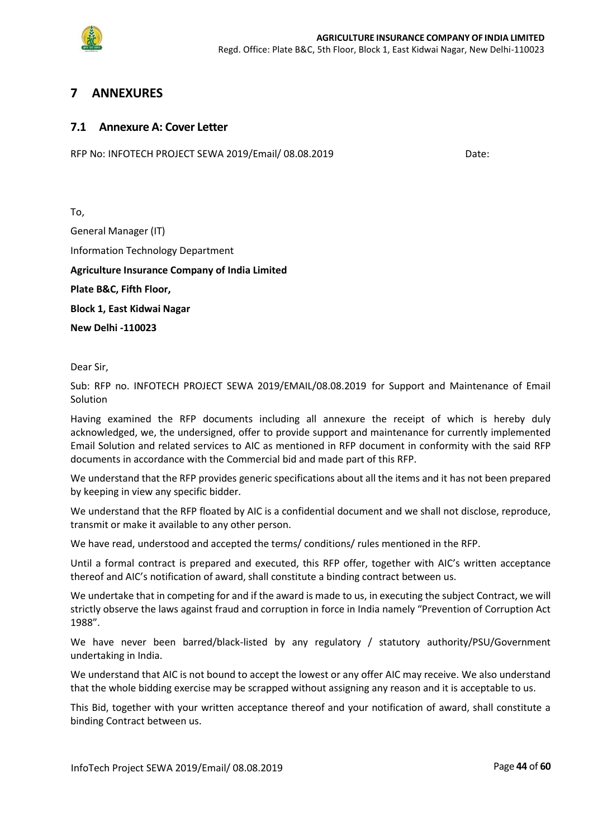

## <span id="page-43-0"></span>**7 ANNEXURES**

#### <span id="page-43-1"></span>**7.1 Annexure A: Cover Letter**

RFP No: INFOTECH PROJECT SEWA 2019/Email/ 08.08.2019Date:

To, General Manager (IT) Information Technology Department **Agriculture Insurance Company of India Limited Plate B&C, Fifth Floor, Block 1, East Kidwai Nagar New Delhi -110023**

Dear Sir,

Sub: RFP no. INFOTECH PROJECT SEWA 2019/EMAIL/08.08.2019 for Support and Maintenance of Email Solution

Having examined the RFP documents including all annexure the receipt of which is hereby duly acknowledged, we, the undersigned, offer to provide support and maintenance for currently implemented Email Solution and related services to AIC as mentioned in RFP document in conformity with the said RFP documents in accordance with the Commercial bid and made part of this RFP.

We understand that the RFP provides generic specifications about all the items and it has not been prepared by keeping in view any specific bidder.

We understand that the RFP floated by AIC is a confidential document and we shall not disclose, reproduce, transmit or make it available to any other person.

We have read, understood and accepted the terms/ conditions/ rules mentioned in the RFP.

Until a formal contract is prepared and executed, this RFP offer, together with AIC's written acceptance thereof and AIC's notification of award, shall constitute a binding contract between us.

We undertake that in competing for and if the award is made to us, in executing the subject Contract, we will strictly observe the laws against fraud and corruption in force in India namely "Prevention of Corruption Act 1988".

We have never been barred/black-listed by any regulatory / statutory authority/PSU/Government undertaking in India.

We understand that AIC is not bound to accept the lowest or any offer AIC may receive. We also understand that the whole bidding exercise may be scrapped without assigning any reason and it is acceptable to us.

This Bid, together with your written acceptance thereof and your notification of award, shall constitute a binding Contract between us.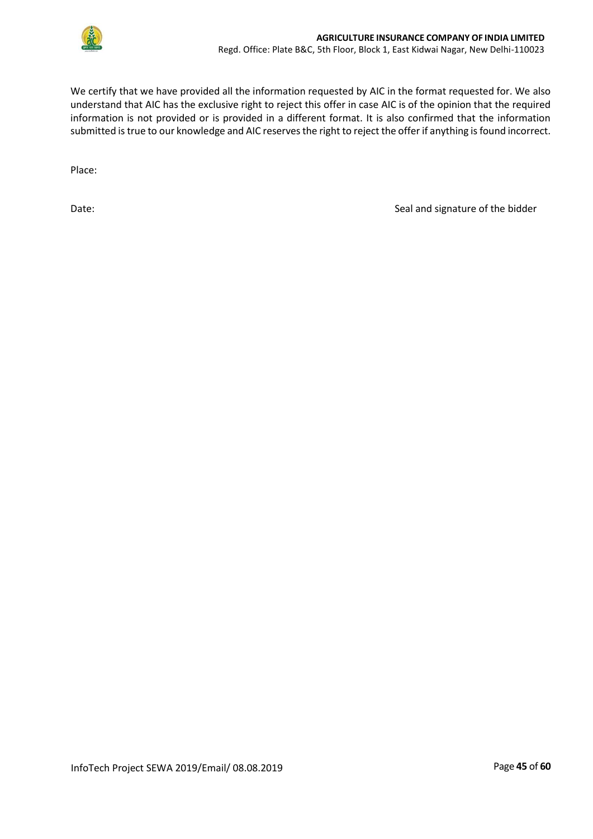

We certify that we have provided all the information requested by AIC in the format requested for. We also understand that AIC has the exclusive right to reject this offer in case AIC is of the opinion that the required information is not provided or is provided in a different format. It is also confirmed that the information submitted is true to our knowledge and AIC reserves the right to reject the offer if anything is found incorrect.

Place:

Date: Case of the bidder and signature of the bidder of the bidder seal and signature of the bidder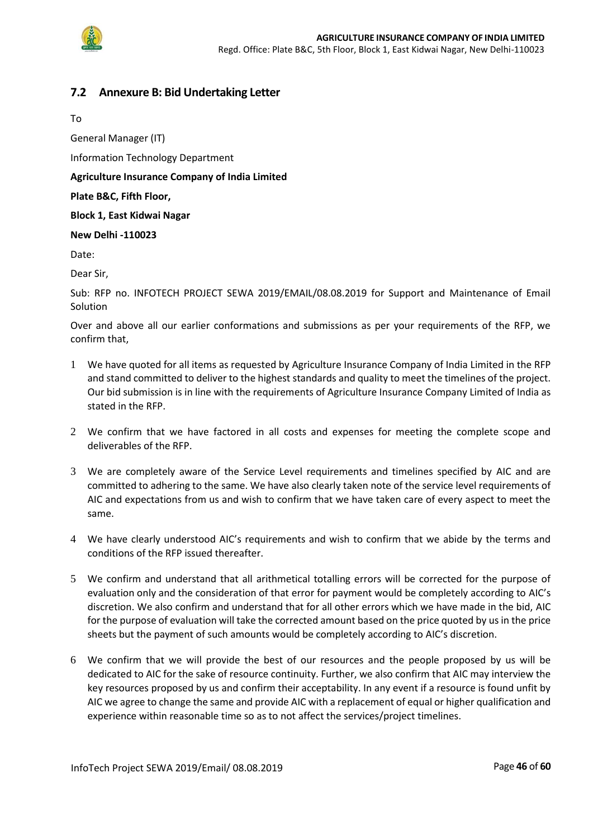

### <span id="page-45-0"></span>**7.2 Annexure B: Bid Undertaking Letter**

To

General Manager (IT)

Information Technology Department

**Agriculture Insurance Company of India Limited**

#### **Plate B&C, Fifth Floor,**

**Block 1, East Kidwai Nagar** 

#### **New Delhi -110023**

Date:

Dear Sir,

Sub: RFP no. INFOTECH PROJECT SEWA 2019/EMAIL/08.08.2019 for Support and Maintenance of Email Solution

Over and above all our earlier conformations and submissions as per your requirements of the RFP, we confirm that,

- 1 We have quoted for all items as requested by Agriculture Insurance Company of India Limited in the RFP and stand committed to deliver to the highest standards and quality to meet the timelines of the project. Our bid submission is in line with the requirements of Agriculture Insurance Company Limited of India as stated in the RFP.
- 2 We confirm that we have factored in all costs and expenses for meeting the complete scope and deliverables of the RFP.
- 3 We are completely aware of the Service Level requirements and timelines specified by AIC and are committed to adhering to the same. We have also clearly taken note of the service level requirements of AIC and expectations from us and wish to confirm that we have taken care of every aspect to meet the same.
- 4 We have clearly understood AIC's requirements and wish to confirm that we abide by the terms and conditions of the RFP issued thereafter.
- 5 We confirm and understand that all arithmetical totalling errors will be corrected for the purpose of evaluation only and the consideration of that error for payment would be completely according to AIC's discretion. We also confirm and understand that for all other errors which we have made in the bid, AIC for the purpose of evaluation will take the corrected amount based on the price quoted by us in the price sheets but the payment of such amounts would be completely according to AIC's discretion.
- 6 We confirm that we will provide the best of our resources and the people proposed by us will be dedicated to AIC for the sake of resource continuity. Further, we also confirm that AIC may interview the key resources proposed by us and confirm their acceptability. In any event if a resource is found unfit by AIC we agree to change the same and provide AIC with a replacement of equal or higher qualification and experience within reasonable time so as to not affect the services/project timelines.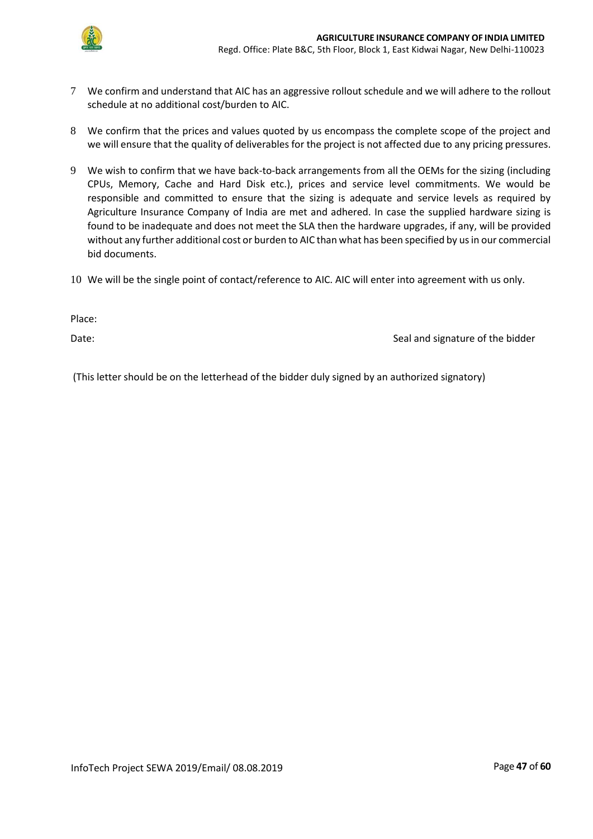

- 7 We confirm and understand that AIC has an aggressive rollout schedule and we will adhere to the rollout schedule at no additional cost/burden to AIC.
- 8 We confirm that the prices and values quoted by us encompass the complete scope of the project and we will ensure that the quality of deliverables for the project is not affected due to any pricing pressures.
- 9 We wish to confirm that we have back-to-back arrangements from all the OEMs for the sizing (including CPUs, Memory, Cache and Hard Disk etc.), prices and service level commitments. We would be responsible and committed to ensure that the sizing is adequate and service levels as required by Agriculture Insurance Company of India are met and adhered. In case the supplied hardware sizing is found to be inadequate and does not meet the SLA then the hardware upgrades, if any, will be provided without any further additional cost or burden to AIC than what has been specified by us in our commercial bid documents.
- 10 We will be the single point of contact/reference to AIC. AIC will enter into agreement with us only.

Place:

Date: Seal and signature of the bidder and signature of the bidder

(This letter should be on the letterhead of the bidder duly signed by an authorized signatory)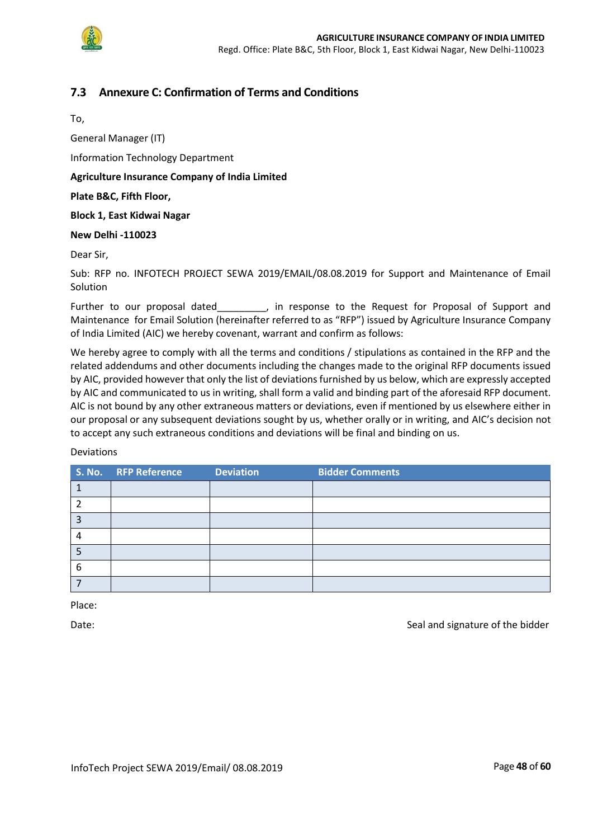

## <span id="page-47-0"></span>**7.3 Annexure C: Confirmation of Terms and Conditions**

To,

General Manager (IT)

Information Technology Department

#### **Agriculture Insurance Company of India Limited**

#### **Plate B&C, Fifth Floor,**

**Block 1, East Kidwai Nagar** 

#### **New Delhi -110023**

Dear Sir,

Sub: RFP no. INFOTECH PROJECT SEWA 2019/EMAIL/08.08.2019 for Support and Maintenance of Email Solution

Further to our proposal dated\_\_\_\_\_\_\_\_\_, in response to the Request for Proposal of Support and Maintenance for Email Solution (hereinafter referred to as "RFP") issued by Agriculture Insurance Company of India Limited (AIC) we hereby covenant, warrant and confirm as follows:

We hereby agree to comply with all the terms and conditions / stipulations as contained in the RFP and the related addendums and other documents including the changes made to the original RFP documents issued by AIC, provided however that only the list of deviations furnished by us below, which are expressly accepted by AIC and communicated to us in writing, shall form a valid and binding part of the aforesaid RFP document. AIC is not bound by any other extraneous matters or deviations, even if mentioned by us elsewhere either in our proposal or any subsequent deviations sought by us, whether orally or in writing, and AIC's decision not to accept any such extraneous conditions and deviations will be final and binding on us.

#### Deviations

|   | S. No. RFP Reference | <b>Deviation</b> | <b>Bidder Comments</b> |
|---|----------------------|------------------|------------------------|
|   |                      |                  |                        |
|   |                      |                  |                        |
| э |                      |                  |                        |
|   |                      |                  |                        |
|   |                      |                  |                        |
| 6 |                      |                  |                        |
|   |                      |                  |                        |

Place:

Date: Seal and signature of the bidder of the bidder seals and signature of the bidder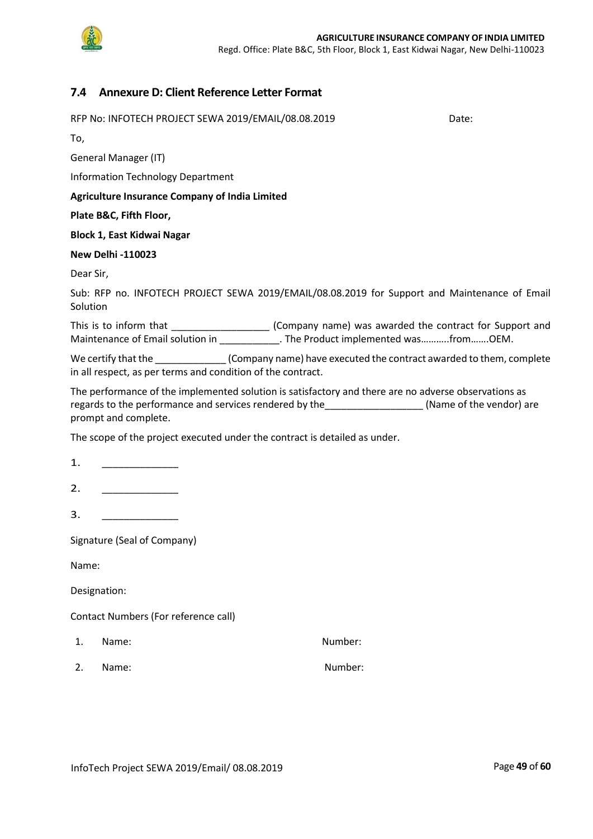

## <span id="page-48-0"></span>**7.4 Annexure D: Client Reference Letter Format**

| RFP No: INFOTECH PROJECT SEWA 2019/EMAIL/08.08.2019                                                                                                                                                                   | Date: |
|-----------------------------------------------------------------------------------------------------------------------------------------------------------------------------------------------------------------------|-------|
| To,                                                                                                                                                                                                                   |       |
| General Manager (IT)                                                                                                                                                                                                  |       |
|                                                                                                                                                                                                                       |       |
| <b>Information Technology Department</b>                                                                                                                                                                              |       |
| <b>Agriculture Insurance Company of India Limited</b>                                                                                                                                                                 |       |
| Plate B&C, Fifth Floor,                                                                                                                                                                                               |       |
| <b>Block 1, East Kidwai Nagar</b>                                                                                                                                                                                     |       |
| <b>New Delhi -110023</b>                                                                                                                                                                                              |       |
| Dear Sir,                                                                                                                                                                                                             |       |
| Sub: RFP no. INFOTECH PROJECT SEWA 2019/EMAIL/08.08.2019 for Support and Maintenance of Email<br>Solution                                                                                                             |       |
| This is to inform that _______________________(Company name) was awarded the contract for Support and<br>Maintenance of Email solution in ____________. The Product implemented wasfromOEM.                           |       |
| We certify that the _____________(Company name) have executed the contract awarded to them, complete<br>in all respect, as per terms and condition of the contract.                                                   |       |
| The performance of the implemented solution is satisfactory and there are no adverse observations as<br>regards to the performance and services rendered by the [11] (Name of the vendor) are<br>prompt and complete. |       |
| The scope of the project executed under the contract is detailed as under.                                                                                                                                            |       |
| 1.                                                                                                                                                                                                                    |       |
| 2.                                                                                                                                                                                                                    |       |
| 3.                                                                                                                                                                                                                    |       |
| Signature (Seal of Company)                                                                                                                                                                                           |       |
| Name:                                                                                                                                                                                                                 |       |
| Designation:                                                                                                                                                                                                          |       |

Contact Numbers (For reference call)

- 1. Name: Number:
- 2. Name: Number: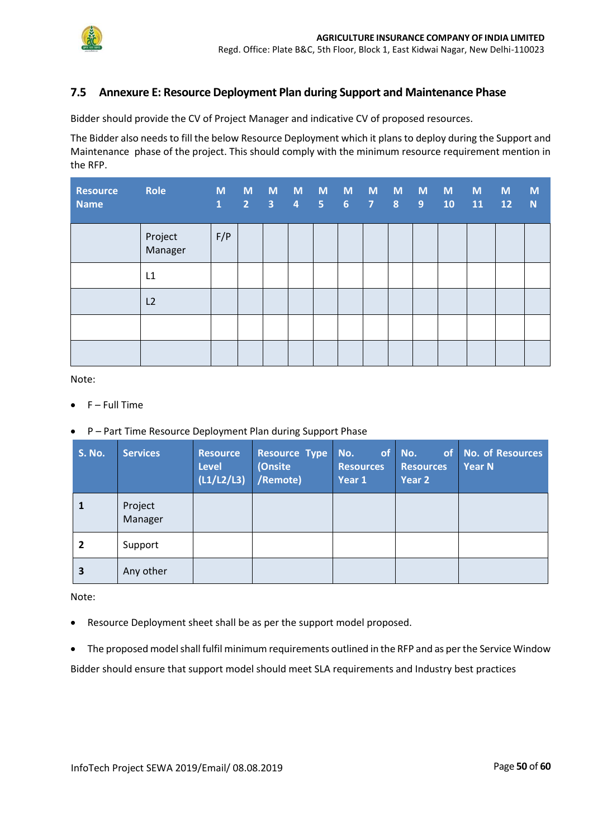

## <span id="page-49-0"></span>**7.5 Annexure E: Resource Deployment Plan during Support and Maintenance Phase**

Bidder should provide the CV of Project Manager and indicative CV of proposed resources.

The Bidder also needs to fill the below Resource Deployment which it plans to deploy during the Support and Maintenance phase of the project. This should comply with the minimum resource requirement mention in the RFP.

| <b>Resource</b><br><b>Name</b> | Role<br><u> Liberatur i Sa</u> | M<br>$\mathbf{1}$ | M<br>$\overline{2}$ | M<br>$\overline{\mathbf{3}}$ | $\overline{\mathbf{4}}$ | M M M M M M M<br>5 <sub>1</sub> | 6 <sup>1</sup> | $\sqrt{2}$ | 8 <sup>°</sup> | $\overline{9}$ | 10 | M<br>11 | <b>M</b><br>12 | M<br>N |
|--------------------------------|--------------------------------|-------------------|---------------------|------------------------------|-------------------------|---------------------------------|----------------|------------|----------------|----------------|----|---------|----------------|--------|
|                                | Project<br>Manager             | F/P               |                     |                              |                         |                                 |                |            |                |                |    |         |                |        |
|                                | L1                             |                   |                     |                              |                         |                                 |                |            |                |                |    |         |                |        |
|                                | L2                             |                   |                     |                              |                         |                                 |                |            |                |                |    |         |                |        |
|                                |                                |                   |                     |                              |                         |                                 |                |            |                |                |    |         |                |        |
|                                |                                |                   |                     |                              |                         |                                 |                |            |                |                |    |         |                |        |

Note:

- F Full Time
- P Part Time Resource Deployment Plan during Support Phase

| <b>S. No.</b>  | <b>Services</b>    | <b>Resource</b><br><b>Level</b><br>(L1/L2/L3) | <b>Resource Type</b><br>(Onsite<br>/Remote) | $\blacksquare$ No.<br><b>Resources</b><br>Year 1 | of No.<br>of<br><b>Resources</b><br>Year 2 | No. of Resources<br>Year N |
|----------------|--------------------|-----------------------------------------------|---------------------------------------------|--------------------------------------------------|--------------------------------------------|----------------------------|
|                | Project<br>Manager |                                               |                                             |                                                  |                                            |                            |
| $\overline{2}$ | Support            |                                               |                                             |                                                  |                                            |                            |
| 3              | Any other          |                                               |                                             |                                                  |                                            |                            |

Note:

- Resource Deployment sheet shall be as per the support model proposed.
- The proposed model shall fulfil minimum requirements outlined in the RFP and as per the Service Window Bidder should ensure that support model should meet SLA requirements and Industry best practices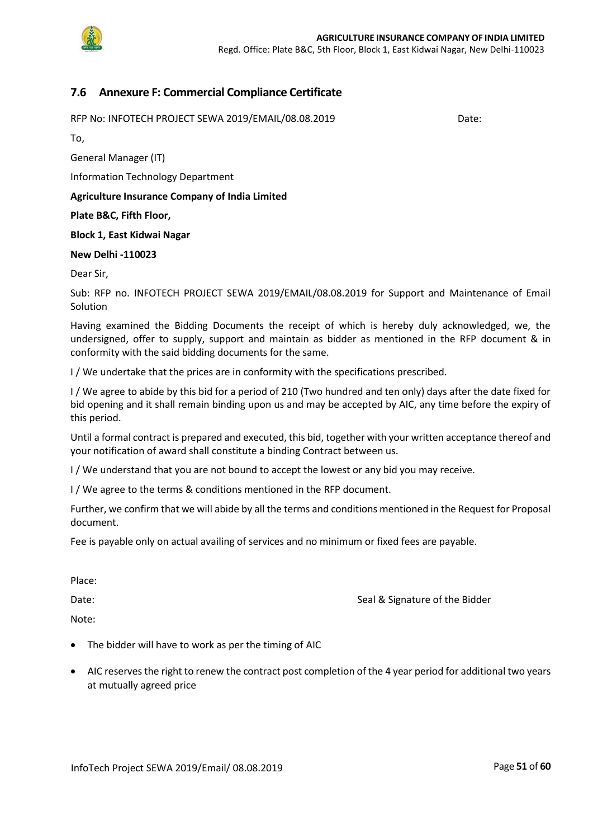

### <span id="page-50-0"></span>**7.6 Annexure F: Commercial Compliance Certificate**

RFP No: INFOTECH PROJECT SEWA 2019/EMAIL/08.08.2019 Date:

To,

General Manager (IT)

Information Technology Department

**Agriculture Insurance Company of India Limited**

**Plate B&C, Fifth Floor,** 

**Block 1, East Kidwai Nagar** 

#### **New Delhi -110023**

Dear Sir,

Sub: RFP no. INFOTECH PROJECT SEWA 2019/EMAIL/08.08.2019 for Support and Maintenance of Email Solution

Having examined the Bidding Documents the receipt of which is hereby duly acknowledged, we, the undersigned, offer to supply, support and maintain as bidder as mentioned in the RFP document & in conformity with the said bidding documents for the same.

I / We undertake that the prices are in conformity with the specifications prescribed.

I / We agree to abide by this bid for a period of 210 (Two hundred and ten only) days after the date fixed for bid opening and it shall remain binding upon us and may be accepted by AIC, any time before the expiry of this period.

Until a formal contract is prepared and executed, this bid, together with your written acceptance thereof and your notification of award shall constitute a binding Contract between us.

I / We understand that you are not bound to accept the lowest or any bid you may receive.

I / We agree to the terms & conditions mentioned in the RFP document.

Further, we confirm that we will abide by all the terms and conditions mentioned in the Request for Proposal document.

Fee is payable only on actual availing of services and no minimum or fixed fees are payable.

Place:

Date: Case of the Bidder Seal & Signature of the Bidder

Note:

- The bidder will have to work as per the timing of AIC
- AIC reserves the right to renew the contract post completion of the 4 year period for additional two years at mutually agreed price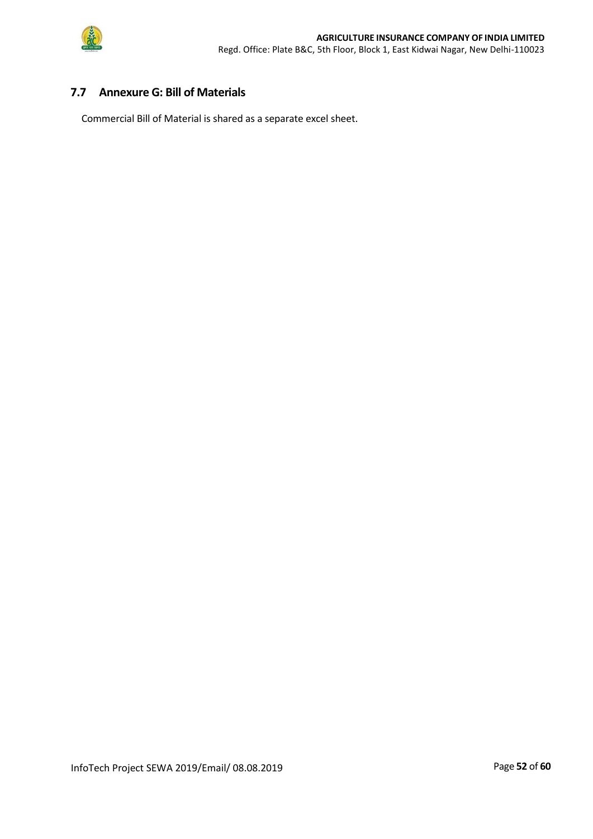

### <span id="page-51-0"></span>**7.7 Annexure G: Bill of Materials**

Commercial Bill of Material is shared as a separate excel sheet.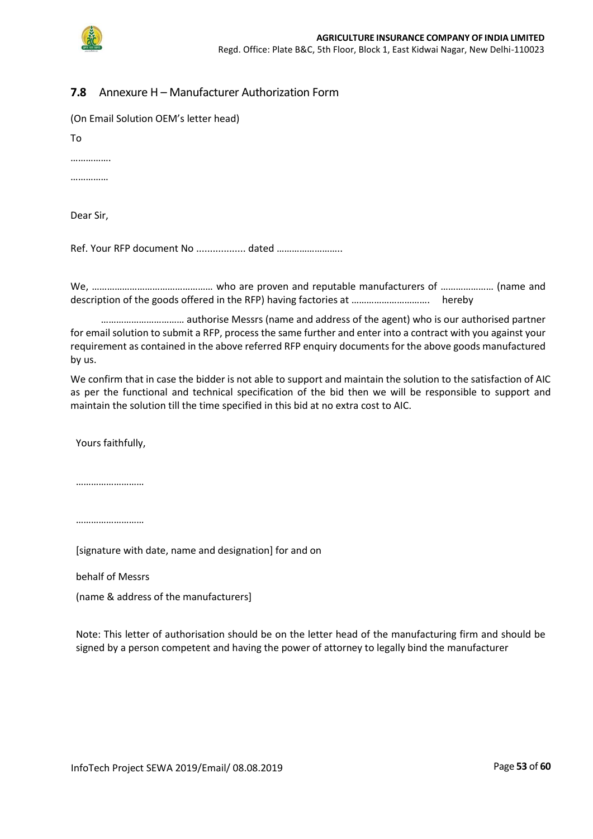

## <span id="page-52-0"></span>**7.8** Annexure H – Manufacturer Authorization Form

| (On Email Solution OEM's letter head) |  |
|---------------------------------------|--|
| To                                    |  |
|                                       |  |
|                                       |  |
| Dear Sir,                             |  |
| Ref. Your RFP document No  dated      |  |
|                                       |  |

We, ………………………………………… who are proven and reputable manufacturers of ………………… (name and description of the goods offered in the RFP) having factories at …………………………. hereby

…………………………… authorise Messrs (name and address of the agent) who is our authorised partner for email solution to submit a RFP, process the same further and enter into a contract with you against your requirement as contained in the above referred RFP enquiry documents for the above goods manufactured by us.

We confirm that in case the bidder is not able to support and maintain the solution to the satisfaction of AIC as per the functional and technical specification of the bid then we will be responsible to support and maintain the solution till the time specified in this bid at no extra cost to AIC.

Yours faithfully,

………………………

………………………

[signature with date, name and designation] for and on

behalf of Messrs

(name & address of the manufacturers]

Note: This letter of authorisation should be on the letter head of the manufacturing firm and should be signed by a person competent and having the power of attorney to legally bind the manufacturer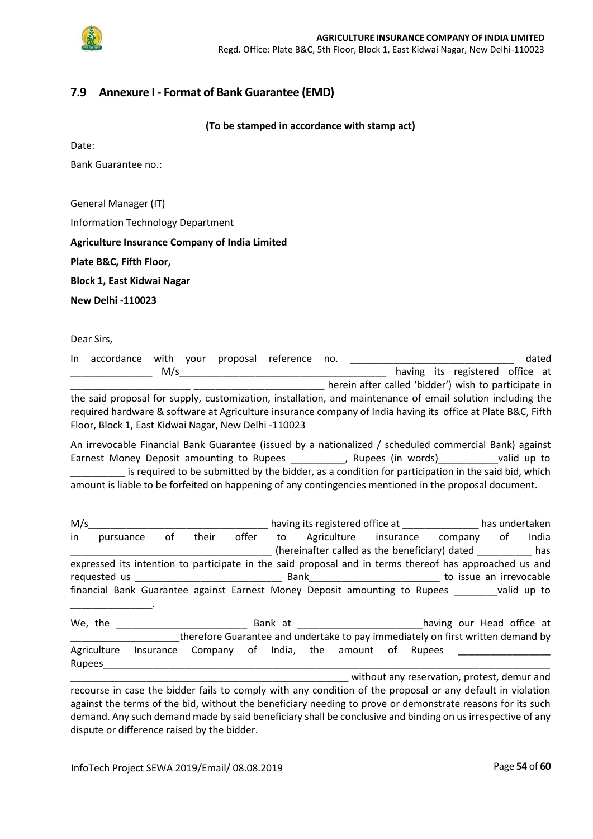

## <span id="page-53-0"></span>**7.9 Annexure I - Format of Bank Guarantee (EMD)**

**(To be stamped in accordance with stamp act)**

Date:

Bank Guarantee no.:

General Manager (IT)

Information Technology Department

**Agriculture Insurance Company of India Limited**

**Plate B&C, Fifth Floor,** 

**Block 1, East Kidwai Nagar** 

**New Delhi -110023**

Dear Sirs,

| In accordance with your proposal reference no.                                                               |     |  |  |  |                                                      | dated |
|--------------------------------------------------------------------------------------------------------------|-----|--|--|--|------------------------------------------------------|-------|
|                                                                                                              | M/s |  |  |  | having its registered office at                      |       |
|                                                                                                              |     |  |  |  | herein after called 'bidder') wish to participate in |       |
| the said proposal for supply, customization, installation, and maintenance of email solution including the   |     |  |  |  |                                                      |       |
| required hardware & software at Agriculture insurance company of India having its office at Plate B&C, Fifth |     |  |  |  |                                                      |       |

Floor, Block 1, East Kidwai Nagar, New Delhi -110023 An irrevocable Financial Bank Guarantee (issued by a nationalized / scheduled commercial Bank) against

Earnest Money Deposit amounting to Rupees \_\_\_\_\_\_\_\_\_, Rupees (in words) \_\_\_\_\_\_\_\_\_\_valid up to \_\_\_\_\_\_\_\_\_\_ is required to be submitted by the bidder, as a condition for participation in the said bid, which amount is liable to be forfeited on happening of any contingencies mentioned in the proposal document.

| M/s    |             |    |                                                                                                            |  | having its registered office at ________________ has undertaken |  |                                                              |  |       |
|--------|-------------|----|------------------------------------------------------------------------------------------------------------|--|-----------------------------------------------------------------|--|--------------------------------------------------------------|--|-------|
| in     | pursuance   | 0f |                                                                                                            |  |                                                                 |  | their offer to Agriculture insurance company of              |  | India |
|        |             |    |                                                                                                            |  |                                                                 |  | (hereinafter called as the beneficiary) dated __________ has |  |       |
|        |             |    | expressed its intention to participate in the said proposal and in terms thereof has approached us and     |  |                                                                 |  |                                                              |  |       |
|        |             |    |                                                                                                            |  |                                                                 |  |                                                              |  |       |
|        |             |    | financial Bank Guarantee against Earnest Money Deposit amounting to Rupees _______ valid up to             |  |                                                                 |  |                                                              |  |       |
|        |             |    |                                                                                                            |  |                                                                 |  |                                                              |  |       |
|        |             |    |                                                                                                            |  |                                                                 |  |                                                              |  |       |
|        |             |    | therefore Guarantee and undertake to pay immediately on first written demand by                            |  |                                                                 |  |                                                              |  |       |
|        | Agriculture |    | Insurance Company of India, the amount of Rupees                                                           |  |                                                                 |  |                                                              |  |       |
| Rupees |             |    |                                                                                                            |  |                                                                 |  |                                                              |  |       |
|        |             |    |                                                                                                            |  |                                                                 |  | without any reservation, protest, demur and                  |  |       |
|        |             |    | recourse in case the bidder fails to comply with any condition of the proposal or any default in violation |  |                                                                 |  |                                                              |  |       |

is to comply with any condition of the proposal or against the terms of the bid, without the beneficiary needing to prove or demonstrate reasons for its such demand. Any such demand made by said beneficiary shall be conclusive and binding on us irrespective of any dispute or difference raised by the bidder.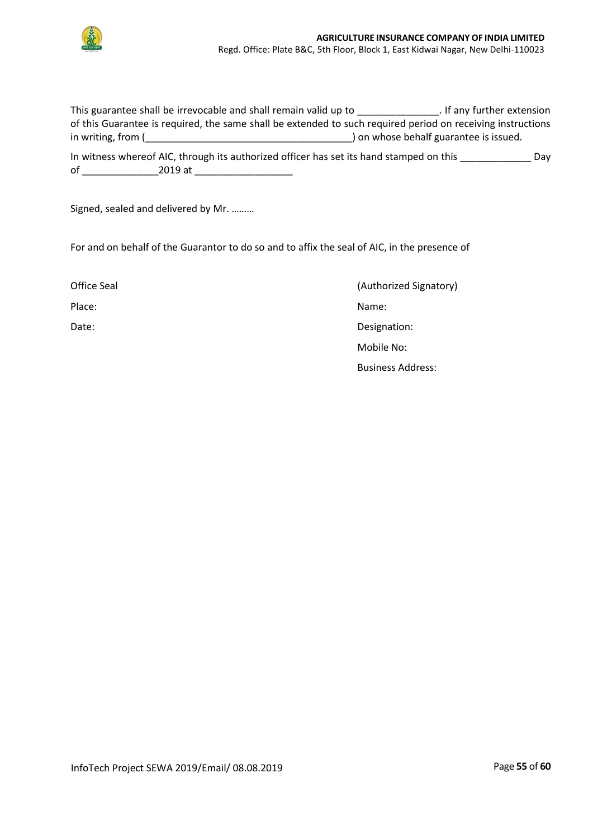

|                    | This guarantee shall be irrevocable and shall remain valid up to                        | . If any further extension                                                                                  |
|--------------------|-----------------------------------------------------------------------------------------|-------------------------------------------------------------------------------------------------------------|
|                    |                                                                                         | of this Guarantee is required, the same shall be extended to such required period on receiving instructions |
| in writing, from ( |                                                                                         | ) on whose behalf guarantee is issued.                                                                      |
|                    | In witness whereof AIC, through its authorized officer has set its hand stamped on this | Dav                                                                                                         |
| οf                 | 2019 at                                                                                 |                                                                                                             |

Signed, sealed and delivered by Mr. ………

For and on behalf of the Guarantor to do so and to affix the seal of AIC, in the presence of

| Office Seal | (Authorized Signatory)   |
|-------------|--------------------------|
| Place:      | Name:                    |
| Date:       | Designation:             |
|             | Mobile No:               |
|             | <b>Business Address:</b> |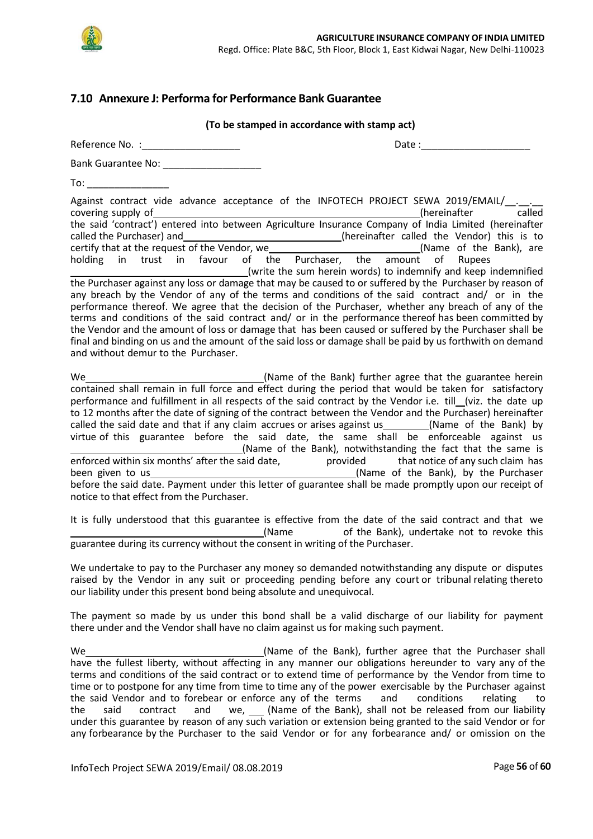

## <span id="page-55-0"></span>**7.10 Annexure J: Performa for Performance Bank Guarantee**

| (To be stamped in accordance with stamp act)                                                                                                                                                                                                                                                                                                                                                                                                                                                                                                                                                                                                                                                                                                                                                                                                                                                                                                                                                                                                                                                                                                                                                                                                                                                                                         |
|--------------------------------------------------------------------------------------------------------------------------------------------------------------------------------------------------------------------------------------------------------------------------------------------------------------------------------------------------------------------------------------------------------------------------------------------------------------------------------------------------------------------------------------------------------------------------------------------------------------------------------------------------------------------------------------------------------------------------------------------------------------------------------------------------------------------------------------------------------------------------------------------------------------------------------------------------------------------------------------------------------------------------------------------------------------------------------------------------------------------------------------------------------------------------------------------------------------------------------------------------------------------------------------------------------------------------------------|
| Reference No. : No. 1999<br>Date :                                                                                                                                                                                                                                                                                                                                                                                                                                                                                                                                                                                                                                                                                                                                                                                                                                                                                                                                                                                                                                                                                                                                                                                                                                                                                                   |
| Bank Guarantee No: ___________________                                                                                                                                                                                                                                                                                                                                                                                                                                                                                                                                                                                                                                                                                                                                                                                                                                                                                                                                                                                                                                                                                                                                                                                                                                                                                               |
| To: ___________________                                                                                                                                                                                                                                                                                                                                                                                                                                                                                                                                                                                                                                                                                                                                                                                                                                                                                                                                                                                                                                                                                                                                                                                                                                                                                                              |
| Against contract vide advance acceptance of the INFOTECH PROJECT SEWA 2019/EMAIL/___.__.<br>called<br>(hereinafter<br>covering supply of contract') entered into between Agriculture Insurance Company of India Limited (hereinafter<br>the said 'contract') entered into between Agriculture Insurance Company of India Limited (hereinafter<br>called the Purchaser) and ______________________________(hereinafter called the Vendor) this is to<br>certify that at the request of the Vendor, we<br>holding in trust in favour of the Purchaser, the amount of Rupees<br>(write the sum herein words) to indemnify and keep indemnified<br>the Purchaser against any loss or damage that may be caused to or suffered by the Purchaser by reason of<br>any breach by the Vendor of any of the terms and conditions of the said contract and/ or in the<br>performance thereof. We agree that the decision of the Purchaser, whether any breach of any of the<br>terms and conditions of the said contract and/ or in the performance thereof has been committed by<br>the Vendor and the amount of loss or damage that has been caused or suffered by the Purchaser shall be<br>final and binding on us and the amount of the said loss or damage shall be paid by us forthwith on demand<br>and without demur to the Purchaser. |
| contained shall remain in full force and effect during the period that would be taken for satisfactory<br>performance and fulfillment in all respects of the said contract by the Vendor i.e. till (viz. the date up<br>to 12 months after the date of signing of the contract between the Vendor and the Purchaser) hereinafter<br>called the said date and that if any claim accrues or arises against us _________(Name of the Bank) by<br>virtue of this guarantee before the said date, the same shall be enforceable against us<br>(Name of the Bank), notwithstanding the fact that the same is<br>enforced within six months' after the said date, head provided that notice of any such claim has<br>before the said date. Payment under this letter of guarantee shall be made promptly upon our receipt of<br>notice to that effect from the Purchaser.                                                                                                                                                                                                                                                                                                                                                                                                                                                                   |

It is fully understood that this guarantee is effective from the date of the said contract and that we<br>(Name of the Bank), undertake not to revoke this of the Bank), undertake not to revoke this guarantee during its currency without the consent in writing of the Purchaser.

We undertake to pay to the Purchaser any money so demanded notwithstanding any dispute or disputes raised by the Vendor in any suit or proceeding pending before any court or tribunal relating thereto our liability under this present bond being absolute and unequivocal.

The payment so made by us under this bond shall be a valid discharge of our liability for payment there under and the Vendor shall have no claim against us for making such payment.

We **Conserver Communist Communist Communist Communist Communist Communist Communist Communist Communist Communist Communist Communist Communist Communist Communist Communist Communist Communist Communist Communist Communis** have the fullest liberty, without affecting in any manner our obligations hereunder to vary any of the terms and conditions of the said contract or to extend time of performance by the Vendor from time to time or to postpone for any time from time to time any of the power exercisable by the Purchaser against the said Vendor and to forebear or enforce any of the terms and conditions relating to the said contract and we, (Name of the Bank), shall not be released from our liability under this guarantee by reason of any such variation or extension being granted to the said Vendor or for any forbearance by the Purchaser to the said Vendor or for any forbearance and/ or omission on the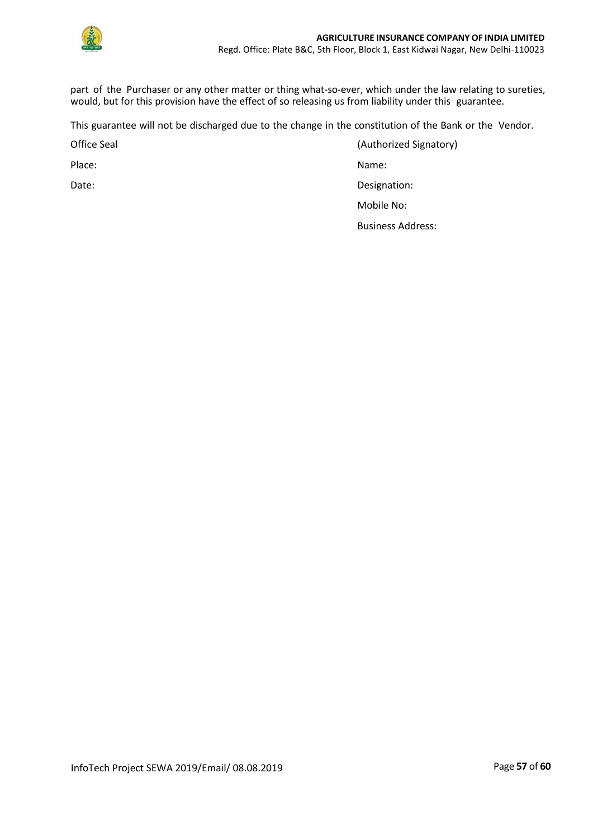

part of the Purchaser or any other matter or thing what-so-ever, which under the law relating to sureties, would, but for this provision have the effect of so releasing us from liability under this guarantee.

This guarantee will not be discharged due to the change in the constitution of the Bank or the Vendor.

Office Seal **Contract Contract Contract Contract Contract Contract Contract Contract Contract Contract Contract Contract Contract Contract Contract Contract Contract Contract Contract Contract Contract Contract Contract Co** 

Place: Name: Name: Name: Name: Name: Name: Name: Name: Name: Name: Name: Name: Name: Name: Name: Name: Name: Name: Name: Name: Name: Name: Name: Name: Name: Name: Name: Name: Name: Name: Name: Name: Name: Name: Name: Name:

Date: Date: Designation: Designation: Designation:

Mobile No:

Business Address: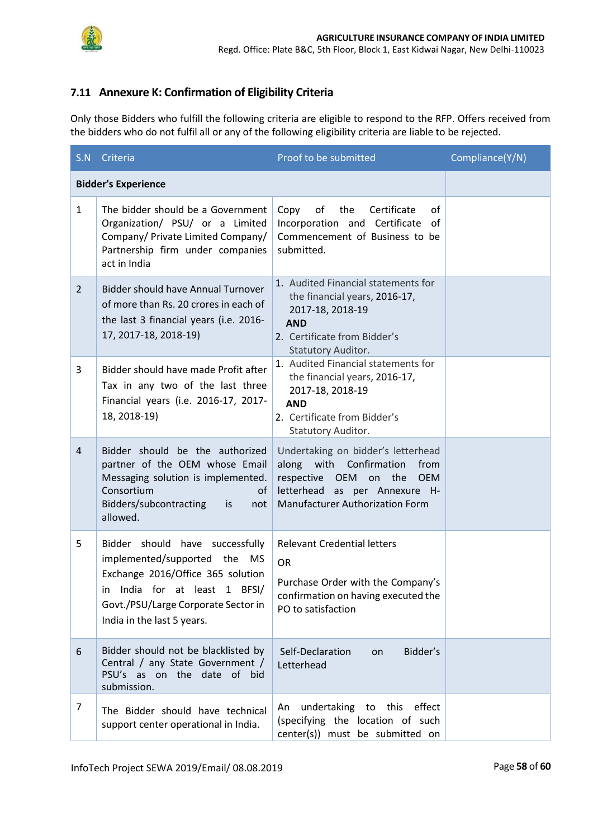

# <span id="page-57-0"></span>**7.11 Annexure K: Confirmation of Eligibility Criteria**

Only those Bidders who fulfill the following criteria are eligible to respond to the RFP. Offers received from the bidders who do not fulfil all or any of the following eligibility criteria are liable to be rejected.

|                | S.N Criteria                                                                                                                                                                                               | Proof to be submitted                                                                                                                                                                   | Compliance(Y/N) |
|----------------|------------------------------------------------------------------------------------------------------------------------------------------------------------------------------------------------------------|-----------------------------------------------------------------------------------------------------------------------------------------------------------------------------------------|-----------------|
|                | <b>Bidder's Experience</b>                                                                                                                                                                                 |                                                                                                                                                                                         |                 |
| $\mathbf{1}$   | The bidder should be a Government<br>Organization/ PSU/ or a Limited<br>Company/ Private Limited Company/<br>Partnership firm under companies<br>act in India                                              | of<br>the<br>Certificate<br>οf<br>Copy<br>Incorporation and Certificate<br>0f<br>Commencement of Business to be<br>submitted.                                                           |                 |
| $\overline{2}$ | <b>Bidder should have Annual Turnover</b><br>of more than Rs. 20 crores in each of<br>the last 3 financial years (i.e. 2016-<br>17, 2017-18, 2018-19)                                                      | 1. Audited Financial statements for<br>the financial years, 2016-17,<br>2017-18, 2018-19<br><b>AND</b><br>2. Certificate from Bidder's<br>Statutory Auditor.                            |                 |
| 3              | Bidder should have made Profit after<br>Tax in any two of the last three<br>Financial years (i.e. 2016-17, 2017-<br>18, 2018-19)                                                                           | 1. Audited Financial statements for<br>the financial years, 2016-17,<br>2017-18, 2018-19<br><b>AND</b><br>2. Certificate from Bidder's<br>Statutory Auditor.                            |                 |
| $\overline{4}$ | Bidder should be the authorized<br>partner of the OEM whose Email<br>Messaging solution is implemented.<br>Consortium<br>οt<br>Bidders/subcontracting is<br>not<br>allowed.                                | Undertaking on bidder's letterhead<br>along with Confirmation<br>from<br>respective OEM on the<br><b>OEM</b><br>letterhead as per Annexure H-<br><b>Manufacturer Authorization Form</b> |                 |
| 5              | Bidder should have successfully<br>implemented/supported the MS<br>Exchange 2016/Office 365 solution<br>in India for at least 1 BFSI/<br>Govt./PSU/Large Corporate Sector in<br>India in the last 5 years. | <b>Relevant Credential letters</b><br><b>OR</b><br>Purchase Order with the Company's<br>confirmation on having executed the<br>PO to satisfaction                                       |                 |
| 6              | Bidder should not be blacklisted by<br>Central / any State Government /<br>PSU's as on the date of bid<br>submission.                                                                                      | Self-Declaration<br>Bidder's<br>on<br>Letterhead                                                                                                                                        |                 |
| 7              | The Bidder should have technical<br>support center operational in India.                                                                                                                                   | undertaking to this<br>effect<br>An<br>(specifying the location of such<br>center(s)) must be submitted on                                                                              |                 |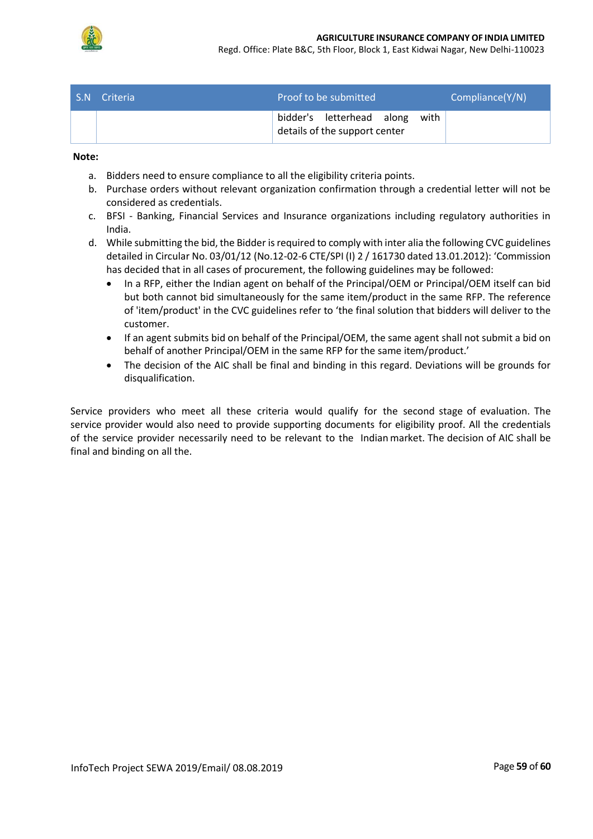

Regd. Office: Plate B&C, 5th Floor, Block 1, East Kidwai Nagar, New Delhi-110023

| S.N | Criteria | Proof to be submitted |                                                            |  |      | Compliance(Y/N) |
|-----|----------|-----------------------|------------------------------------------------------------|--|------|-----------------|
|     |          |                       | bidder's letterhead along<br>details of the support center |  | with |                 |

#### **Note:**

- a. Bidders need to ensure compliance to all the eligibility criteria points.
- b. Purchase orders without relevant organization confirmation through a credential letter will not be considered as credentials.
- c. BFSI Banking, Financial Services and Insurance organizations including regulatory authorities in India.
- d. While submitting the bid, the Bidder is required to comply with inter alia the following CVC guidelines detailed in Circular No. 03/01/12 (No.12-02-6 CTE/SPI (I) 2 / 161730 dated 13.01.2012): 'Commission has decided that in all cases of procurement, the following guidelines may be followed:
	- In a RFP, either the Indian agent on behalf of the Principal/OEM or Principal/OEM itself can bid but both cannot bid simultaneously for the same item/product in the same RFP. The reference of 'item/product' in the CVC guidelines refer to 'the final solution that bidders will deliver to the customer.
	- If an agent submits bid on behalf of the Principal/OEM, the same agent shall not submit a bid on behalf of another Principal/OEM in the same RFP for the same item/product.'
	- The decision of the AIC shall be final and binding in this regard. Deviations will be grounds for disqualification.

Service providers who meet all these criteria would qualify for the second stage of evaluation. The service provider would also need to provide supporting documents for eligibility proof. All the credentials of the service provider necessarily need to be relevant to the Indian market. The decision of AIC shall be final and binding on all the.